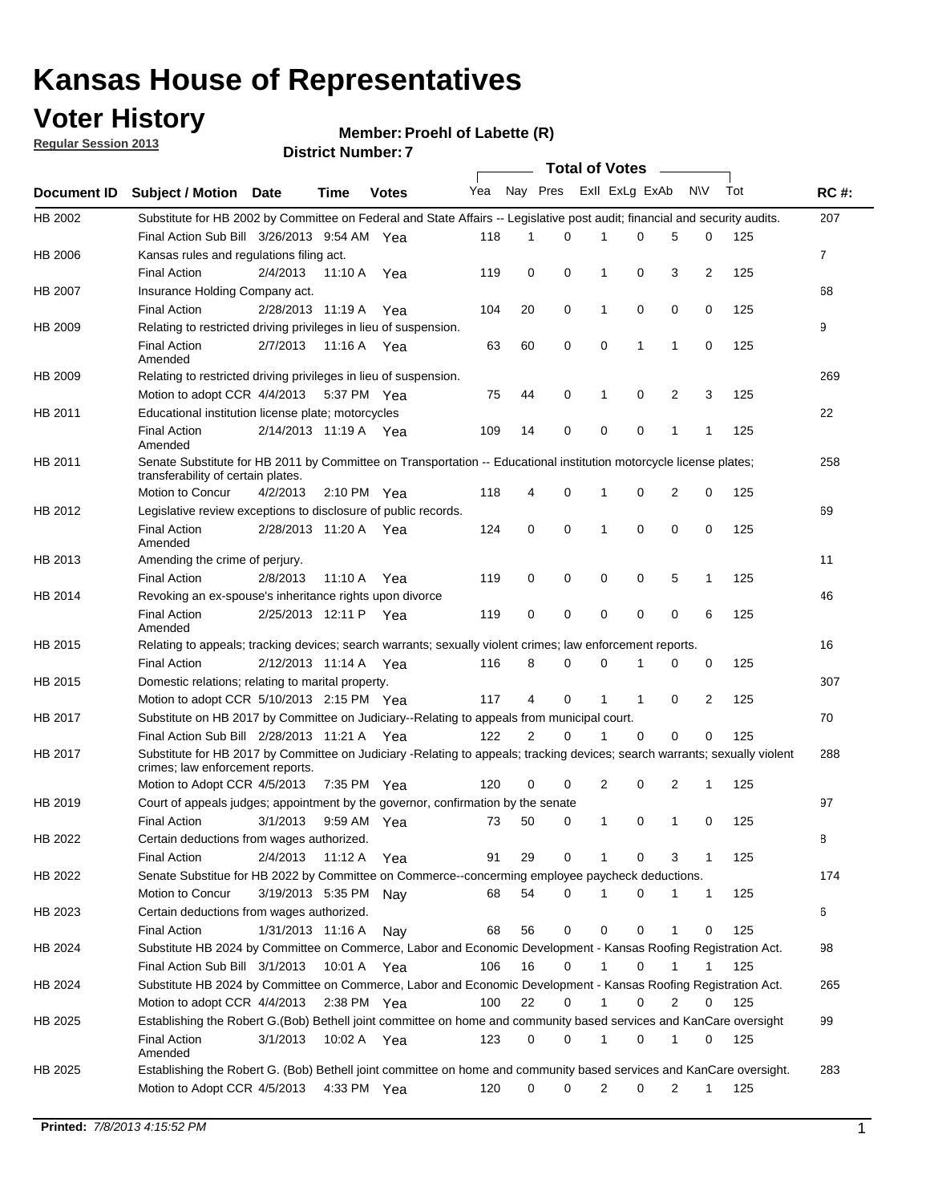## **Voter History**

**Member: Proehl of Labette (R)** 

**Regular Session 2013**

|             |                                                                                                                                                                |                       |               |              |     |                | Total of Votes ______   |              |             |                |              |     |                |
|-------------|----------------------------------------------------------------------------------------------------------------------------------------------------------------|-----------------------|---------------|--------------|-----|----------------|-------------------------|--------------|-------------|----------------|--------------|-----|----------------|
| Document ID | <b>Subject / Motion Date</b>                                                                                                                                   |                       | Time          | <b>Votes</b> | Yea |                | Nay Pres Exll ExLg ExAb |              |             |                | N\V          | Tot | <b>RC#:</b>    |
| HB 2002     | Substitute for HB 2002 by Committee on Federal and State Affairs -- Legislative post audit; financial and security audits.                                     |                       |               |              |     |                |                         |              |             |                |              |     | 207            |
|             | Final Action Sub Bill 3/26/2013 9:54 AM Yea                                                                                                                    |                       |               |              | 118 | 1              | 0                       |              | 0           | 5              | 0            | 125 |                |
| HB 2006     | Kansas rules and regulations filing act.                                                                                                                       |                       |               |              |     |                |                         |              |             |                |              |     | $\overline{7}$ |
|             | <b>Final Action</b>                                                                                                                                            | 2/4/2013              | 11:10 A       | Yea          | 119 | 0              | 0                       | 1            | 0           | 3              | 2            | 125 |                |
| HB 2007     | Insurance Holding Company act.                                                                                                                                 |                       |               |              |     |                |                         |              |             |                |              |     | 68             |
|             | <b>Final Action</b>                                                                                                                                            | 2/28/2013 11:19 A     |               | Yea          | 104 | 20             | 0                       | 1            | 0           | 0              | 0            | 125 |                |
| HB 2009     | Relating to restricted driving privileges in lieu of suspension.                                                                                               |                       |               |              |     |                |                         |              |             |                |              |     | 9              |
|             | <b>Final Action</b><br>Amended                                                                                                                                 | 2/7/2013              | 11:16 A Yea   |              | 63  | 60             | 0                       | 0            | 1           | $\mathbf{1}$   | 0            | 125 |                |
| HB 2009     | Relating to restricted driving privileges in lieu of suspension.                                                                                               |                       |               |              |     |                |                         |              |             |                |              |     | 269            |
|             | Motion to adopt CCR 4/4/2013                                                                                                                                   |                       | 5:37 PM Yea   |              | 75  | 44             | 0                       | 1            | 0           | 2              | 3            | 125 |                |
| HB 2011     | Educational institution license plate; motorcycles                                                                                                             |                       |               |              |     |                |                         |              |             |                |              |     | 22             |
|             | <b>Final Action</b><br>Amended                                                                                                                                 | 2/14/2013 11:19 A Yea |               |              | 109 | 14             | 0                       | 0            | 0           | 1              | 1            | 125 |                |
| HB 2011     | Senate Substitute for HB 2011 by Committee on Transportation -- Educational institution motorcycle license plates;                                             |                       |               |              |     |                |                         |              |             |                |              |     | 258            |
|             | transferability of certain plates.                                                                                                                             |                       |               |              |     |                |                         |              |             |                |              |     |                |
|             | Motion to Concur                                                                                                                                               | 4/2/2013              | 2:10 PM Yea   |              | 118 | 4              | 0                       | 1            | 0           | $\overline{2}$ | 0            | 125 |                |
| HB 2012     | Legislative review exceptions to disclosure of public records.                                                                                                 |                       |               |              |     |                |                         |              |             |                |              |     | 69             |
|             | <b>Final Action</b><br>Amended                                                                                                                                 | 2/28/2013 11:20 A Yea |               |              | 124 | 0              | 0                       | 1            | 0           | 0              | 0            | 125 |                |
| HB 2013     | Amending the crime of perjury.                                                                                                                                 |                       |               |              |     |                |                         |              |             |                |              |     | 11             |
|             | <b>Final Action</b>                                                                                                                                            | 2/8/2013              | 11:10 A       | Yea          | 119 | 0              | 0                       | 0            | 0           | 5              | 1            | 125 |                |
| HB 2014     | Revoking an ex-spouse's inheritance rights upon divorce                                                                                                        |                       |               |              |     |                |                         |              |             |                |              |     | 46             |
|             | <b>Final Action</b><br>Amended                                                                                                                                 | 2/25/2013 12:11 P Yea |               |              | 119 | 0              | 0                       | 0            | 0           | 0              | 6            | 125 |                |
| HB 2015     | Relating to appeals; tracking devices; search warrants; sexually violent crimes; law enforcement reports.                                                      |                       |               |              |     |                |                         |              |             |                |              |     | 16             |
|             | <b>Final Action</b>                                                                                                                                            | 2/12/2013 11:14 A     |               | Yea          | 116 | 8              | 0                       | 0            | 1           | 0              | 0            | 125 |                |
| HB 2015     | Domestic relations; relating to marital property.                                                                                                              |                       |               |              |     |                |                         |              |             |                |              |     | 307            |
|             | Motion to adopt CCR 5/10/2013 2:15 PM Yea                                                                                                                      |                       |               |              | 117 | 4              | 0                       | 1            | 1           | 0              | 2            | 125 |                |
| HB 2017     | Substitute on HB 2017 by Committee on Judiciary--Relating to appeals from municipal court.                                                                     |                       |               |              |     |                |                         |              |             |                |              |     | 70             |
|             | Final Action Sub Bill 2/28/2013 11:21 A Yea                                                                                                                    |                       |               |              | 122 | $\overline{2}$ | 0                       |              | 0           | 0              | 0            | 125 |                |
| HB 2017     | Substitute for HB 2017 by Committee on Judiciary -Relating to appeals; tracking devices; search warrants; sexually violent<br>crimes; law enforcement reports. |                       |               |              |     |                |                         |              |             |                |              |     | 288            |
|             | Motion to Adopt CCR 4/5/2013                                                                                                                                   |                       | 7:35 PM Yea   |              | 120 | 0              | 0                       | 2            | 0           | 2              | 1            | 125 |                |
| HB 2019     | Court of appeals judges; appointment by the governor, confirmation by the senate                                                                               |                       |               |              |     |                |                         |              |             |                |              |     | 97             |
|             | <b>Final Action</b>                                                                                                                                            | 3/1/2013              | 9:59 AM Yea   |              | 73  | 50             | 0                       | $\mathbf{1}$ | 0           | 1              | 0            | 125 |                |
| HB 2022     | Certain deductions from wages authorized.                                                                                                                      |                       |               |              |     |                |                         |              |             |                |              |     | В              |
|             | <b>Final Action</b>                                                                                                                                            | 2/4/2013              | 11:12 A       | Yea          | 91  | 29             | 0                       |              | 0           | 3              | 1            | 125 |                |
| HB 2022     | Senate Substitue for HB 2022 by Committee on Commerce--concerming employee paycheck deductions.                                                                |                       |               |              |     |                |                         |              |             |                |              |     | 174            |
|             | Motion to Concur                                                                                                                                               | 3/19/2013 5:35 PM Nay |               |              | 68  | 54             | 0                       | 1            | 0           | 1              | $\mathbf{1}$ | 125 |                |
| HB 2023     | Certain deductions from wages authorized.                                                                                                                      |                       |               |              |     |                |                         |              |             |                |              |     | 6              |
|             | <b>Final Action</b>                                                                                                                                            | 1/31/2013 11:16 A     |               | Nay          | 68  | 56             | 0                       | 0            | 0           | 1              | 0            | 125 |                |
| HB 2024     | Substitute HB 2024 by Committee on Commerce, Labor and Economic Development - Kansas Roofing Registration Act.                                                 |                       |               |              |     |                |                         |              |             |                |              |     | 98             |
|             | Final Action Sub Bill 3/1/2013                                                                                                                                 |                       | 10:01 A Yea   |              | 106 | 16             | 0                       | $\mathbf{1}$ | $\mathbf 0$ | 1              | 1            | 125 |                |
| HB 2024     | Substitute HB 2024 by Committee on Commerce, Labor and Economic Development - Kansas Roofing Registration Act.                                                 |                       |               |              |     |                |                         |              |             |                |              |     | 265            |
|             | Motion to adopt CCR 4/4/2013                                                                                                                                   |                       | $2:38$ PM Yea |              | 100 | 22             | 0                       | 1            | 0           | $\overline{2}$ | 0            | 125 |                |
| HB 2025     | Establishing the Robert G.(Bob) Bethell joint committee on home and community based services and KanCare oversight                                             |                       |               |              |     |                |                         |              |             |                |              |     | 99             |
|             | <b>Final Action</b><br>Amended                                                                                                                                 | 3/1/2013              | 10:02 A Yea   |              | 123 | 0              | 0                       | 1            | 0           | 1              | 0            | 125 |                |
| HB 2025     | Establishing the Robert G. (Bob) Bethell joint committee on home and community based services and KanCare oversight.                                           |                       |               |              |     |                |                         |              |             |                |              |     | 283            |
|             | Motion to Adopt CCR 4/5/2013                                                                                                                                   |                       | 4:33 PM Yea   |              | 120 | 0              | 0                       | 2            | 0           | 2              | $\mathbf{1}$ | 125 |                |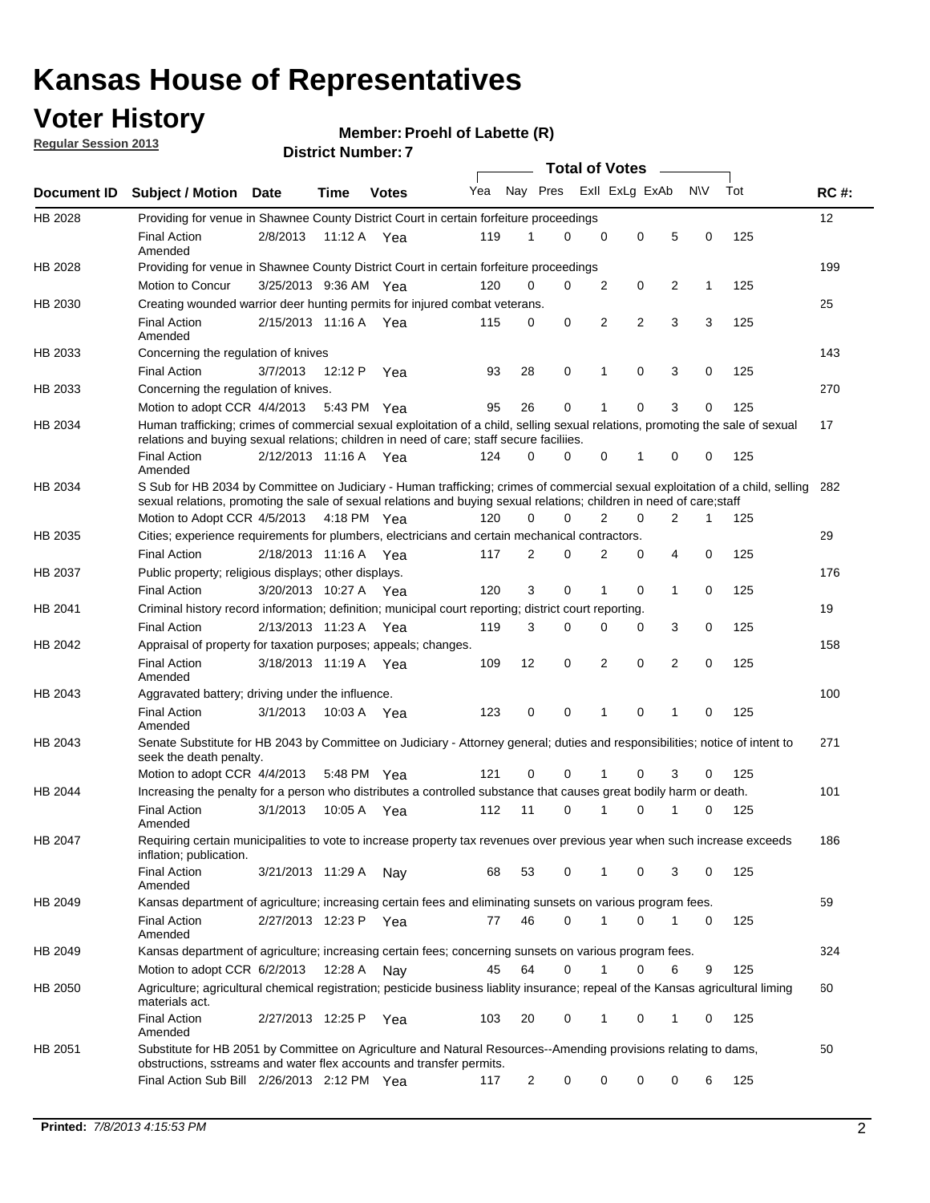## **Voter History**

**Member: Proehl of Labette (R)** 

**Regular Session 2013**

|                |                                                                                                                                                                                                                                                        |                       |             |              |     |                         | <b>Total of Votes</b> |   |   |                |           |     |             |
|----------------|--------------------------------------------------------------------------------------------------------------------------------------------------------------------------------------------------------------------------------------------------------|-----------------------|-------------|--------------|-----|-------------------------|-----------------------|---|---|----------------|-----------|-----|-------------|
| Document ID    | <b>Subject / Motion</b>                                                                                                                                                                                                                                | Date                  | Time        | <b>Votes</b> | Yea | Nay Pres Exll ExLg ExAb |                       |   |   |                | <b>NV</b> | Tot | <b>RC#:</b> |
| HB 2028        | Providing for venue in Shawnee County District Court in certain forfeiture proceedings                                                                                                                                                                 |                       |             |              |     |                         |                       |   |   |                |           |     | 12          |
|                | <b>Final Action</b><br>Amended                                                                                                                                                                                                                         | 2/8/2013              | 11:12 A Yea |              | 119 | 1                       | $\Omega$              | 0 | 0 | 5              | 0         | 125 |             |
| HB 2028        | Providing for venue in Shawnee County District Court in certain forfeiture proceedings                                                                                                                                                                 |                       |             |              |     |                         |                       |   |   |                |           |     | 199         |
|                | Motion to Concur                                                                                                                                                                                                                                       | 3/25/2013 9:36 AM Yea |             |              | 120 | 0                       | 0                     | 2 | 0 | 2              | 1         | 125 |             |
| HB 2030        | Creating wounded warrior deer hunting permits for injured combat veterans.                                                                                                                                                                             |                       |             |              |     |                         |                       |   |   |                |           |     | 25          |
|                | <b>Final Action</b><br>Amended                                                                                                                                                                                                                         | 2/15/2013 11:16 A     |             | Yea          | 115 | 0                       | 0                     | 2 | 2 | 3              | 3         | 125 |             |
| HB 2033        | Concerning the regulation of knives                                                                                                                                                                                                                    |                       |             |              |     |                         |                       |   |   |                |           |     | 143         |
|                | <b>Final Action</b>                                                                                                                                                                                                                                    | 3/7/2013              | 12:12 P     | Yea          | 93  | 28                      | 0                     | 1 | 0 | 3              | 0         | 125 |             |
| HB 2033        | Concerning the regulation of knives.                                                                                                                                                                                                                   |                       |             |              |     |                         |                       |   |   |                |           |     | 270         |
|                | Motion to adopt CCR 4/4/2013                                                                                                                                                                                                                           |                       | 5:43 PM Yea |              | 95  | 26                      | 0                     |   | 0 | 3              | 0         | 125 |             |
| HB 2034        | Human trafficking; crimes of commercial sexual exploitation of a child, selling sexual relations, promoting the sale of sexual<br>relations and buying sexual relations; children in need of care; staff secure faciliies.                             |                       |             |              |     |                         |                       |   |   |                |           |     | 17          |
|                | <b>Final Action</b><br>Amended                                                                                                                                                                                                                         | 2/12/2013 11:16 A Yea |             |              | 124 | 0                       | 0                     | 0 | 1 | 0              | 0         | 125 |             |
| HB 2034        | S Sub for HB 2034 by Committee on Judiciary - Human trafficking; crimes of commercial sexual exploitation of a child, selling<br>sexual relations, promoting the sale of sexual relations and buying sexual relations; children in need of care; staff |                       |             |              |     |                         |                       |   |   |                |           |     | 282         |
|                | Motion to Adopt CCR 4/5/2013 4:18 PM Yea                                                                                                                                                                                                               |                       |             |              | 120 | 0                       | 0                     | 2 | 0 | $\overline{2}$ | 1         | 125 |             |
| HB 2035        | Cities; experience requirements for plumbers, electricians and certain mechanical contractors.                                                                                                                                                         |                       |             |              |     |                         |                       |   |   |                |           |     | 29          |
|                | <b>Final Action</b>                                                                                                                                                                                                                                    | 2/18/2013 11:16 A     |             | Yea          | 117 | 2                       | 0                     | 2 | 0 | 4              | 0         | 125 |             |
| HB 2037        | Public property; religious displays; other displays.                                                                                                                                                                                                   |                       |             |              |     |                         |                       |   |   |                |           |     | 176         |
|                | <b>Final Action</b>                                                                                                                                                                                                                                    | 3/20/2013 10:27 A Yea |             |              | 120 | 3                       | 0                     | 1 | 0 | 1              | 0         | 125 |             |
| HB 2041        | Criminal history record information; definition; municipal court reporting; district court reporting.                                                                                                                                                  |                       |             |              |     |                         |                       |   |   |                |           |     | 19          |
|                | <b>Final Action</b>                                                                                                                                                                                                                                    | 2/13/2013 11:23 A     |             | Yea          | 119 | 3                       | 0                     | 0 | 0 | 3              | 0         | 125 |             |
| HB 2042        | Appraisal of property for taxation purposes; appeals; changes.                                                                                                                                                                                         |                       |             |              |     |                         |                       |   |   |                |           |     | 158         |
|                | <b>Final Action</b><br>Amended                                                                                                                                                                                                                         | 3/18/2013 11:19 A     |             | Yea          | 109 | 12                      | 0                     | 2 | 0 | 2              | 0         | 125 |             |
| HB 2043        | Aggravated battery; driving under the influence.                                                                                                                                                                                                       |                       |             |              |     |                         |                       |   |   |                |           |     | 100         |
|                | <b>Final Action</b><br>Amended                                                                                                                                                                                                                         | 3/1/2013              | 10:03 A Yea |              | 123 | 0                       | 0                     | 1 | 0 | 1              | 0         | 125 |             |
| HB 2043        | Senate Substitute for HB 2043 by Committee on Judiciary - Attorney general; duties and responsibilities; notice of intent to<br>seek the death penalty.                                                                                                |                       |             |              |     |                         |                       |   |   |                |           |     | 271         |
|                | Motion to adopt CCR 4/4/2013                                                                                                                                                                                                                           |                       | 5:48 PM Yea |              | 121 | 0                       | 0                     |   | 0 | 3              | 0         | 125 |             |
| <b>HB 2044</b> | Increasing the penalty for a person who distributes a controlled substance that causes great bodily harm or death.                                                                                                                                     |                       |             |              |     |                         |                       |   |   |                |           |     | 101         |
|                | <b>Final Action</b><br>Amended                                                                                                                                                                                                                         | 3/1/2013              | 10:05 A     | Yea          | 112 | 11                      | $\Omega$              | 1 | 0 | 1              | 0         | 125 |             |
| HB 2047        | Requiring certain municipalities to vote to increase property tax revenues over previous year when such increase exceeds<br>inflation; publication.                                                                                                    |                       |             |              |     |                         |                       |   |   |                |           |     | 186         |
|                | <b>Final Action</b><br>Amended                                                                                                                                                                                                                         | 3/21/2013 11:29 A     |             | Nay          | 68  | 53                      | 0                     |   | 0 | 3              | 0         | 125 |             |
| HB 2049        | Kansas department of agriculture; increasing certain fees and eliminating sunsets on various program fees.                                                                                                                                             |                       |             |              |     |                         |                       |   |   |                |           |     | 59          |
|                | <b>Final Action</b><br>Amended                                                                                                                                                                                                                         | 2/27/2013 12:23 P     |             | Yea          | 77  | 46                      | 0                     |   | 0 | 1              | 0         | 125 |             |
| HB 2049        | Kansas department of agriculture; increasing certain fees; concerning sunsets on various program fees.                                                                                                                                                 |                       |             |              |     |                         |                       |   |   |                |           |     | 324         |
|                | Motion to adopt CCR 6/2/2013                                                                                                                                                                                                                           |                       | 12:28 A     | Nay          | 45  | 64                      | 0                     | 1 | 0 | 6              | 9         | 125 |             |
| HB 2050        | Agriculture; agricultural chemical registration; pesticide business liablity insurance; repeal of the Kansas agricultural liming<br>materials act.                                                                                                     |                       |             |              |     |                         |                       |   |   |                |           |     | 60          |
|                | <b>Final Action</b><br>Amended                                                                                                                                                                                                                         | 2/27/2013 12:25 P     |             | Yea          | 103 | 20                      | 0                     | 1 | 0 | 1              | 0         | 125 |             |
| HB 2051        | Substitute for HB 2051 by Committee on Agriculture and Natural Resources--Amending provisions relating to dams,<br>obstructions, sstreams and water flex accounts and transfer permits.                                                                |                       |             |              |     |                         |                       |   |   |                |           |     | 50          |
|                | Final Action Sub Bill 2/26/2013 2:12 PM Yea                                                                                                                                                                                                            |                       |             |              | 117 | 2                       | 0                     | 0 | 0 | 0              | 6         | 125 |             |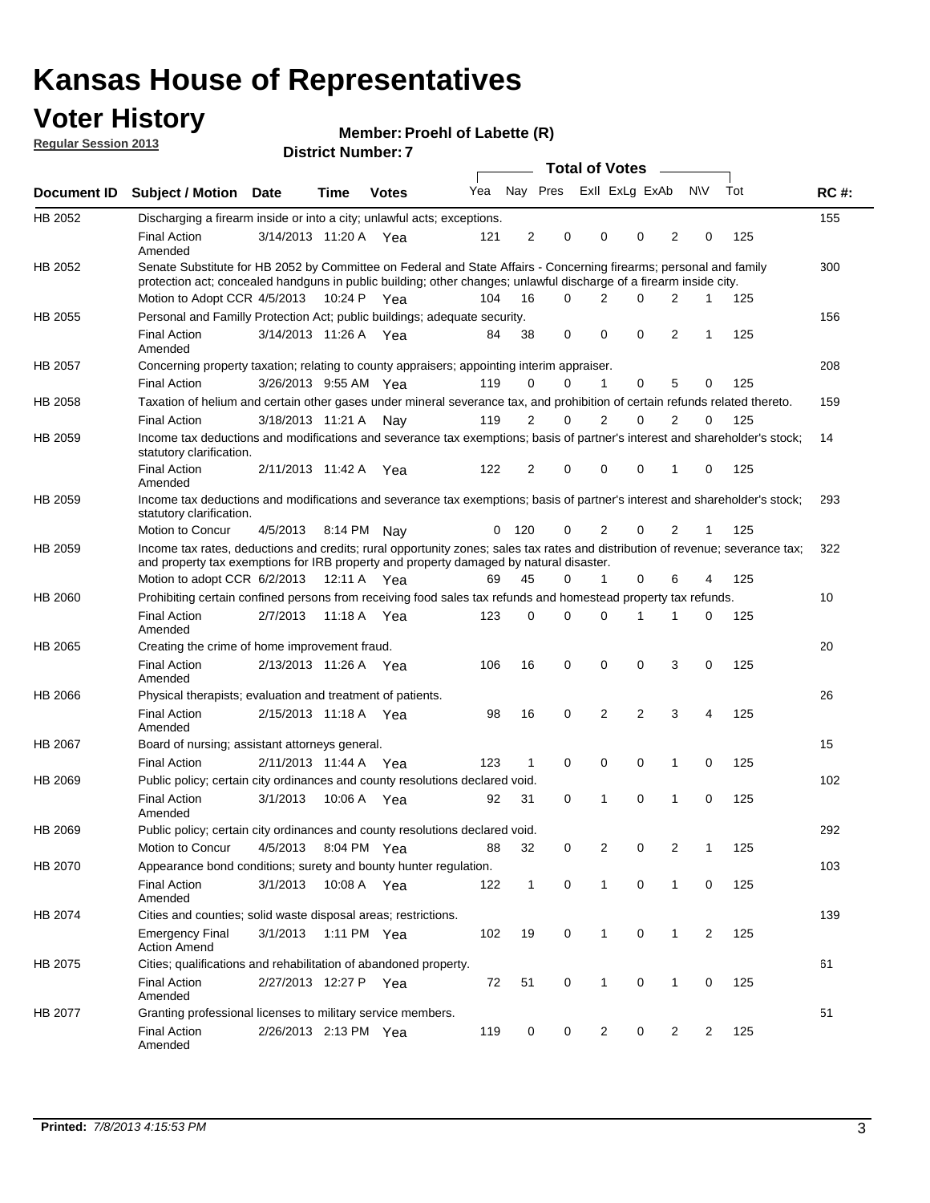### **Voter History**

**Member: Proehl of Labette (R)** 

| <b>Regular Session 2013</b> |  |
|-----------------------------|--|
|                             |  |

**Document ID Subject / Motion Date Time Votes** Yea Nay Pres ExII ExLg ExAb N\V Tot RC #: **District Number: 7 Date Votes Total of Votes Time** ExII ExLg ExAb 155 3/14/2013 Final Action Yea 125 11:20 A 121 2 0 0 20 0 HB 2052 Amended Discharging a firearm inside or into a city; unlawful acts; exceptions. 300 Motion to Adopt CCR 4/5/2013 10:24 P Yea 104 16 0 2 0 2 1 125 HB 2052 Senate Substitute for HB 2052 by Committee on Federal and State Affairs - Concerning firearms; personal and family protection act; concealed handguns in public building; other changes; unlawful discharge of a firearm inside city. 10:24 P Yea 104 16 0 2 0 2 1 156 Final Action 3/14/2013 11:26 A Yea 84 38 0 0 2 1 125 HB 2055 Amended Personal and Familly Protection Act; public buildings; adequate security. 208 Final Action 3/26/2013 9:55 AM Yea 119 0 0 1 0 5 0 125 HB 2057 Concerning property taxation; relating to county appraisers; appointing interim appraiser. 159 Final Action 3/18/2013 11:21 A Nay 119 2 0 2 0 2 0 125 HB 2058 Taxation of helium and certain other gases under mineral severance tax, and prohibition of certain refunds related thereto. 14 Final Action 2/11/2013 11:42 A Yea 122 2 0 0 1 0 125 HB 2059 Amended Income tax deductions and modifications and severance tax exemptions; basis of partner's interest and shareholder's stock; statutory clarification. 11:42 A 122 2 0 0 10 0 293 4/5/2013 Motion to Concur Nay 125 8:14 PM 0 120 0 0 21 2 HB 2059 Income tax deductions and modifications and severance tax exemptions; basis of partner's interest and shareholder's stock; statutory clarification. 322 Motion to adopt CCR 6/2/2013 12:11 A Yea 69 45 0 1 0 6 4 125 HB 2059 Income tax rates, deductions and credits; rural opportunity zones; sales tax rates and distribution of revenue; severance tax; and property tax exemptions for IRB property and property damaged by natural disaster. 10 2/7/2013 Final Action Yea 125 11:18 A 123 0 1 0 10 0 HB 2060 Amended Prohibiting certain confined persons from receiving food sales tax refunds and homestead property tax refunds. 20 2/13/2013 Final Action Yea 125 11:26 A 106 16 0 0 30 0 HB 2065 Amended Creating the crime of home improvement fraud. 26 2/15/2013 Final Action Yea 125 11:18 A 98 16 2 0 34 2 HB 2066 Amended Physical therapists; evaluation and treatment of patients. 15 2/11/2013 Final Action Yea 125 11:44 A 123 1 0 0 10 0 HB 2067 Board of nursing; assistant attorneys general. 102 3/1/2013 HB 2069 Final Action Yea 125 Amended Public policy; certain city ordinances and county resolutions declared void. 10:06 A Yea 92 31 0 1 0 1 0 292 4/5/2013 Motion to Concur Yea 125 8:04 PM 88 32 0 0 21 2 HB 2069 Public policy; certain city ordinances and county resolutions declared void. 103 3/1/2013 HB 2070 Final Action 3/1/2013 10:08 A Yea 122 1 0 1 0 125 Amended Appearance bond conditions; surety and bounty hunter regulation. 139 3/1/2013 Emergency Final Yea 125 1:11 PM 102 19 0 0 12 1 HB 2074 Action Amend Cities and counties; solid waste disposal areas; restrictions. 61 2/27/2013 Final Action Yea 125 12:27 P 72 51 0 0 10 1 HB 2075 Amended Cities; qualifications and rehabilitation of abandoned property. 51 2/26/2013 Final Action Yea 125 2:13 PM 119 0 0 0 22 2 HB 2077 Amended Granting professional licenses to military service members.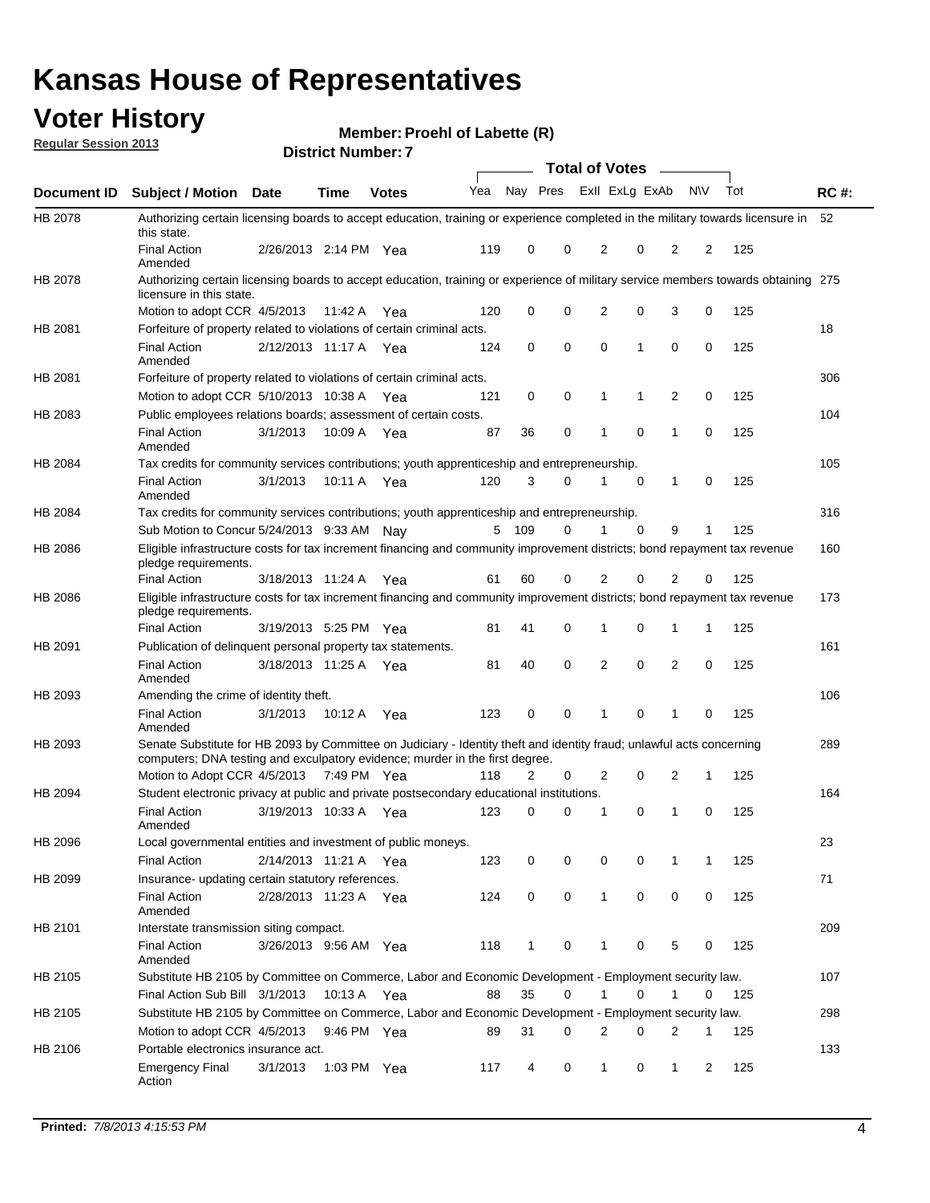## **Voter History**

**Regular Session 2013**

**Member: Proehl of Labette (R)** 

| gu.u. 0000.0.1 2010 |                                                                                                                                                                                                       |                       |         | <b>District Number: 7</b> |     |     |             |                       |                |                |                |           |     |             |
|---------------------|-------------------------------------------------------------------------------------------------------------------------------------------------------------------------------------------------------|-----------------------|---------|---------------------------|-----|-----|-------------|-----------------------|----------------|----------------|----------------|-----------|-----|-------------|
|                     |                                                                                                                                                                                                       |                       |         |                           |     |     |             | <b>Total of Votes</b> |                |                |                |           |     |             |
| Document ID         | <b>Subject / Motion</b>                                                                                                                                                                               | <b>Date</b>           | Time    | <b>Votes</b>              | Yea |     | Nay Pres    |                       |                | Exll ExLg ExAb |                | <b>NV</b> | Tot | <b>RC#:</b> |
| HB 2078             | Authorizing certain licensing boards to accept education, training or experience completed in the military towards licensure in<br>this state.                                                        |                       |         |                           |     |     |             |                       |                |                |                |           |     | 52          |
|                     | <b>Final Action</b><br>Amended                                                                                                                                                                        | 2/26/2013 2:14 PM Yea |         |                           | 119 | 0   | $\Omega$    |                       | 2              | 0              | 2              | 2         | 125 |             |
| HB 2078             | Authorizing certain licensing boards to accept education, training or experience of military service members towards obtaining 275<br>licensure in this state.                                        |                       |         |                           |     |     |             |                       |                |                |                |           |     |             |
|                     | Motion to adopt CCR 4/5/2013                                                                                                                                                                          |                       | 11:42 A | Yea                       | 120 | 0   | $\mathbf 0$ |                       | 2              | 0              | 3              | 0         | 125 |             |
| HB 2081             | Forfeiture of property related to violations of certain criminal acts.                                                                                                                                |                       |         |                           |     |     |             |                       |                |                |                |           |     | 18          |
|                     | <b>Final Action</b><br>Amended                                                                                                                                                                        | 2/12/2013 11:17 A     |         | Yea                       | 124 | 0   | 0           |                       | 0              | 1              | 0              | 0         | 125 |             |
| HB 2081             | Forfeiture of property related to violations of certain criminal acts.                                                                                                                                |                       |         |                           |     |     |             |                       |                |                |                |           |     | 306         |
|                     | Motion to adopt CCR 5/10/2013 10:38 A Yea                                                                                                                                                             |                       |         |                           | 121 | 0   | 0           |                       | 1              | 1              | $\overline{2}$ | 0         | 125 |             |
| HB 2083             | Public employees relations boards; assessment of certain costs.                                                                                                                                       |                       |         |                           |     |     |             |                       |                |                |                |           |     | 104         |
|                     | <b>Final Action</b><br>Amended                                                                                                                                                                        | 3/1/2013              | 10:09 A | Yea                       | 87  | 36  | $\mathbf 0$ |                       | 1              | $\Omega$       | $\mathbf{1}$   | 0         | 125 |             |
| HB 2084             | Tax credits for community services contributions; youth apprenticeship and entrepreneurship.                                                                                                          |                       |         |                           |     |     |             |                       |                |                |                |           |     | 105         |
|                     | <b>Final Action</b><br>Amended                                                                                                                                                                        | 3/1/2013              | 10:11 A | Yea                       | 120 | 3   | $\Omega$    |                       | 1              | 0              | $\mathbf{1}$   | 0         | 125 |             |
| HB 2084             | Tax credits for community services contributions; youth apprenticeship and entrepreneurship.                                                                                                          |                       |         |                           |     |     |             |                       |                |                |                |           |     | 316         |
|                     | Sub Motion to Concur 5/24/2013 9:33 AM Nav                                                                                                                                                            |                       |         |                           | 5   | 109 | 0           |                       | 1              | $\Omega$       | 9              | 1         | 125 |             |
| HB 2086             | Eligible infrastructure costs for tax increment financing and community improvement districts; bond repayment tax revenue<br>pledge requirements.                                                     |                       |         |                           |     |     |             |                       |                |                |                |           |     | 160         |
|                     | <b>Final Action</b>                                                                                                                                                                                   | 3/18/2013 11:24 A     |         | Yea                       | 61  | 60  | 0           |                       | 2              | 0              | 2              | 0         | 125 |             |
| HB 2086             | Eligible infrastructure costs for tax increment financing and community improvement districts; bond repayment tax revenue<br>pledge requirements.                                                     |                       |         |                           |     |     |             |                       |                |                |                |           |     | 173         |
|                     | <b>Final Action</b>                                                                                                                                                                                   | 3/19/2013 5:25 PM Yea |         |                           | 81  | 41  | 0           |                       | 1              | 0              | 1              | 1         | 125 |             |
| HB 2091             | Publication of delinquent personal property tax statements.                                                                                                                                           |                       |         |                           |     |     |             |                       |                |                |                |           |     | 161         |
|                     | <b>Final Action</b><br>Amended                                                                                                                                                                        | 3/18/2013 11:25 A Yea |         |                           | 81  | 40  | $\Omega$    |                       | $\overline{2}$ | $\Omega$       | $\overline{2}$ | 0         | 125 |             |
| HB 2093             | Amending the crime of identity theft.                                                                                                                                                                 |                       |         |                           |     |     |             |                       |                |                |                |           |     | 106         |
|                     | <b>Final Action</b><br>Amended                                                                                                                                                                        | 3/1/2013              | 10:12 A | Yea                       | 123 | 0   | $\mathbf 0$ |                       | 1              | 0              | 1              | 0         | 125 |             |
| HB 2093             | Senate Substitute for HB 2093 by Committee on Judiciary - Identity theft and identity fraud; unlawful acts concerning<br>computers; DNA testing and exculpatory evidence; murder in the first degree. |                       |         |                           |     |     |             |                       |                |                |                |           |     | 289         |
|                     | Motion to Adopt CCR 4/5/2013 7:49 PM Yea                                                                                                                                                              |                       |         |                           | 118 | 2   | 0           |                       | 2              | 0              | 2              | 1         | 125 |             |
| HB 2094             | Student electronic privacy at public and private postsecondary educational institutions.                                                                                                              |                       |         |                           |     |     |             |                       |                |                |                |           |     | 164         |
|                     | <b>Final Action</b><br>Amended                                                                                                                                                                        | 3/19/2013 10:33 A Yea |         |                           | 123 | 0   | 0           |                       | 1              | 0              | 1              | 0         | 125 |             |
| HB 2096             | Local governmental entities and investment of public moneys.                                                                                                                                          |                       |         |                           |     |     |             |                       |                |                |                |           |     | 23          |
|                     | <b>Final Action</b>                                                                                                                                                                                   | 2/14/2013 11:21 A Yea |         |                           | 123 | 0   | 0           |                       | 0              | 0              | 1              | 1         | 125 |             |
| HB 2099             | Insurance- updating certain statutory references.                                                                                                                                                     |                       |         |                           |     |     |             |                       |                |                |                |           |     | 71          |
|                     | <b>Final Action</b><br>Amended                                                                                                                                                                        | 2/28/2013 11:23 A Yea |         |                           | 124 | 0   | 0           |                       | 1              | 0              | 0              | 0         | 125 |             |
| HB 2101             | Interstate transmission siting compact.                                                                                                                                                               |                       |         |                           |     |     |             |                       |                |                |                |           |     | 209         |
|                     | <b>Final Action</b><br>Amended                                                                                                                                                                        | 3/26/2013 9:56 AM Yea |         |                           | 118 | 1   | 0           |                       | 1              | 0              | 5              | 0         | 125 |             |
| HB 2105             | Substitute HB 2105 by Committee on Commerce, Labor and Economic Development - Employment security law.                                                                                                |                       |         |                           |     |     |             |                       |                |                |                |           |     | 107         |
|                     | Final Action Sub Bill 3/1/2013                                                                                                                                                                        |                       | 10:13 A | Yea                       | 88  | 35  | 0           |                       | 1              | 0              | $\mathbf{1}$   | 0         | 125 |             |
| HB 2105             | Substitute HB 2105 by Committee on Commerce, Labor and Economic Development - Employment security law.                                                                                                |                       |         |                           |     |     |             |                       |                |                |                |           |     | 298         |
|                     | Motion to adopt CCR 4/5/2013                                                                                                                                                                          |                       |         | 9:46 PM Yea               | 89  | 31  | 0           |                       | 2              | 0              | 2              | 1         | 125 |             |
| HB 2106             | Portable electronics insurance act.                                                                                                                                                                   |                       |         |                           |     |     |             |                       |                |                |                |           |     | 133         |
|                     | <b>Emergency Final</b><br>Action                                                                                                                                                                      | 3/1/2013              |         | 1:03 PM Yea               | 117 | 4   | 0           |                       | $\mathbf{1}$   | 0              | 1              | 2         | 125 |             |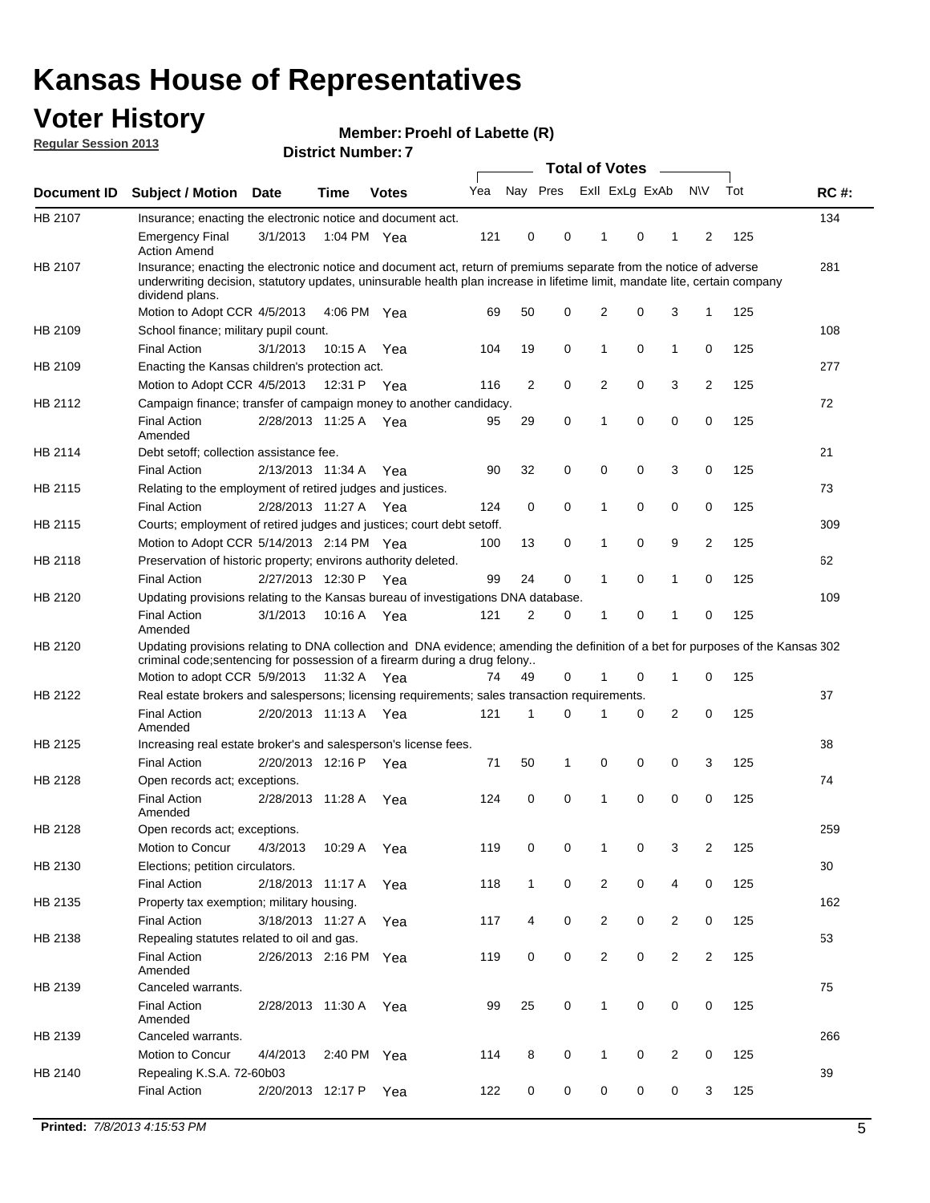## **Voter History**

**Member: Proehl of Labette (R)** 

**Regular Session 2013**

|                    |                                                                                                                                                                                                                                                                      |                       | <b>DISTILL MUILIDEL.</b> |              |     |              | Total of Votes – |                |          |                |                |     |             |
|--------------------|----------------------------------------------------------------------------------------------------------------------------------------------------------------------------------------------------------------------------------------------------------------------|-----------------------|--------------------------|--------------|-----|--------------|------------------|----------------|----------|----------------|----------------|-----|-------------|
| <b>Document ID</b> | <b>Subject / Motion</b>                                                                                                                                                                                                                                              | Date                  | <b>Time</b>              | <b>Votes</b> | Yea | Nay Pres     |                  | Exll ExLg ExAb |          |                | <b>NV</b>      | Tot | <b>RC#:</b> |
| HB 2107            | Insurance; enacting the electronic notice and document act.                                                                                                                                                                                                          |                       |                          |              |     |              |                  |                |          |                |                |     | 134         |
|                    | <b>Emergency Final</b><br><b>Action Amend</b>                                                                                                                                                                                                                        | 3/1/2013              |                          | 1:04 PM Yea  | 121 | 0            | 0                | $\mathbf 1$    | 0        | 1              | 2              | 125 |             |
| HB 2107            | Insurance; enacting the electronic notice and document act, return of premiums separate from the notice of adverse<br>underwriting decision, statutory updates, uninsurable health plan increase in lifetime limit, mandate lite, certain company<br>dividend plans. |                       |                          |              |     |              |                  |                |          |                |                |     | 281         |
|                    | Motion to Adopt CCR 4/5/2013                                                                                                                                                                                                                                         |                       |                          | 4:06 PM Yea  | 69  | 50           | 0                | 2              | 0        | 3              | 1              | 125 |             |
| HB 2109            | School finance; military pupil count.                                                                                                                                                                                                                                |                       |                          |              |     |              |                  |                |          |                |                |     | 108         |
|                    | <b>Final Action</b>                                                                                                                                                                                                                                                  | 3/1/2013              | 10:15 A                  | Yea          | 104 | 19           | 0                | 1              | 0        | $\mathbf{1}$   | 0              | 125 |             |
| HB 2109            | Enacting the Kansas children's protection act.                                                                                                                                                                                                                       |                       |                          |              |     |              |                  |                |          |                |                |     | 277         |
|                    | Motion to Adopt CCR 4/5/2013                                                                                                                                                                                                                                         |                       | 12:31 P Yea              |              | 116 | 2            | 0                | 2              | 0        | 3              | 2              | 125 |             |
| HB 2112            | Campaign finance; transfer of campaign money to another candidacy.                                                                                                                                                                                                   |                       |                          |              |     |              |                  |                |          |                |                |     | 72          |
|                    | <b>Final Action</b><br>Amended                                                                                                                                                                                                                                       | 2/28/2013 11:25 A Yea |                          |              | 95  | 29           | 0                | 1              | 0        | 0              | 0              | 125 |             |
| HB 2114            | Debt setoff; collection assistance fee.                                                                                                                                                                                                                              |                       |                          |              |     |              |                  |                |          |                |                |     | 21          |
|                    | <b>Final Action</b>                                                                                                                                                                                                                                                  | 2/13/2013 11:34 A     |                          | Yea          | 90  | 32           | 0                | 0              | 0        | 3              | 0              | 125 |             |
| HB 2115            | Relating to the employment of retired judges and justices.                                                                                                                                                                                                           |                       |                          |              |     |              |                  |                |          |                |                |     | 73          |
|                    | <b>Final Action</b>                                                                                                                                                                                                                                                  | 2/28/2013 11:27 A     |                          | Yea          | 124 | 0            | 0                | 1              | 0        | 0              | 0              | 125 |             |
| HB 2115            | Courts; employment of retired judges and justices; court debt setoff.                                                                                                                                                                                                |                       |                          |              |     |              |                  |                |          |                |                |     | 309         |
|                    | Motion to Adopt CCR 5/14/2013 2:14 PM Yea                                                                                                                                                                                                                            |                       |                          |              | 100 | 13           | 0                | 1              | 0        | 9              | $\overline{2}$ | 125 |             |
| HB 2118            | Preservation of historic property; environs authority deleted.                                                                                                                                                                                                       |                       |                          |              |     |              |                  |                |          |                |                |     | 62          |
|                    | <b>Final Action</b>                                                                                                                                                                                                                                                  | 2/27/2013 12:30 P     |                          | Yea          | 99  | 24           | 0                | 1              | 0        | 1              | 0              | 125 |             |
| HB 2120            | Updating provisions relating to the Kansas bureau of investigations DNA database.                                                                                                                                                                                    |                       |                          |              |     |              |                  |                |          |                |                |     | 109         |
|                    | <b>Final Action</b><br>Amended                                                                                                                                                                                                                                       | 3/1/2013              | 10:16 A Yea              |              | 121 | 2            | 0                | 1              | 0        | 1              | 0              | 125 |             |
| HB 2120            | Updating provisions relating to DNA collection and DNA evidence; amending the definition of a bet for purposes of the Kansas 302<br>criminal code; sentencing for possession of a firearm during a drug felony                                                       |                       |                          |              |     |              |                  |                |          |                |                |     |             |
|                    | Motion to adopt CCR 5/9/2013 11:32 A Yea                                                                                                                                                                                                                             |                       |                          |              | 74  | 49           | 0                |                | 0        | 1              | 0              | 125 |             |
| HB 2122            | Real estate brokers and salespersons; licensing requirements; sales transaction requirements.                                                                                                                                                                        |                       |                          |              |     |              |                  |                |          |                |                |     | 37          |
|                    | <b>Final Action</b><br>Amended                                                                                                                                                                                                                                       | 2/20/2013 11:13 A Yea |                          |              | 121 | 1            | $\Omega$         |                | 0        | 2              | 0              | 125 |             |
| HB 2125            | Increasing real estate broker's and salesperson's license fees.                                                                                                                                                                                                      |                       |                          |              |     |              |                  |                |          |                |                |     | 38          |
|                    | <b>Final Action</b>                                                                                                                                                                                                                                                  | 2/20/2013 12:16 P     |                          | Yea          | 71  | 50           | 1                | 0              | 0        | 0              | 3              | 125 |             |
| HB 2128            | Open records act; exceptions.                                                                                                                                                                                                                                        |                       |                          |              |     |              |                  |                |          |                |                |     | 74          |
|                    | <b>Final Action</b><br>Amended                                                                                                                                                                                                                                       | 2/28/2013 11:28 A     |                          | Yea          | 124 | 0            | 0                | 1              | $\Omega$ | 0              | 0              | 125 |             |
| HB 2128            | Open records act; exceptions.                                                                                                                                                                                                                                        |                       |                          |              |     |              |                  |                |          |                |                |     | 259         |
|                    | Motion to Concur                                                                                                                                                                                                                                                     | 4/3/2013              | 10:29 A                  | Yea          | 119 | 0            | 0                |                | 0        | 3              | 2              | 125 |             |
| HB 2130            | Elections; petition circulators.                                                                                                                                                                                                                                     |                       |                          |              |     |              |                  |                |          |                |                |     | 30          |
|                    | <b>Final Action</b>                                                                                                                                                                                                                                                  | 2/18/2013 11:17 A     |                          | Yea          | 118 | $\mathbf{1}$ | 0                | 2              | 0        | 4              | 0              | 125 |             |
| HB 2135            | Property tax exemption; military housing.                                                                                                                                                                                                                            |                       |                          |              |     |              |                  |                |          |                |                |     | 162         |
|                    | <b>Final Action</b>                                                                                                                                                                                                                                                  | 3/18/2013 11:27 A     |                          | Yea          | 117 | 4            | 0                | 2              | 0        | $\overline{2}$ | 0              | 125 |             |
| HB 2138            | Repealing statutes related to oil and gas.                                                                                                                                                                                                                           |                       |                          |              |     |              |                  |                |          |                |                |     | 53          |
|                    | <b>Final Action</b><br>Amended                                                                                                                                                                                                                                       | 2/26/2013 2:16 PM Yea |                          |              | 119 | 0            | 0                | 2              | 0        | $\overline{2}$ | 2              | 125 |             |
| HB 2139            | Canceled warrants.                                                                                                                                                                                                                                                   |                       |                          |              |     |              |                  |                |          |                |                |     | 75          |
|                    | <b>Final Action</b><br>Amended                                                                                                                                                                                                                                       | 2/28/2013 11:30 A     |                          | Yea          | 99  | 25           | 0                | 1              | 0        | 0              | 0              | 125 |             |
| HB 2139            | Canceled warrants.                                                                                                                                                                                                                                                   |                       |                          |              |     |              |                  |                |          |                |                |     | 266         |
|                    | Motion to Concur                                                                                                                                                                                                                                                     | 4/4/2013              | 2:40 PM                  | Yea          | 114 | 8            | 0                | 1              | 0        | 2              | 0              | 125 |             |
| HB 2140            | Repealing K.S.A. 72-60b03                                                                                                                                                                                                                                            |                       |                          |              |     |              |                  |                |          |                |                |     | 39          |
|                    | <b>Final Action</b>                                                                                                                                                                                                                                                  | 2/20/2013 12:17 P     |                          | Yea          | 122 | 0            | 0                | 0              | 0        | 0              | 3              | 125 |             |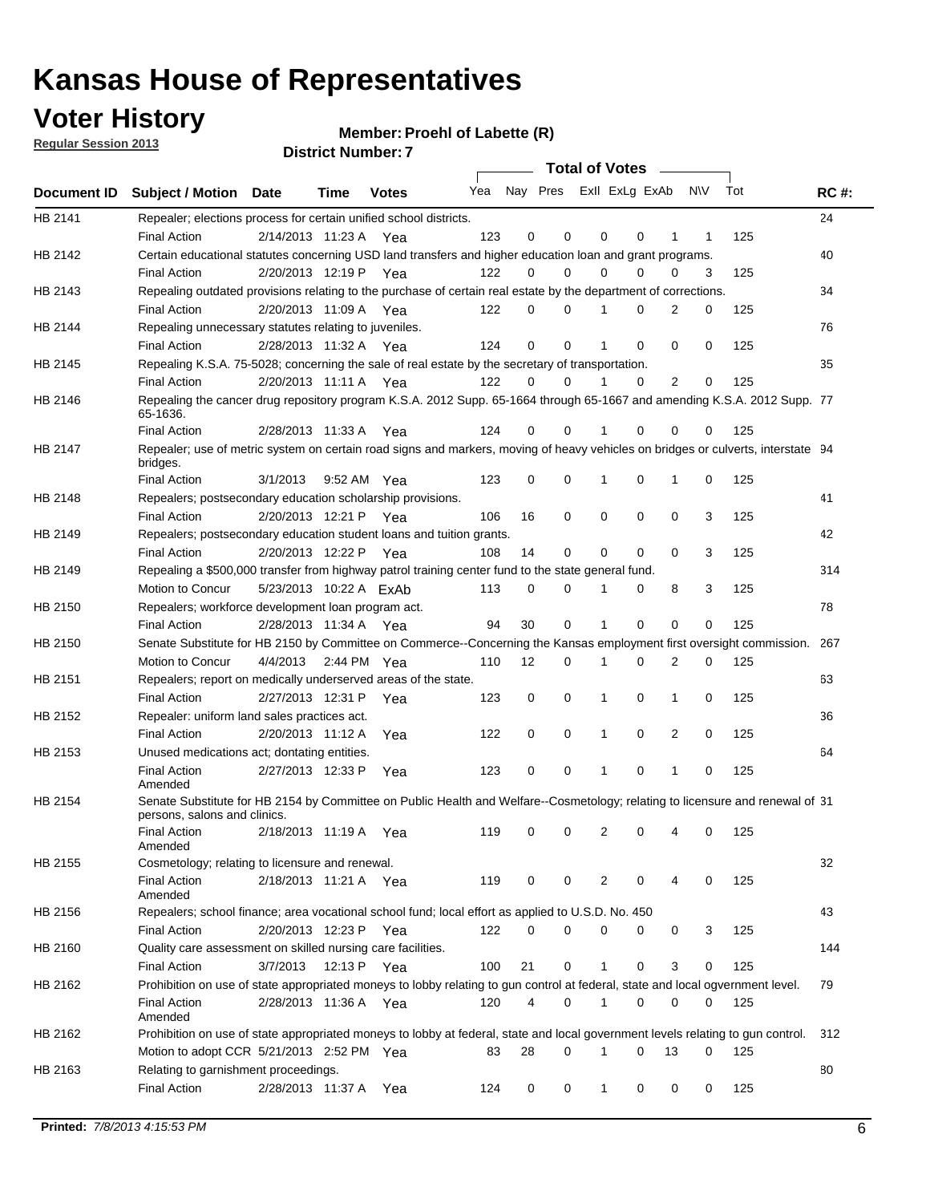**Voter History** 

**Member: Proehl of Labette (R)** 

**Regular Session 2013**

|             | ו וסעוווטנ ועשוווע <del>ט</del> ו<br>Total of Votes –                                                                                                                                    |                                   |             |              |            |                         |          |          |          |                |           |            |             |
|-------------|------------------------------------------------------------------------------------------------------------------------------------------------------------------------------------------|-----------------------------------|-------------|--------------|------------|-------------------------|----------|----------|----------|----------------|-----------|------------|-------------|
| Document ID | Subject / Motion Date                                                                                                                                                                    |                                   | <b>Time</b> | <b>Votes</b> | Yea        | Nay Pres Exll ExLg ExAb |          |          |          |                | <b>NV</b> | Tot        | <b>RC#:</b> |
| HB 2141     | Repealer; elections process for certain unified school districts.<br><b>Final Action</b>                                                                                                 | 2/14/2013 11:23 A Yea             |             |              | 123        | 0                       | 0        | 0        | 0        | 1              | 1         | 125        | 24          |
| HB 2142     | Certain educational statutes concerning USD land transfers and higher education loan and grant programs.<br><b>Final Action</b>                                                          | 2/20/2013 12:19 P Yea             |             |              | 122        | 0                       | 0        | $\Omega$ | 0        | $\Omega$       | 3         | 125        | 40          |
| HB 2143     | Repealing outdated provisions relating to the purchase of certain real estate by the department of corrections.<br><b>Final Action</b>                                                   | 2/20/2013 11:09 A Yea             |             |              | 122        | 0                       | 0        |          | 0        | 2              | 0         | 125        | 34          |
| HB 2144     | Repealing unnecessary statutes relating to juveniles.<br><b>Final Action</b>                                                                                                             | 2/28/2013 11:32 A Yea             |             |              | 124        | $\mathbf 0$             | 0        | 1        | 0        | $\Omega$       | 0         | 125        | 76          |
| HB 2145     | Repealing K.S.A. 75-5028; concerning the sale of real estate by the secretary of transportation.<br><b>Final Action</b>                                                                  | 2/20/2013 11:11 A Yea             |             |              | 122        | 0                       | $\Omega$ |          | $\Omega$ | $\overline{2}$ | 0         | 125        | 35          |
| HB 2146     | Repealing the cancer drug repository program K.S.A. 2012 Supp. 65-1664 through 65-1667 and amending K.S.A. 2012 Supp. 77<br>65-1636.<br><b>Final Action</b>                              | 2/28/2013 11:33 A                 |             | Yea          | 124        | 0                       | 0        |          | 0        | 0              | 0         | 125        |             |
| HB 2147     | Repealer; use of metric system on certain road signs and markers, moving of heavy vehicles on bridges or culverts, interstate 94<br>bridges.                                             |                                   |             |              |            |                         |          |          |          |                |           |            |             |
| HB 2148     | <b>Final Action</b><br>Repealers; postsecondary education scholarship provisions.<br><b>Final Action</b>                                                                                 | 3/1/2013<br>2/20/2013 12:21 P Yea |             | 9:52 AM Yea  | 123<br>106 | 0<br>16                 | 0<br>0   | 0        | 0<br>0   | 1<br>0         | 0<br>3    | 125<br>125 | 41          |
| HB 2149     | Repealers; postsecondary education student loans and tuition grants.<br><b>Final Action</b>                                                                                              | 2/20/2013 12:22 P                 |             | Yea          | 108        | 14                      | 0        | 0        | 0        | 0              | 3         | 125        | 42          |
| HB 2149     | Repealing a \$500,000 transfer from highway patrol training center fund to the state general fund.<br>Motion to Concur                                                                   | 5/23/2013 10:22 A ExAb            |             |              | 113        | 0                       | 0        | 1        | 0        | 8              | 3         | 125        | 314         |
| HB 2150     | Repealers; workforce development loan program act.<br><b>Final Action</b>                                                                                                                | 2/28/2013 11:34 A Yea             |             |              | 94         | 30                      | 0        | 1        | $\Omega$ | 0              | 0         | 125        | 78          |
| HB 2150     | Senate Substitute for HB 2150 by Committee on Commerce--Concerning the Kansas employment first oversight commission.<br>Motion to Concur                                                 | 4/4/2013 2:44 PM Yea              |             |              | 110        | 12                      | 0        | 1        | 0        | 2              | 0         | 125        | 267         |
| HB 2151     | Repealers; report on medically underserved areas of the state.<br><b>Final Action</b>                                                                                                    | 2/27/2013 12:31 P                 |             | Yea          | 123        | 0                       | 0        | 1        | 0        | 1              | 0         | 125        | 63          |
| HB 2152     | Repealer: uniform land sales practices act.<br><b>Final Action</b>                                                                                                                       | 2/20/2013 11:12 A                 |             | Yea          | 122        | 0                       | 0        | 1        | 0        | 2              | 0         | 125        | 36          |
| HB 2153     | Unused medications act; dontating entities.<br><b>Final Action</b>                                                                                                                       | 2/27/2013 12:33 P                 |             | Yea          | 123        | 0                       | 0        | 1        | 0        | 1              | 0         | 125        | 64          |
| HB 2154     | Amended<br>Senate Substitute for HB 2154 by Committee on Public Health and Welfare--Cosmetology; relating to licensure and renewal of 31<br>persons, salons and clinics.<br>Final Action | 2/18/2013 11:19 A Yea             |             |              | 119        | 0                       | 0        | 2        | 0        | 4              | 0         | 125        |             |
| HB 2155     | Amended<br>Cosmetology; relating to licensure and renewal.                                                                                                                               |                                   |             |              |            |                         |          |          |          |                |           |            | 32          |
|             | <b>Final Action</b><br>Amended                                                                                                                                                           | 2/18/2013 11:21 A Yea             |             |              | 119        | 0                       | 0        | 2        | 0        | 4              | 0         | 125        |             |
| HB 2156     | Repealers; school finance; area vocational school fund; local effort as applied to U.S.D. No. 450<br><b>Final Action</b>                                                                 | 2/20/2013 12:23 P                 |             | Yea          | 122        | 0                       | 0        | 0        | 0        | 0              | 3         | 125        | 43          |
| HB 2160     | Quality care assessment on skilled nursing care facilities.<br><b>Final Action</b>                                                                                                       | 3/7/2013                          | 12:13 P     | Yea          | 100        | 21                      | 0        | 1        | 0        | 3              | 0         | 125        | 144         |
| HB 2162     | Prohibition on use of state appropriated moneys to lobby relating to gun control at federal, state and local ogvernment level.<br><b>Final Action</b><br>Amended                         | 2/28/2013 11:36 A Yea             |             |              | 120        | 4                       | 0        | 1        | 0        | 0              | 0         | 125        | 79          |
| HB 2162     | Prohibition on use of state appropriated moneys to lobby at federal, state and local government levels relating to gun control.<br>Motion to adopt CCR 5/21/2013 2:52 PM Yea             |                                   |             |              | 83         | 28                      | 0        | 1        | 0        | 13             | 0         | 125        | 312         |
| HB 2163     | Relating to garnishment proceedings.<br><b>Final Action</b>                                                                                                                              | 2/28/2013 11:37 A                 |             | Yea          | 124        | 0                       | 0        | 1        | 0        | 0              | 0         | 125        | 80          |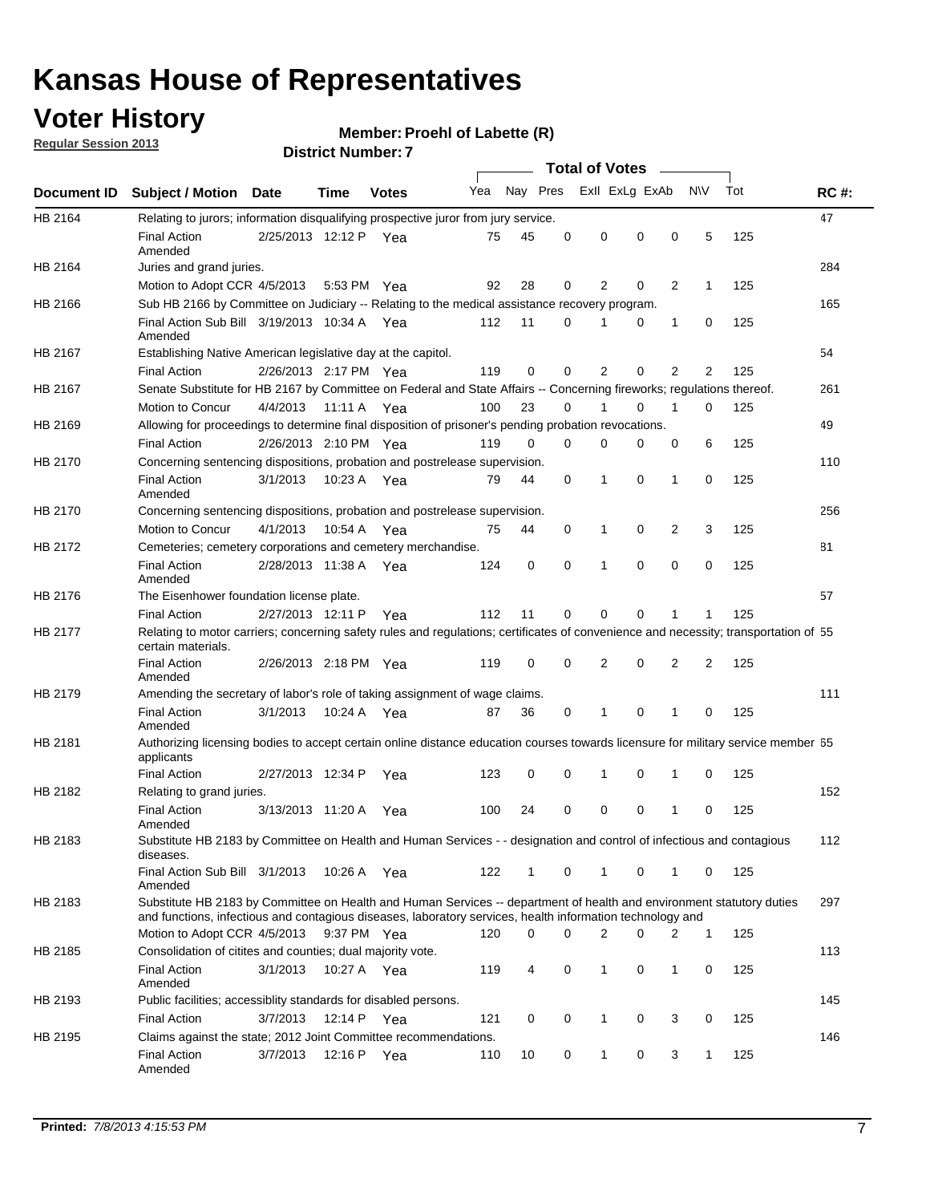## **Voter History**

**Member: Proehl of Labette (R)** 

**Regular Session 2013**

|             |                                                                                                                                                                                                                                    |                       |             |              |     |          |          | <b>Total of Votes</b> |   |                |              |     |             |
|-------------|------------------------------------------------------------------------------------------------------------------------------------------------------------------------------------------------------------------------------------|-----------------------|-------------|--------------|-----|----------|----------|-----------------------|---|----------------|--------------|-----|-------------|
| Document ID | Subject / Motion Date                                                                                                                                                                                                              |                       | Time        | <b>Votes</b> | Yea | Nay Pres |          | Exll ExLg ExAb        |   |                | <b>NV</b>    | Tot | <b>RC#:</b> |
| HB 2164     | Relating to jurors; information disqualifying prospective juror from jury service.                                                                                                                                                 |                       |             |              |     |          |          |                       |   |                |              |     | 47          |
|             | <b>Final Action</b>                                                                                                                                                                                                                | 2/25/2013 12:12 P Yea |             |              | 75  | 45       | 0        | 0                     | 0 | 0              | 5            | 125 |             |
|             | Amended                                                                                                                                                                                                                            |                       |             |              |     |          |          |                       |   |                |              |     |             |
| HB 2164     | Juries and grand juries.                                                                                                                                                                                                           |                       |             |              |     |          |          |                       |   |                |              |     | 284         |
|             | Motion to Adopt CCR 4/5/2013                                                                                                                                                                                                       |                       |             | 5:53 PM Yea  | 92  | 28       | 0        | 2                     | 0 | 2              | $\mathbf{1}$ | 125 |             |
| HB 2166     | Sub HB 2166 by Committee on Judiciary -- Relating to the medical assistance recovery program.                                                                                                                                      |                       |             |              |     |          |          |                       |   |                |              |     | 165         |
|             | Final Action Sub Bill 3/19/2013 10:34 A Yea<br>Amended                                                                                                                                                                             |                       |             |              | 112 | 11       | 0        |                       | 0 | 1              | 0            | 125 |             |
| HB 2167     | Establishing Native American legislative day at the capitol.                                                                                                                                                                       |                       |             |              |     |          |          |                       |   |                |              |     | 54          |
|             | <b>Final Action</b>                                                                                                                                                                                                                | 2/26/2013 2:17 PM Yea |             |              | 119 | 0        | 0        | 2                     | 0 | $\overline{2}$ | 2            | 125 |             |
| HB 2167     | Senate Substitute for HB 2167 by Committee on Federal and State Affairs -- Concerning fireworks; regulations thereof.                                                                                                              |                       |             |              |     |          |          |                       |   |                |              |     | 261         |
|             | Motion to Concur                                                                                                                                                                                                                   | 4/4/2013 11:11 A Yea  |             |              | 100 | 23       | $\Omega$ |                       | 0 | 1              | $\Omega$     | 125 |             |
| HB 2169     | Allowing for proceedings to determine final disposition of prisoner's pending probation revocations.                                                                                                                               |                       |             |              |     |          |          |                       |   |                |              |     | 49          |
|             | <b>Final Action</b>                                                                                                                                                                                                                | 2/26/2013 2:10 PM Yea |             |              | 119 | $\Omega$ | $\Omega$ | $\Omega$              | 0 | 0              | 6            | 125 |             |
| HB 2170     | Concerning sentencing dispositions, probation and postrelease supervision.                                                                                                                                                         |                       |             |              |     |          |          |                       |   |                |              |     | 110         |
|             | <b>Final Action</b><br>Amended                                                                                                                                                                                                     | 3/1/2013              | 10:23 A Yea |              | 79  | 44       | 0        | 1                     | 0 | $\mathbf{1}$   | 0            | 125 |             |
| HB 2170     | Concerning sentencing dispositions, probation and postrelease supervision.                                                                                                                                                         |                       |             |              |     |          |          |                       |   |                |              |     | 256         |
|             | Motion to Concur                                                                                                                                                                                                                   | 4/1/2013              | 10:54 A     | Yea          | 75  | 44       | 0        | 1                     | 0 | 2              | 3            | 125 |             |
| HB 2172     | Cemeteries; cemetery corporations and cemetery merchandise.                                                                                                                                                                        |                       |             |              |     |          |          |                       |   |                |              |     | 81          |
|             | <b>Final Action</b><br>Amended                                                                                                                                                                                                     | 2/28/2013 11:38 A     |             | Yea          | 124 | 0        | 0        | 1                     | 0 | 0              | 0            | 125 |             |
| HB 2176     | The Eisenhower foundation license plate.                                                                                                                                                                                           |                       |             |              |     |          |          |                       |   |                |              |     | 57          |
|             | <b>Final Action</b>                                                                                                                                                                                                                | 2/27/2013 12:11 P     |             | Yea          | 112 | 11       | 0        | 0                     | 0 |                |              | 125 |             |
| HB 2177     | Relating to motor carriers; concerning safety rules and regulations; certificates of convenience and necessity; transportation of 55<br>certain materials.                                                                         |                       |             |              |     |          |          |                       |   |                |              |     |             |
|             | <b>Final Action</b><br>Amended                                                                                                                                                                                                     | 2/26/2013 2:18 PM Yea |             |              | 119 | 0        | 0        | 2                     | 0 | 2              | 2            | 125 |             |
| HB 2179     | Amending the secretary of labor's role of taking assignment of wage claims.                                                                                                                                                        |                       |             |              |     |          |          |                       |   |                |              |     | 111         |
|             | <b>Final Action</b><br>Amended                                                                                                                                                                                                     | 3/1/2013              |             | 10:24 A Yea  | 87  | 36       | 0        | 1                     | 0 | 1              | 0            | 125 |             |
| HB 2181     | Authorizing licensing bodies to accept certain online distance education courses towards licensure for military service member 55<br>applicants                                                                                    |                       |             |              |     |          |          |                       |   |                |              |     |             |
|             | <b>Final Action</b>                                                                                                                                                                                                                | 2/27/2013 12:34 P     |             | Yea          | 123 | 0        | 0        | 1                     | 0 | 1              | 0            | 125 |             |
| HB 2182     | Relating to grand juries.                                                                                                                                                                                                          |                       |             |              |     |          |          |                       |   |                |              |     | 152         |
|             | <b>Final Action</b><br>Amended                                                                                                                                                                                                     | 3/13/2013 11:20 A     |             | Yea          | 100 | 24       | 0        | 0                     | 0 | 1              | 0            | 125 |             |
| HB 2183     | Substitute HB 2183 by Committee on Health and Human Services - - designation and control of infectious and contagious<br>diseases.                                                                                                 |                       |             |              |     |          |          |                       |   |                |              |     | 112         |
|             | Final Action Sub Bill 3/1/2013<br>Amended                                                                                                                                                                                          |                       |             | 10:26 A Yea  | 122 | 1        | 0        | $\mathbf{1}$          | 0 | 1              | 0            | 125 |             |
| HB 2183     | Substitute HB 2183 by Committee on Health and Human Services -- department of health and environment statutory duties<br>and functions, infectious and contagious diseases, laboratory services, health information technology and |                       |             |              |     |          |          |                       |   |                |              |     | 297         |
|             | Motion to Adopt CCR 4/5/2013                                                                                                                                                                                                       |                       |             | 9:37 PM Yea  | 120 | 0        | $\Omega$ | 2                     | 0 | 2              | $\mathbf{1}$ | 125 |             |
| HB 2185     | Consolidation of citites and counties; dual majority vote.                                                                                                                                                                         |                       |             |              |     |          |          |                       |   |                |              |     | 113         |
|             | <b>Final Action</b><br>Amended                                                                                                                                                                                                     | 3/1/2013              |             | 10:27 A Yea  | 119 | 4        | 0        | 1                     | 0 | 1              | 0            | 125 |             |
| HB 2193     | Public facilities; accessiblity standards for disabled persons.                                                                                                                                                                    |                       |             |              |     |          |          |                       |   |                |              |     | 145         |
|             | <b>Final Action</b>                                                                                                                                                                                                                | 3/7/2013              | 12:14 P Yea |              | 121 | 0        | 0        | 1                     | 0 | 3              | 0            | 125 |             |
| HB 2195     | Claims against the state; 2012 Joint Committee recommendations.                                                                                                                                                                    |                       |             |              |     |          |          |                       |   |                |              |     | 146         |
|             | <b>Final Action</b><br>Amended                                                                                                                                                                                                     | 3/7/2013              | 12:16 P Yea |              | 110 | 10       | 0        | $\mathbf{1}$          | 0 | 3              | $\mathbf{1}$ | 125 |             |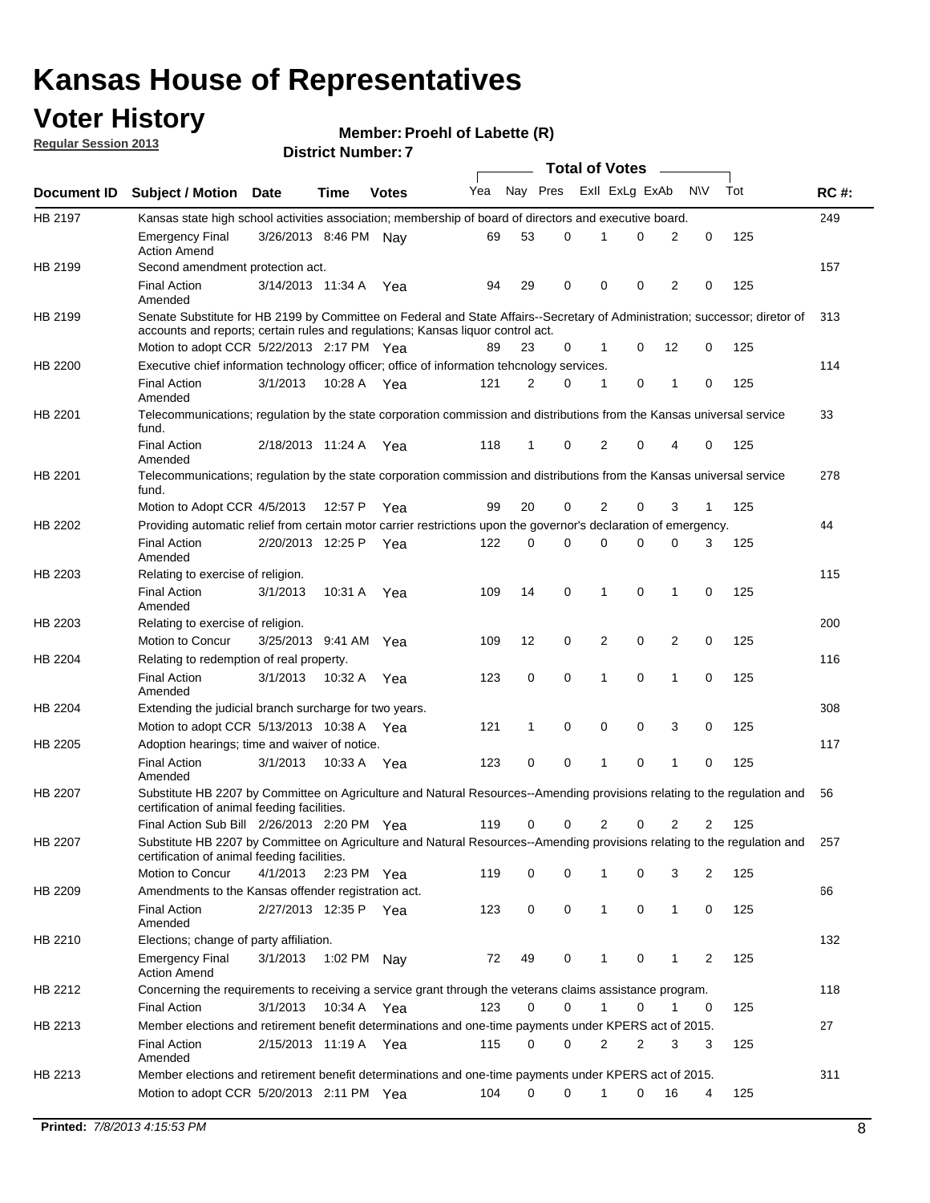## **Voter History**

**Member: Proehl of Labette (R)** 

**Regular Session 2013**

|             |                                                                                                                                                                             |                       |             |              |     |             |          | <b>Total of Votes</b> |   |                |              |     |             |
|-------------|-----------------------------------------------------------------------------------------------------------------------------------------------------------------------------|-----------------------|-------------|--------------|-----|-------------|----------|-----------------------|---|----------------|--------------|-----|-------------|
| Document ID | <b>Subject / Motion Date</b>                                                                                                                                                |                       | Time        | <b>Votes</b> | Yea | Nay Pres    |          | Exll ExLg ExAb        |   |                | <b>NV</b>    | Tot | <b>RC#:</b> |
| HB 2197     | Kansas state high school activities association; membership of board of directors and executive board.                                                                      |                       |             |              |     |             |          |                       |   |                |              |     | 249         |
|             | <b>Emergency Final</b><br><b>Action Amend</b>                                                                                                                               | 3/26/2013 8:46 PM Nay |             |              | 69  | 53          | 0        |                       | 0 | 2              | 0            | 125 |             |
| HB 2199     | Second amendment protection act.                                                                                                                                            |                       |             |              |     |             |          |                       |   |                |              |     | 157         |
|             | <b>Final Action</b><br>Amended                                                                                                                                              | 3/14/2013 11:34 A     |             | Yea          | 94  | 29          | 0        | 0                     | 0 | 2              | 0            | 125 |             |
| HB 2199     | Senate Substitute for HB 2199 by Committee on Federal and State Affairs--Secretary of Administration; successor; diretor of                                                 |                       |             |              |     |             |          |                       |   |                |              |     | 313         |
|             | accounts and reports; certain rules and regulations; Kansas liguor control act.                                                                                             |                       |             |              |     |             |          |                       |   |                |              |     |             |
|             | Motion to adopt CCR 5/22/2013 2:17 PM Yea                                                                                                                                   |                       |             |              | 89  | 23          | 0        | 1                     | 0 | 12             | 0            | 125 |             |
| HB 2200     | Executive chief information technology officer; office of information tehcnology services.                                                                                  |                       |             |              |     |             |          |                       |   |                |              |     | 114         |
|             | <b>Final Action</b><br>Amended                                                                                                                                              | 3/1/2013              | 10:28 A     | Yea          | 121 | 2           | 0        | 1                     | 0 | 1              | 0            | 125 |             |
| HB 2201     | Telecommunications; regulation by the state corporation commission and distributions from the Kansas universal service<br>fund.                                             |                       |             |              |     |             |          |                       |   |                |              |     | 33          |
|             | <b>Final Action</b><br>Amended                                                                                                                                              | 2/18/2013 11:24 A     |             | Yea          | 118 | 1           | 0        | 2                     | 0 | 4              | 0            | 125 |             |
| HB 2201     | Telecommunications; regulation by the state corporation commission and distributions from the Kansas universal service<br>fund.                                             |                       |             |              |     |             |          |                       |   |                |              |     | 278         |
|             | Motion to Adopt CCR 4/5/2013                                                                                                                                                |                       | 12:57 P     | Yea          | 99  | 20          | 0        | 2                     | 0 | 3              | $\mathbf{1}$ | 125 |             |
| HB 2202     | Providing automatic relief from certain motor carrier restrictions upon the governor's declaration of emergency.                                                            |                       |             |              |     |             |          |                       |   |                |              |     | 44          |
|             | <b>Final Action</b><br>Amended                                                                                                                                              | 2/20/2013 12:25 P     |             | Yea          | 122 | 0           | 0        | 0                     | 0 | 0              | 3            | 125 |             |
| HB 2203     | Relating to exercise of religion.                                                                                                                                           |                       |             |              |     |             |          |                       |   |                |              |     | 115         |
|             | <b>Final Action</b><br>Amended                                                                                                                                              | 3/1/2013              | 10:31 A     | Yea          | 109 | 14          | 0        | 1                     | 0 | 1              | 0            | 125 |             |
| HB 2203     | Relating to exercise of religion.                                                                                                                                           |                       |             |              |     |             |          |                       |   |                |              |     | 200         |
|             | Motion to Concur                                                                                                                                                            | 3/25/2013 9:41 AM     |             | Yea          | 109 | 12          | 0        | 2                     | 0 | 2              | 0            | 125 |             |
| HB 2204     | Relating to redemption of real property.                                                                                                                                    |                       |             |              |     |             |          |                       |   |                |              |     | 116         |
|             | <b>Final Action</b><br>Amended                                                                                                                                              | 3/1/2013              | 10:32 A     | Yea          | 123 | $\mathbf 0$ | 0        | 1                     | 0 | $\mathbf{1}$   | 0            | 125 |             |
| HB 2204     | Extending the judicial branch surcharge for two years.                                                                                                                      |                       |             |              |     |             |          |                       |   |                |              |     | 308         |
|             | Motion to adopt CCR 5/13/2013 10:38 A Yea                                                                                                                                   |                       |             |              | 121 | 1           | 0        | 0                     | 0 | 3              | 0            | 125 |             |
| HB 2205     | Adoption hearings; time and waiver of notice.                                                                                                                               |                       |             |              |     |             |          |                       |   |                |              |     | 117         |
|             | <b>Final Action</b><br>Amended                                                                                                                                              | 3/1/2013              |             | 10:33 A Yea  | 123 | 0           | 0        | 1                     | 0 | 1              | 0            | 125 |             |
| HB 2207     | Substitute HB 2207 by Committee on Agriculture and Natural Resources--Amending provisions relating to the regulation and<br>certification of animal feeding facilities.     |                       |             |              |     |             |          |                       |   |                |              |     | 56          |
|             | Final Action Sub Bill 2/26/2013 2:20 PM Yea                                                                                                                                 |                       |             |              | 119 | 0           | 0        | 2                     | 0 | $\overline{2}$ | 2            | 125 |             |
| HB 2207     | Substitute HB 2207 by Committee on Agriculture and Natural Resources--Amending provisions relating to the regulation and 257<br>certification of animal feeding facilities. |                       |             |              |     |             |          |                       |   |                |              |     |             |
|             | Motion to Concur                                                                                                                                                            | 4/1/2013              | 2:23 PM Yea |              | 119 | 0           | 0        | 1                     | 0 | 3              | 2            | 125 |             |
| HB 2209     | Amendments to the Kansas offender registration act.                                                                                                                         |                       |             |              |     |             |          |                       |   |                |              |     | 66          |
|             | <b>Final Action</b><br>Amended                                                                                                                                              | 2/27/2013 12:35 P Yea |             |              | 123 | 0           | 0        | $\mathbf{1}$          | 0 | $\mathbf{1}$   | 0            | 125 |             |
| HB 2210     | Elections; change of party affiliation.                                                                                                                                     |                       |             |              |     |             |          |                       |   |                |              |     | 132         |
|             | <b>Emergency Final</b><br><b>Action Amend</b>                                                                                                                               | 3/1/2013              | 1:02 PM Nay |              | 72  | 49          | 0        |                       | 0 | 1              | 2            | 125 |             |
| HB 2212     | Concerning the requirements to receiving a service grant through the veterans claims assistance program.                                                                    |                       |             |              |     |             |          |                       |   |                |              |     | 118         |
|             | <b>Final Action</b>                                                                                                                                                         | 3/1/2013              |             | 10:34 A Yea  | 123 | 0           | 0        | $\mathbf{1}$          | 0 | 1              | 0            | 125 |             |
| HB 2213     | Member elections and retirement benefit determinations and one-time payments under KPERS act of 2015.                                                                       |                       |             |              |     |             |          |                       |   |                |              |     | 27          |
|             | <b>Final Action</b><br>Amended                                                                                                                                              | 2/15/2013 11:19 A Yea |             |              | 115 | 0           | 0        | 2                     | 2 | 3              | 3            | 125 |             |
| HB 2213     | Member elections and retirement benefit determinations and one-time payments under KPERS act of 2015.                                                                       |                       |             |              |     |             |          |                       |   |                |              |     | 311         |
|             | Motion to adopt CCR 5/20/2013 2:11 PM Yea                                                                                                                                   |                       |             |              | 104 | $\Omega$    | $\Omega$ | 1                     | 0 | 16             | 4            | 125 |             |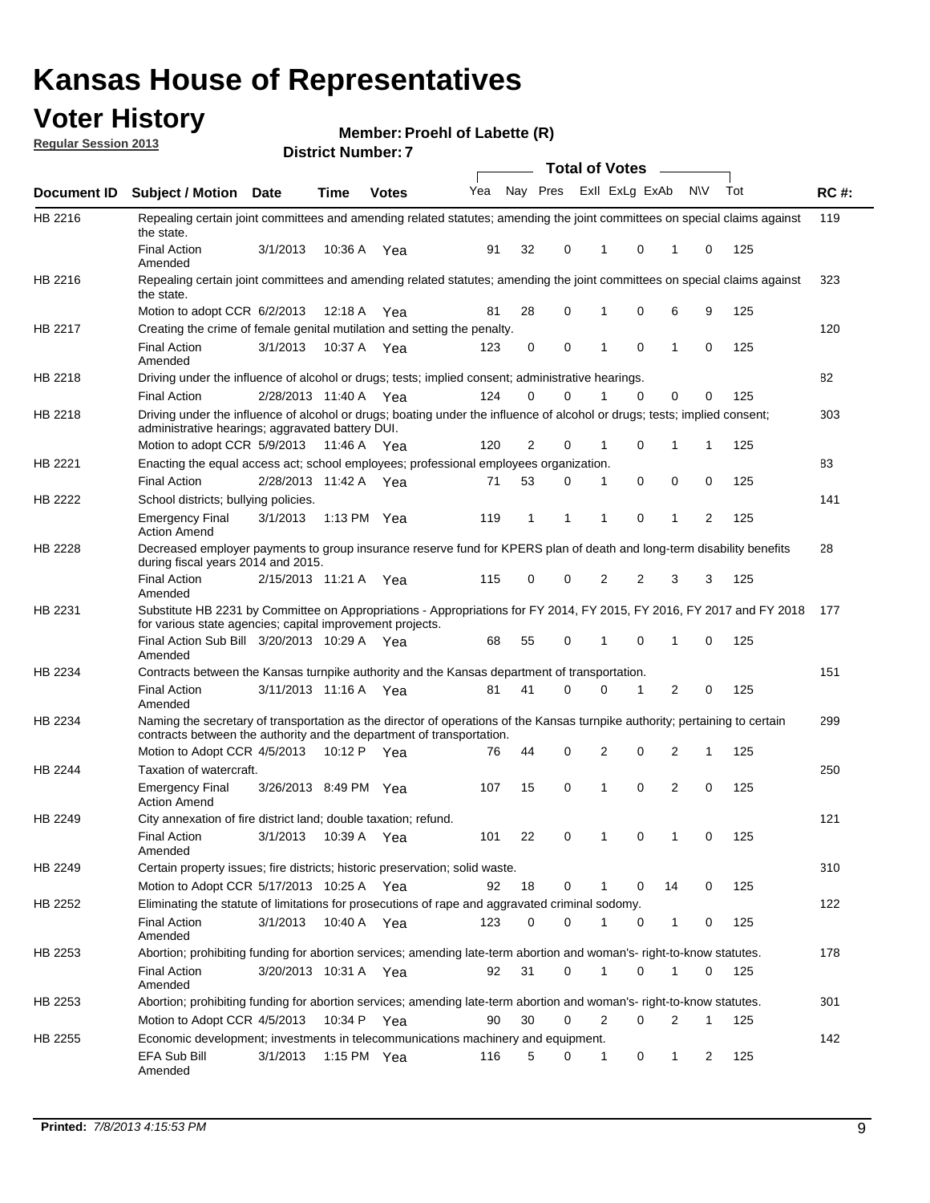# **Voter History**<br> **Regular Session 2013**

**District Number: Member: Proehl of Labette (R)** 

| <b>Regular Session 2013</b> |  |
|-----------------------------|--|
|                             |  |

 $\overline{HB}$ 

 $HB$ 

 $HB$ 

 $HB$ 

 $HB$ 

 $HB$ 

 $HB$ 

 $HB$ 

 $HB$ 

 $HB$ 

 $HB$ 

 $HB$ 

 $HB$ 

 $HB$ 

 $HB$ 

 $HB$ 

 $HB$ 

 $HB$ 

| Regular Session 2013 |                                                                                                                                                                                                       |                       | <b>District Number: 7</b> |               |     |              |          |                       |                          |           |     |             |
|----------------------|-------------------------------------------------------------------------------------------------------------------------------------------------------------------------------------------------------|-----------------------|---------------------------|---------------|-----|--------------|----------|-----------------------|--------------------------|-----------|-----|-------------|
|                      |                                                                                                                                                                                                       |                       |                           |               |     |              |          | <b>Total of Votes</b> |                          |           |     |             |
| Document ID          | <b>Subject / Motion</b>                                                                                                                                                                               | <b>Date</b>           | Time                      | <b>Votes</b>  | Yea |              | Nay Pres |                       | Exll ExLg ExAb           | <b>NV</b> | Tot | <b>RC#:</b> |
| HB 2216              | Repealing certain joint committees and amending related statutes; amending the joint committees on special claims against<br>the state.                                                               |                       |                           |               |     |              |          |                       |                          |           |     | 119         |
|                      | <b>Final Action</b><br>Amended                                                                                                                                                                        | 3/1/2013              | 10:36 A                   | Yea           | 91  | 32           | 0        | 1                     | 0<br>1                   | 0         | 125 |             |
| HB 2216              | Repealing certain joint committees and amending related statutes; amending the joint committees on special claims against<br>the state.                                                               |                       |                           |               |     |              |          |                       |                          |           |     | 323         |
|                      | Motion to adopt CCR 6/2/2013                                                                                                                                                                          |                       | 12:18 A                   | Yea           | 81  | 28           | 0        | 1                     | 6<br>0                   | 9         | 125 |             |
| HB 2217              | Creating the crime of female genital mutilation and setting the penalty.                                                                                                                              |                       |                           |               |     |              |          |                       |                          |           |     | 120         |
|                      | <b>Final Action</b><br>Amended                                                                                                                                                                        | 3/1/2013              | 10:37 A                   | Yea           | 123 | 0            | 0        | 1                     | 0<br>$\mathbf{1}$        | 0         | 125 |             |
| HB 2218              | Driving under the influence of alcohol or drugs; tests; implied consent; administrative hearings.                                                                                                     |                       |                           |               |     |              |          |                       |                          |           |     | 82          |
|                      | <b>Final Action</b>                                                                                                                                                                                   | 2/28/2013 11:40 A Yea |                           |               | 124 | $\Omega$     | $\Omega$ |                       | 0<br>0                   | 0         | 125 |             |
| HB 2218              | Driving under the influence of alcohol or drugs; boating under the influence of alcohol or drugs; tests; implied consent;<br>administrative hearings; aggravated battery DUI.                         |                       |                           |               |     |              |          |                       |                          |           |     | 303         |
|                      | Motion to adopt CCR 5/9/2013                                                                                                                                                                          |                       | 11:46 A Yea               |               | 120 | 2            | 0        |                       | 1<br>0                   | 1         | 125 |             |
| HB 2221              | Enacting the equal access act; school employees; professional employees organization.                                                                                                                 |                       |                           |               |     |              |          |                       |                          |           |     | 83          |
|                      | <b>Final Action</b>                                                                                                                                                                                   | 2/28/2013 11:42 A Yea |                           |               | 71  | 53           | 0        | 1                     | 0<br>0                   | 0         | 125 |             |
| HB 2222              | School districts; bullying policies.<br><b>Emergency Final</b>                                                                                                                                        | 3/1/2013              |                           | 1:13 PM $Yea$ | 119 | $\mathbf{1}$ | 1        | 1                     | 0<br>$\mathbf{1}$        | 2         | 125 | 141         |
| HB 2228              | <b>Action Amend</b><br>Decreased employer payments to group insurance reserve fund for KPERS plan of death and long-term disability benefits<br>during fiscal years 2014 and 2015.                    |                       |                           |               |     |              |          |                       |                          |           |     | 28          |
|                      | <b>Final Action</b><br>Amended                                                                                                                                                                        | 2/15/2013 11:21 A     |                           | Yea           | 115 | 0            | 0        | 2                     | 2<br>3                   | 3         | 125 |             |
| HB 2231              | Substitute HB 2231 by Committee on Appropriations - Appropriations for FY 2014, FY 2015, FY 2016, FY 2017 and FY 2018<br>for various state agencies; capital improvement projects.                    |                       |                           |               |     |              |          |                       |                          |           |     | 177         |
|                      | Final Action Sub Bill 3/20/2013 10:29 A<br>Amended                                                                                                                                                    |                       |                           | Yea           | 68  | 55           | 0        | 1                     | $\Omega$<br>$\mathbf{1}$ | 0         | 125 |             |
| HB 2234              | Contracts between the Kansas turnpike authority and the Kansas department of transportation.                                                                                                          |                       |                           |               |     |              |          |                       |                          |           |     | 151         |
|                      | <b>Final Action</b><br>Amended                                                                                                                                                                        | 3/11/2013 11:16 A     |                           | Yea           | 81  | 41           | 0        | 0                     | 2<br>1                   | 0         | 125 |             |
| HB 2234              | Naming the secretary of transportation as the director of operations of the Kansas turnpike authority; pertaining to certain<br>contracts between the authority and the department of transportation. |                       |                           |               |     |              |          |                       |                          |           |     | 299         |
|                      | Motion to Adopt CCR 4/5/2013                                                                                                                                                                          |                       | 10:12 P                   | Yea           | 76  | 44           | 0        | 2                     | 2<br>0                   | 1         | 125 |             |
| HB 2244              | Taxation of watercraft.                                                                                                                                                                               |                       |                           |               |     |              |          |                       |                          |           |     | 250         |
|                      | <b>Emergency Final</b><br><b>Action Amend</b>                                                                                                                                                         | 3/26/2013 8:49 PM Yea |                           |               | 107 | 15           | 0        | 1                     | 2<br>0                   | 0         | 125 |             |
| HB 2249              | City annexation of fire district land; double taxation; refund.                                                                                                                                       |                       |                           |               |     |              |          |                       |                          |           |     | 121         |
|                      | <b>Final Action</b><br>Amended                                                                                                                                                                        | 3/1/2013              | 10:39 A Yea               |               | 101 | 22           | 0        |                       | 0<br>1                   | 0         | 125 |             |
| HB 2249              | Certain property issues; fire districts; historic preservation; solid waste.                                                                                                                          |                       |                           |               |     |              |          |                       |                          |           |     | 310         |
|                      | Motion to Adopt CCR 5/17/2013 10:25 A Yea                                                                                                                                                             |                       |                           |               | 92  | 18           | 0        | 1                     | 0<br>14                  | 0         | 125 |             |
| HB 2252              | Eliminating the statute of limitations for prosecutions of rape and aggravated criminal sodomy.                                                                                                       |                       |                           |               |     |              |          |                       |                          |           |     | 122         |
|                      | <b>Final Action</b><br>Amended                                                                                                                                                                        | 3/1/2013              |                           | 10:40 A Yea   | 123 | 0            | 0        | 1                     | 0<br>1                   | 0         | 125 |             |
| HB 2253              | Abortion; prohibiting funding for abortion services; amending late-term abortion and woman's- right-to-know statutes.                                                                                 |                       |                           |               |     |              |          |                       |                          |           |     | 178         |
|                      | <b>Final Action</b><br>Amended                                                                                                                                                                        | 3/20/2013 10:31 A Yea |                           |               | 92  | 31           | 0        | 1                     | 0<br>1                   | 0         | 125 |             |
| HB 2253              | Abortion; prohibiting funding for abortion services; amending late-term abortion and woman's- right-to-know statutes.                                                                                 |                       |                           |               |     |              |          |                       |                          |           |     | 301         |
|                      | Motion to Adopt CCR 4/5/2013                                                                                                                                                                          |                       |                           | 10:34 P Yea   | 90  | 30           | 0        | 2                     | 0<br>2                   | 1         | 125 |             |
| HB 2255              | Economic development; investments in telecommunications machinery and equipment.                                                                                                                      |                       |                           |               |     |              |          |                       |                          |           |     | 142         |
|                      | EFA Sub Bill<br>Amended                                                                                                                                                                               | 3/1/2013              |                           | 1:15 PM Yea   | 116 | 5            | 0        | 1                     | 1<br>0                   | 2         | 125 |             |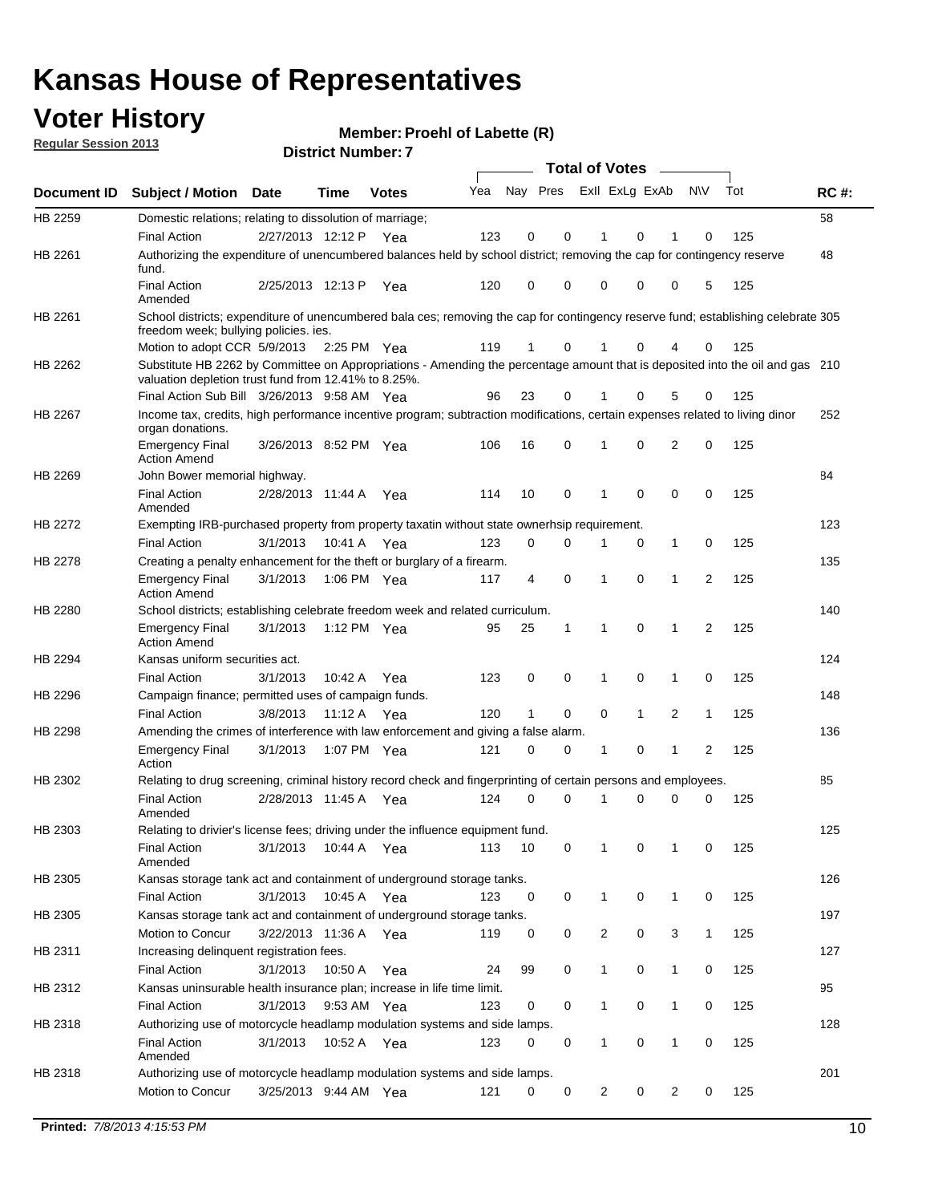## **Voter History**

**Member: Proehl of Labette (R)** 

**Regular Session 2013**

|                                                                                                                                                                                     |                                                                                                                                                                                       |                       |             |               |     |          |   | <b>Total of Votes</b> |              |              |                |     |             |
|-------------------------------------------------------------------------------------------------------------------------------------------------------------------------------------|---------------------------------------------------------------------------------------------------------------------------------------------------------------------------------------|-----------------------|-------------|---------------|-----|----------|---|-----------------------|--------------|--------------|----------------|-----|-------------|
| Document ID                                                                                                                                                                         | Subject / Motion Date                                                                                                                                                                 |                       | Time        | <b>Votes</b>  | Yea | Nay Pres |   | Exll ExLg ExAb        |              |              | <b>NV</b>      | Tot | <b>RC#:</b> |
| HB 2259                                                                                                                                                                             | Domestic relations; relating to dissolution of marriage;                                                                                                                              |                       |             |               |     |          |   |                       |              |              |                |     | 58          |
|                                                                                                                                                                                     | <b>Final Action</b>                                                                                                                                                                   | 2/27/2013 12:12 P     |             | Yea           | 123 | 0        | 0 |                       | 0            |              | 0              | 125 |             |
| HB 2261<br>HB 2262<br><b>HB 2267</b><br>HB 2269<br>HB 2272<br>HB 2278<br>HB 2294<br>HB 2296<br>HB 2298<br>HB 2302<br>HB 2305<br>HB 2305<br>HB 2311<br>HB 2312<br>HB 2318<br>HB 2318 | Authorizing the expenditure of unencumbered balances held by school district; removing the cap for contingency reserve<br>fund.                                                       |                       |             |               |     |          |   |                       |              |              |                |     | 48          |
|                                                                                                                                                                                     | <b>Final Action</b><br>Amended                                                                                                                                                        | 2/25/2013 12:13 P     |             | Yea           | 120 | 0        | 0 | 0                     | 0            | 0            | 5              | 125 |             |
| HB 2261                                                                                                                                                                             | School districts; expenditure of unencumbered bala ces; removing the cap for contingency reserve fund; establishing celebrate 305<br>freedom week; bullying policies. ies.            |                       |             |               |     |          |   |                       |              |              |                |     |             |
|                                                                                                                                                                                     | Motion to adopt CCR 5/9/2013                                                                                                                                                          |                       |             | 2:25 PM $Yea$ | 119 | 1        | 0 |                       | 0            |              | 0              | 125 |             |
|                                                                                                                                                                                     | Substitute HB 2262 by Committee on Appropriations - Amending the percentage amount that is deposited into the oil and gas 210<br>valuation depletion trust fund from 12.41% to 8.25%. |                       |             |               |     |          |   |                       |              |              |                |     |             |
|                                                                                                                                                                                     | Final Action Sub Bill 3/26/2013 9:58 AM Yea                                                                                                                                           |                       |             |               | 96  | 23       | 0 |                       | 0            | 5            | 0              | 125 |             |
|                                                                                                                                                                                     | Income tax, credits, high performance incentive program; subtraction modifications, certain expenses related to living dinor<br>organ donations.                                      |                       |             |               |     |          |   |                       |              |              |                |     | 252         |
|                                                                                                                                                                                     | <b>Emergency Final</b><br><b>Action Amend</b>                                                                                                                                         | 3/26/2013 8:52 PM Yea |             |               | 106 | 16       | 0 | 1                     | 0            | 2            | 0              | 125 |             |
|                                                                                                                                                                                     | John Bower memorial highway.                                                                                                                                                          |                       |             |               |     |          |   |                       |              |              |                |     | 84          |
|                                                                                                                                                                                     | <b>Final Action</b><br>Amended                                                                                                                                                        | 2/28/2013 11:44 A     |             | Yea           | 114 | 10       | 0 | 1                     | 0            | 0            | 0              | 125 |             |
|                                                                                                                                                                                     | Exempting IRB-purchased property from property taxatin without state ownerhsip requirement.                                                                                           |                       |             |               |     |          |   |                       |              |              |                |     | 123         |
|                                                                                                                                                                                     | <b>Final Action</b>                                                                                                                                                                   | 3/1/2013              |             | 10:41 A Yea   | 123 | 0        | 0 | 1                     | 0            | $\mathbf{1}$ | 0              | 125 |             |
|                                                                                                                                                                                     | Creating a penalty enhancement for the theft or burglary of a firearm.                                                                                                                |                       |             |               |     |          |   |                       |              |              |                |     | 135         |
|                                                                                                                                                                                     | <b>Emergency Final</b><br><b>Action Amend</b>                                                                                                                                         | 3/1/2013              |             | 1:06 PM Yea   | 117 | 4        | 0 | 1                     | 0            | 1            | 2              | 125 |             |
| HB 2280                                                                                                                                                                             | School districts; establishing celebrate freedom week and related curriculum.                                                                                                         |                       |             |               |     |          |   |                       |              |              |                |     | 140         |
|                                                                                                                                                                                     | <b>Emergency Final</b><br><b>Action Amend</b>                                                                                                                                         | 3/1/2013              |             | 1:12 PM Yea   | 95  | 25       | 1 | 1                     | 0            | 1            | $\overline{2}$ | 125 |             |
|                                                                                                                                                                                     | Kansas uniform securities act.                                                                                                                                                        |                       |             |               |     |          |   |                       |              |              |                |     | 124         |
| HB 2303                                                                                                                                                                             | <b>Final Action</b>                                                                                                                                                                   | 3/1/2013              | 10:42 A     | Yea           | 123 | 0        | 0 | 1                     | 0            | 1            | 0              | 125 |             |
|                                                                                                                                                                                     | Campaign finance; permitted uses of campaign funds.                                                                                                                                   |                       |             |               |     |          |   |                       |              |              |                |     | 148         |
|                                                                                                                                                                                     | <b>Final Action</b>                                                                                                                                                                   | 3/8/2013              | 11:12 A     | Yea           | 120 | 1        | 0 | 0                     | $\mathbf{1}$ | 2            | $\mathbf{1}$   | 125 |             |
|                                                                                                                                                                                     | Amending the crimes of interference with law enforcement and giving a false alarm.                                                                                                    |                       |             |               |     |          |   |                       |              |              |                |     | 136         |
|                                                                                                                                                                                     | <b>Emergency Final</b><br>Action                                                                                                                                                      | 3/1/2013              |             | 1:07 PM Yea   | 121 | 0        | 0 | 1                     | 0            | 1            | $\overline{2}$ | 125 |             |
|                                                                                                                                                                                     | Relating to drug screening, criminal history record check and fingerprinting of certain persons and employees.                                                                        |                       |             |               |     |          |   |                       |              |              |                |     | 85          |
|                                                                                                                                                                                     | <b>Final Action</b><br>Amended                                                                                                                                                        | 2/28/2013 11:45 A     |             | Yea           | 124 | 0        | 0 | 1                     | 0            | 0            | 0              | 125 |             |
|                                                                                                                                                                                     | Relating to drivier's license fees; driving under the influence equipment fund.                                                                                                       |                       |             |               |     |          |   |                       |              |              |                |     | 125         |
|                                                                                                                                                                                     | Final Action<br>Amended                                                                                                                                                               | 3/1/2013              | 10:44 A Yea |               | 113 | 10       | 0 |                       | 0            |              | 0              | 125 |             |
|                                                                                                                                                                                     | Kansas storage tank act and containment of underground storage tanks.                                                                                                                 |                       |             |               |     |          |   |                       |              |              |                |     | 126         |
|                                                                                                                                                                                     | <b>Final Action</b>                                                                                                                                                                   | 3/1/2013              | 10:45 A     | Yea           | 123 | 0        | 0 | $\mathbf{1}$          | 0            | 1            | 0              | 125 |             |
|                                                                                                                                                                                     | Kansas storage tank act and containment of underground storage tanks.                                                                                                                 |                       |             |               |     |          |   |                       |              |              |                |     | 197         |
|                                                                                                                                                                                     | Motion to Concur                                                                                                                                                                      | 3/22/2013 11:36 A Yea |             |               | 119 | 0        | 0 | $\overline{c}$        | 0            | 3            | 1              | 125 |             |
|                                                                                                                                                                                     | Increasing delinquent registration fees.                                                                                                                                              |                       |             |               |     |          |   |                       |              |              |                |     | 127         |
|                                                                                                                                                                                     | <b>Final Action</b>                                                                                                                                                                   | 3/1/2013              | 10:50 A     | Yea           | 24  | 99       | 0 | 1                     | 0            | 1            | 0              | 125 |             |
|                                                                                                                                                                                     | Kansas uninsurable health insurance plan; increase in life time limit.                                                                                                                |                       |             |               |     |          |   |                       |              |              |                |     | 95          |
|                                                                                                                                                                                     | <b>Final Action</b>                                                                                                                                                                   | 3/1/2013              |             | 9:53 AM Yea   | 123 | 0        | 0 | 1                     | 0            | 1            | 0              | 125 |             |
|                                                                                                                                                                                     | Authorizing use of motorcycle headlamp modulation systems and side lamps.                                                                                                             |                       |             |               |     |          |   |                       |              |              |                |     | 128         |
|                                                                                                                                                                                     | <b>Final Action</b><br>Amended                                                                                                                                                        | 3/1/2013              |             | 10:52 A Yea   | 123 | 0        | 0 | 1                     | 0            | 1            | 0              | 125 |             |
|                                                                                                                                                                                     | Authorizing use of motorcycle headlamp modulation systems and side lamps.                                                                                                             |                       |             |               |     |          |   |                       |              |              |                |     | 201         |
|                                                                                                                                                                                     | Motion to Concur                                                                                                                                                                      | 3/25/2013 9:44 AM Yea |             |               | 121 | 0        | 0 | $\overline{c}$        | 0            | 2            | 0              | 125 |             |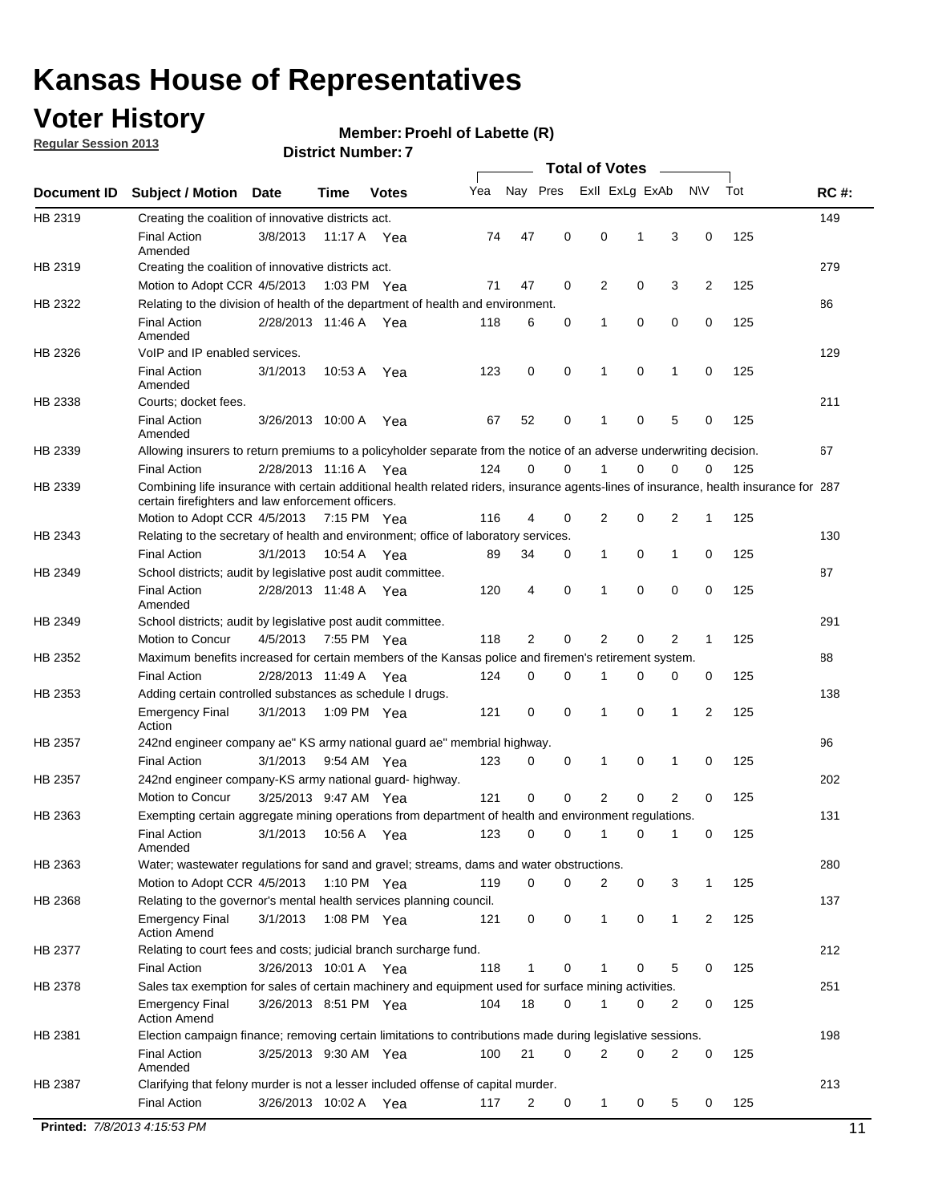## **Voter History**

**Member: Proehl of Labette (R)** 

**Regular Session 2013**

| Nay Pres<br>Exll ExLg ExAb<br>Tot<br>Yea<br>N\V<br><b>RC#:</b><br>Document ID<br><b>Subject / Motion</b><br><b>Date</b><br>Time<br><b>Votes</b><br>149<br>HB 2319<br>Creating the coalition of innovative districts act.<br>47<br>0<br>0<br>125<br><b>Final Action</b><br>3/8/2013<br>74<br>1<br>3<br>0<br>11:17 A<br>Yea<br>Amended<br>279<br>HB 2319<br>Creating the coalition of innovative districts act.<br>47<br>0<br>2<br>0<br>3<br>2<br>125<br>Motion to Adopt CCR 4/5/2013<br>1:03 PM Yea<br>71<br>HB 2322<br>Relating to the division of health of the department of health and environment.<br>86<br>0<br>0<br>0<br>0<br>125<br><b>Final Action</b><br>2/28/2013 11:46 A Yea<br>118<br>6<br>1<br>Amended<br>129<br>VoIP and IP enabled services.<br>HB 2326<br>3/1/2013<br>123<br>0<br>0<br>1<br>0<br>1<br>0<br>125<br><b>Final Action</b><br>10.53 A<br>Yea<br>Amended<br>211<br>HB 2338<br>Courts; docket fees.<br><b>Final Action</b><br>52<br>0<br>125<br>3/26/2013 10:00 A<br>67<br>1<br>0<br>5<br>Yea<br>0<br>Amended<br>67<br>HB 2339<br>Allowing insurers to return premiums to a policyholder separate from the notice of an adverse underwriting decision.<br>0<br>2/28/2013 11:16 A Yea<br>124<br>0<br>1<br>0<br>0<br>125<br><b>Final Action</b><br>0<br>Combining life insurance with certain additional health related riders, insurance agents-lines of insurance, health insurance for 287<br>HB 2339<br>certain firefighters and law enforcement officers.<br>2<br>125<br>Motion to Adopt CCR 4/5/2013 7:15 PM Yea<br>116<br>4<br>0<br>0<br>2<br>1<br>Relating to the secretary of health and environment; office of laboratory services.<br>130<br><b>Final Action</b><br>3/1/2013<br>0<br>125<br>10:54 A Yea<br>89<br>34<br>0<br>1<br>1<br>0<br>87<br>HB 2349<br>School districts; audit by legislative post audit committee.<br>$\mathbf 0$<br>0<br>0<br>4<br>0<br>125<br><b>Final Action</b><br>2/28/2013 11:48 A Yea<br>120<br>1<br>Amended<br>291<br>HB 2349<br>School districts; audit by legislative post audit committee.<br>Motion to Concur<br>4/5/2013<br>7:55 PM Yea<br>118<br>2<br>0<br>2<br>0<br>2<br>125<br>1<br>Maximum benefits increased for certain members of the Kansas police and firemen's retirement system.<br>88<br>HB 2352<br><b>Final Action</b><br>2/28/2013 11:49 A<br>0<br>125<br>124<br>0<br>1<br>0<br>0<br>0<br>Yea<br>138<br>HB 2353<br>Adding certain controlled substances as schedule I drugs.<br>121<br>0<br>$\mathbf 0$<br>0<br>2<br>125<br><b>Emergency Final</b><br>3/1/2013<br>1:09 PM Yea<br>1<br>1<br>Action<br>96<br>HB 2357<br>242nd engineer company ae" KS army national guard ae" membrial highway.<br>3/1/2013<br>0<br>0<br>0<br>125<br><b>Final Action</b><br>9:54 AM Yea<br>123<br>1<br>1<br>0<br>202<br>HB 2357<br>242nd engineer company-KS army national guard- highway.<br>$\mathbf 0$<br>$\mathbf 0$<br>$\overline{2}$<br>0<br>2<br>3/25/2013 9:47 AM Yea<br>121<br>0<br>125<br>Motion to Concur<br>131<br>HB 2363<br>Exempting certain aggregate mining operations from department of health and environment regulations.<br>3/1/2013<br>10:56 A<br>123<br>0<br>0<br>125<br><b>Final Action</b><br>Yea<br>0<br>1<br>0<br>1<br>Amended<br>HB 2363<br>Water; wastewater regulations for sand and gravel; streams, dams and water obstructions.<br>280<br>Motion to Adopt CCR 4/5/2013<br>119<br>0<br>0<br>3<br>125<br>1:10 PM $Yea$<br>2<br>0<br>1<br>HB 2368<br>Relating to the governor's mental health services planning council.<br>137<br>0<br>0<br><b>Emergency Final</b><br>3/1/2013<br>1:08 PM Yea<br>121<br>0<br>1<br>$\mathbf{1}$<br>2<br>125<br><b>Action Amend</b><br>212<br>HB 2377<br>Relating to court fees and costs; judicial branch surcharge fund.<br>3/26/2013 10:01 A Yea<br>118<br>0<br>125<br><b>Final Action</b><br>5<br>0<br>1<br>0<br>Sales tax exemption for sales of certain machinery and equipment used for surface mining activities.<br>251<br>HB 2378<br>104<br>18<br>0<br>0<br>125<br><b>Emergency Final</b><br>3/26/2013 8:51 PM Yea<br>1<br>0<br>2<br><b>Action Amend</b><br>198<br>HB 2381<br>Election campaign finance; removing certain limitations to contributions made during legislative sessions.<br><b>Final Action</b><br>21<br>$\mathbf 0$<br>2<br>0<br>2<br>0<br>3/25/2013 9:30 AM Yea<br>100<br>125<br>Amended<br>213<br>HB 2387<br>Clarifying that felony murder is not a lesser included offense of capital murder.<br><b>Final Action</b><br>125<br>3/26/2013 10:02 A<br>117<br>2<br>0<br>$\mathbf{1}$<br>0<br>5<br>0<br>Yea<br>Printed: 7/8/2013 4:15:53 PM |         |  |  |  | <b>Total of Votes</b> |  |  |    |
|------------------------------------------------------------------------------------------------------------------------------------------------------------------------------------------------------------------------------------------------------------------------------------------------------------------------------------------------------------------------------------------------------------------------------------------------------------------------------------------------------------------------------------------------------------------------------------------------------------------------------------------------------------------------------------------------------------------------------------------------------------------------------------------------------------------------------------------------------------------------------------------------------------------------------------------------------------------------------------------------------------------------------------------------------------------------------------------------------------------------------------------------------------------------------------------------------------------------------------------------------------------------------------------------------------------------------------------------------------------------------------------------------------------------------------------------------------------------------------------------------------------------------------------------------------------------------------------------------------------------------------------------------------------------------------------------------------------------------------------------------------------------------------------------------------------------------------------------------------------------------------------------------------------------------------------------------------------------------------------------------------------------------------------------------------------------------------------------------------------------------------------------------------------------------------------------------------------------------------------------------------------------------------------------------------------------------------------------------------------------------------------------------------------------------------------------------------------------------------------------------------------------------------------------------------------------------------------------------------------------------------------------------------------------------------------------------------------------------------------------------------------------------------------------------------------------------------------------------------------------------------------------------------------------------------------------------------------------------------------------------------------------------------------------------------------------------------------------------------------------------------------------------------------------------------------------------------------------------------------------------------------------------------------------------------------------------------------------------------------------------------------------------------------------------------------------------------------------------------------------------------------------------------------------------------------------------------------------------------------------------------------------------------------------------------------------------------------------------------------------------------------------------------------------------------------------------------------------------------------------------------------------------------------------------------------------------------------------------------------------------------------------------------------------------------------------------------------------------------------------------------------------------------------------------------------------------------------------------------------------------------------------------------------------------------------------------------------------------------------------------------------------------------------------------------------------------------------------------------------------------------------------------------------------------------------------------------------------------|---------|--|--|--|-----------------------|--|--|----|
|                                                                                                                                                                                                                                                                                                                                                                                                                                                                                                                                                                                                                                                                                                                                                                                                                                                                                                                                                                                                                                                                                                                                                                                                                                                                                                                                                                                                                                                                                                                                                                                                                                                                                                                                                                                                                                                                                                                                                                                                                                                                                                                                                                                                                                                                                                                                                                                                                                                                                                                                                                                                                                                                                                                                                                                                                                                                                                                                                                                                                                                                                                                                                                                                                                                                                                                                                                                                                                                                                                                                                                                                                                                                                                                                                                                                                                                                                                                                                                                                                                                                                                                                                                                                                                                                                                                                                                                                                                                                                                                                                                                                      |         |  |  |  |                       |  |  |    |
|                                                                                                                                                                                                                                                                                                                                                                                                                                                                                                                                                                                                                                                                                                                                                                                                                                                                                                                                                                                                                                                                                                                                                                                                                                                                                                                                                                                                                                                                                                                                                                                                                                                                                                                                                                                                                                                                                                                                                                                                                                                                                                                                                                                                                                                                                                                                                                                                                                                                                                                                                                                                                                                                                                                                                                                                                                                                                                                                                                                                                                                                                                                                                                                                                                                                                                                                                                                                                                                                                                                                                                                                                                                                                                                                                                                                                                                                                                                                                                                                                                                                                                                                                                                                                                                                                                                                                                                                                                                                                                                                                                                                      |         |  |  |  |                       |  |  |    |
|                                                                                                                                                                                                                                                                                                                                                                                                                                                                                                                                                                                                                                                                                                                                                                                                                                                                                                                                                                                                                                                                                                                                                                                                                                                                                                                                                                                                                                                                                                                                                                                                                                                                                                                                                                                                                                                                                                                                                                                                                                                                                                                                                                                                                                                                                                                                                                                                                                                                                                                                                                                                                                                                                                                                                                                                                                                                                                                                                                                                                                                                                                                                                                                                                                                                                                                                                                                                                                                                                                                                                                                                                                                                                                                                                                                                                                                                                                                                                                                                                                                                                                                                                                                                                                                                                                                                                                                                                                                                                                                                                                                                      |         |  |  |  |                       |  |  |    |
|                                                                                                                                                                                                                                                                                                                                                                                                                                                                                                                                                                                                                                                                                                                                                                                                                                                                                                                                                                                                                                                                                                                                                                                                                                                                                                                                                                                                                                                                                                                                                                                                                                                                                                                                                                                                                                                                                                                                                                                                                                                                                                                                                                                                                                                                                                                                                                                                                                                                                                                                                                                                                                                                                                                                                                                                                                                                                                                                                                                                                                                                                                                                                                                                                                                                                                                                                                                                                                                                                                                                                                                                                                                                                                                                                                                                                                                                                                                                                                                                                                                                                                                                                                                                                                                                                                                                                                                                                                                                                                                                                                                                      |         |  |  |  |                       |  |  |    |
|                                                                                                                                                                                                                                                                                                                                                                                                                                                                                                                                                                                                                                                                                                                                                                                                                                                                                                                                                                                                                                                                                                                                                                                                                                                                                                                                                                                                                                                                                                                                                                                                                                                                                                                                                                                                                                                                                                                                                                                                                                                                                                                                                                                                                                                                                                                                                                                                                                                                                                                                                                                                                                                                                                                                                                                                                                                                                                                                                                                                                                                                                                                                                                                                                                                                                                                                                                                                                                                                                                                                                                                                                                                                                                                                                                                                                                                                                                                                                                                                                                                                                                                                                                                                                                                                                                                                                                                                                                                                                                                                                                                                      |         |  |  |  |                       |  |  |    |
|                                                                                                                                                                                                                                                                                                                                                                                                                                                                                                                                                                                                                                                                                                                                                                                                                                                                                                                                                                                                                                                                                                                                                                                                                                                                                                                                                                                                                                                                                                                                                                                                                                                                                                                                                                                                                                                                                                                                                                                                                                                                                                                                                                                                                                                                                                                                                                                                                                                                                                                                                                                                                                                                                                                                                                                                                                                                                                                                                                                                                                                                                                                                                                                                                                                                                                                                                                                                                                                                                                                                                                                                                                                                                                                                                                                                                                                                                                                                                                                                                                                                                                                                                                                                                                                                                                                                                                                                                                                                                                                                                                                                      |         |  |  |  |                       |  |  |    |
|                                                                                                                                                                                                                                                                                                                                                                                                                                                                                                                                                                                                                                                                                                                                                                                                                                                                                                                                                                                                                                                                                                                                                                                                                                                                                                                                                                                                                                                                                                                                                                                                                                                                                                                                                                                                                                                                                                                                                                                                                                                                                                                                                                                                                                                                                                                                                                                                                                                                                                                                                                                                                                                                                                                                                                                                                                                                                                                                                                                                                                                                                                                                                                                                                                                                                                                                                                                                                                                                                                                                                                                                                                                                                                                                                                                                                                                                                                                                                                                                                                                                                                                                                                                                                                                                                                                                                                                                                                                                                                                                                                                                      |         |  |  |  |                       |  |  |    |
|                                                                                                                                                                                                                                                                                                                                                                                                                                                                                                                                                                                                                                                                                                                                                                                                                                                                                                                                                                                                                                                                                                                                                                                                                                                                                                                                                                                                                                                                                                                                                                                                                                                                                                                                                                                                                                                                                                                                                                                                                                                                                                                                                                                                                                                                                                                                                                                                                                                                                                                                                                                                                                                                                                                                                                                                                                                                                                                                                                                                                                                                                                                                                                                                                                                                                                                                                                                                                                                                                                                                                                                                                                                                                                                                                                                                                                                                                                                                                                                                                                                                                                                                                                                                                                                                                                                                                                                                                                                                                                                                                                                                      |         |  |  |  |                       |  |  |    |
|                                                                                                                                                                                                                                                                                                                                                                                                                                                                                                                                                                                                                                                                                                                                                                                                                                                                                                                                                                                                                                                                                                                                                                                                                                                                                                                                                                                                                                                                                                                                                                                                                                                                                                                                                                                                                                                                                                                                                                                                                                                                                                                                                                                                                                                                                                                                                                                                                                                                                                                                                                                                                                                                                                                                                                                                                                                                                                                                                                                                                                                                                                                                                                                                                                                                                                                                                                                                                                                                                                                                                                                                                                                                                                                                                                                                                                                                                                                                                                                                                                                                                                                                                                                                                                                                                                                                                                                                                                                                                                                                                                                                      |         |  |  |  |                       |  |  |    |
|                                                                                                                                                                                                                                                                                                                                                                                                                                                                                                                                                                                                                                                                                                                                                                                                                                                                                                                                                                                                                                                                                                                                                                                                                                                                                                                                                                                                                                                                                                                                                                                                                                                                                                                                                                                                                                                                                                                                                                                                                                                                                                                                                                                                                                                                                                                                                                                                                                                                                                                                                                                                                                                                                                                                                                                                                                                                                                                                                                                                                                                                                                                                                                                                                                                                                                                                                                                                                                                                                                                                                                                                                                                                                                                                                                                                                                                                                                                                                                                                                                                                                                                                                                                                                                                                                                                                                                                                                                                                                                                                                                                                      |         |  |  |  |                       |  |  |    |
|                                                                                                                                                                                                                                                                                                                                                                                                                                                                                                                                                                                                                                                                                                                                                                                                                                                                                                                                                                                                                                                                                                                                                                                                                                                                                                                                                                                                                                                                                                                                                                                                                                                                                                                                                                                                                                                                                                                                                                                                                                                                                                                                                                                                                                                                                                                                                                                                                                                                                                                                                                                                                                                                                                                                                                                                                                                                                                                                                                                                                                                                                                                                                                                                                                                                                                                                                                                                                                                                                                                                                                                                                                                                                                                                                                                                                                                                                                                                                                                                                                                                                                                                                                                                                                                                                                                                                                                                                                                                                                                                                                                                      |         |  |  |  |                       |  |  |    |
|                                                                                                                                                                                                                                                                                                                                                                                                                                                                                                                                                                                                                                                                                                                                                                                                                                                                                                                                                                                                                                                                                                                                                                                                                                                                                                                                                                                                                                                                                                                                                                                                                                                                                                                                                                                                                                                                                                                                                                                                                                                                                                                                                                                                                                                                                                                                                                                                                                                                                                                                                                                                                                                                                                                                                                                                                                                                                                                                                                                                                                                                                                                                                                                                                                                                                                                                                                                                                                                                                                                                                                                                                                                                                                                                                                                                                                                                                                                                                                                                                                                                                                                                                                                                                                                                                                                                                                                                                                                                                                                                                                                                      |         |  |  |  |                       |  |  |    |
|                                                                                                                                                                                                                                                                                                                                                                                                                                                                                                                                                                                                                                                                                                                                                                                                                                                                                                                                                                                                                                                                                                                                                                                                                                                                                                                                                                                                                                                                                                                                                                                                                                                                                                                                                                                                                                                                                                                                                                                                                                                                                                                                                                                                                                                                                                                                                                                                                                                                                                                                                                                                                                                                                                                                                                                                                                                                                                                                                                                                                                                                                                                                                                                                                                                                                                                                                                                                                                                                                                                                                                                                                                                                                                                                                                                                                                                                                                                                                                                                                                                                                                                                                                                                                                                                                                                                                                                                                                                                                                                                                                                                      |         |  |  |  |                       |  |  |    |
|                                                                                                                                                                                                                                                                                                                                                                                                                                                                                                                                                                                                                                                                                                                                                                                                                                                                                                                                                                                                                                                                                                                                                                                                                                                                                                                                                                                                                                                                                                                                                                                                                                                                                                                                                                                                                                                                                                                                                                                                                                                                                                                                                                                                                                                                                                                                                                                                                                                                                                                                                                                                                                                                                                                                                                                                                                                                                                                                                                                                                                                                                                                                                                                                                                                                                                                                                                                                                                                                                                                                                                                                                                                                                                                                                                                                                                                                                                                                                                                                                                                                                                                                                                                                                                                                                                                                                                                                                                                                                                                                                                                                      |         |  |  |  |                       |  |  |    |
|                                                                                                                                                                                                                                                                                                                                                                                                                                                                                                                                                                                                                                                                                                                                                                                                                                                                                                                                                                                                                                                                                                                                                                                                                                                                                                                                                                                                                                                                                                                                                                                                                                                                                                                                                                                                                                                                                                                                                                                                                                                                                                                                                                                                                                                                                                                                                                                                                                                                                                                                                                                                                                                                                                                                                                                                                                                                                                                                                                                                                                                                                                                                                                                                                                                                                                                                                                                                                                                                                                                                                                                                                                                                                                                                                                                                                                                                                                                                                                                                                                                                                                                                                                                                                                                                                                                                                                                                                                                                                                                                                                                                      |         |  |  |  |                       |  |  |    |
|                                                                                                                                                                                                                                                                                                                                                                                                                                                                                                                                                                                                                                                                                                                                                                                                                                                                                                                                                                                                                                                                                                                                                                                                                                                                                                                                                                                                                                                                                                                                                                                                                                                                                                                                                                                                                                                                                                                                                                                                                                                                                                                                                                                                                                                                                                                                                                                                                                                                                                                                                                                                                                                                                                                                                                                                                                                                                                                                                                                                                                                                                                                                                                                                                                                                                                                                                                                                                                                                                                                                                                                                                                                                                                                                                                                                                                                                                                                                                                                                                                                                                                                                                                                                                                                                                                                                                                                                                                                                                                                                                                                                      | HB 2343 |  |  |  |                       |  |  |    |
|                                                                                                                                                                                                                                                                                                                                                                                                                                                                                                                                                                                                                                                                                                                                                                                                                                                                                                                                                                                                                                                                                                                                                                                                                                                                                                                                                                                                                                                                                                                                                                                                                                                                                                                                                                                                                                                                                                                                                                                                                                                                                                                                                                                                                                                                                                                                                                                                                                                                                                                                                                                                                                                                                                                                                                                                                                                                                                                                                                                                                                                                                                                                                                                                                                                                                                                                                                                                                                                                                                                                                                                                                                                                                                                                                                                                                                                                                                                                                                                                                                                                                                                                                                                                                                                                                                                                                                                                                                                                                                                                                                                                      |         |  |  |  |                       |  |  |    |
|                                                                                                                                                                                                                                                                                                                                                                                                                                                                                                                                                                                                                                                                                                                                                                                                                                                                                                                                                                                                                                                                                                                                                                                                                                                                                                                                                                                                                                                                                                                                                                                                                                                                                                                                                                                                                                                                                                                                                                                                                                                                                                                                                                                                                                                                                                                                                                                                                                                                                                                                                                                                                                                                                                                                                                                                                                                                                                                                                                                                                                                                                                                                                                                                                                                                                                                                                                                                                                                                                                                                                                                                                                                                                                                                                                                                                                                                                                                                                                                                                                                                                                                                                                                                                                                                                                                                                                                                                                                                                                                                                                                                      |         |  |  |  |                       |  |  |    |
|                                                                                                                                                                                                                                                                                                                                                                                                                                                                                                                                                                                                                                                                                                                                                                                                                                                                                                                                                                                                                                                                                                                                                                                                                                                                                                                                                                                                                                                                                                                                                                                                                                                                                                                                                                                                                                                                                                                                                                                                                                                                                                                                                                                                                                                                                                                                                                                                                                                                                                                                                                                                                                                                                                                                                                                                                                                                                                                                                                                                                                                                                                                                                                                                                                                                                                                                                                                                                                                                                                                                                                                                                                                                                                                                                                                                                                                                                                                                                                                                                                                                                                                                                                                                                                                                                                                                                                                                                                                                                                                                                                                                      |         |  |  |  |                       |  |  |    |
|                                                                                                                                                                                                                                                                                                                                                                                                                                                                                                                                                                                                                                                                                                                                                                                                                                                                                                                                                                                                                                                                                                                                                                                                                                                                                                                                                                                                                                                                                                                                                                                                                                                                                                                                                                                                                                                                                                                                                                                                                                                                                                                                                                                                                                                                                                                                                                                                                                                                                                                                                                                                                                                                                                                                                                                                                                                                                                                                                                                                                                                                                                                                                                                                                                                                                                                                                                                                                                                                                                                                                                                                                                                                                                                                                                                                                                                                                                                                                                                                                                                                                                                                                                                                                                                                                                                                                                                                                                                                                                                                                                                                      |         |  |  |  |                       |  |  |    |
|                                                                                                                                                                                                                                                                                                                                                                                                                                                                                                                                                                                                                                                                                                                                                                                                                                                                                                                                                                                                                                                                                                                                                                                                                                                                                                                                                                                                                                                                                                                                                                                                                                                                                                                                                                                                                                                                                                                                                                                                                                                                                                                                                                                                                                                                                                                                                                                                                                                                                                                                                                                                                                                                                                                                                                                                                                                                                                                                                                                                                                                                                                                                                                                                                                                                                                                                                                                                                                                                                                                                                                                                                                                                                                                                                                                                                                                                                                                                                                                                                                                                                                                                                                                                                                                                                                                                                                                                                                                                                                                                                                                                      |         |  |  |  |                       |  |  |    |
|                                                                                                                                                                                                                                                                                                                                                                                                                                                                                                                                                                                                                                                                                                                                                                                                                                                                                                                                                                                                                                                                                                                                                                                                                                                                                                                                                                                                                                                                                                                                                                                                                                                                                                                                                                                                                                                                                                                                                                                                                                                                                                                                                                                                                                                                                                                                                                                                                                                                                                                                                                                                                                                                                                                                                                                                                                                                                                                                                                                                                                                                                                                                                                                                                                                                                                                                                                                                                                                                                                                                                                                                                                                                                                                                                                                                                                                                                                                                                                                                                                                                                                                                                                                                                                                                                                                                                                                                                                                                                                                                                                                                      |         |  |  |  |                       |  |  |    |
|                                                                                                                                                                                                                                                                                                                                                                                                                                                                                                                                                                                                                                                                                                                                                                                                                                                                                                                                                                                                                                                                                                                                                                                                                                                                                                                                                                                                                                                                                                                                                                                                                                                                                                                                                                                                                                                                                                                                                                                                                                                                                                                                                                                                                                                                                                                                                                                                                                                                                                                                                                                                                                                                                                                                                                                                                                                                                                                                                                                                                                                                                                                                                                                                                                                                                                                                                                                                                                                                                                                                                                                                                                                                                                                                                                                                                                                                                                                                                                                                                                                                                                                                                                                                                                                                                                                                                                                                                                                                                                                                                                                                      |         |  |  |  |                       |  |  |    |
|                                                                                                                                                                                                                                                                                                                                                                                                                                                                                                                                                                                                                                                                                                                                                                                                                                                                                                                                                                                                                                                                                                                                                                                                                                                                                                                                                                                                                                                                                                                                                                                                                                                                                                                                                                                                                                                                                                                                                                                                                                                                                                                                                                                                                                                                                                                                                                                                                                                                                                                                                                                                                                                                                                                                                                                                                                                                                                                                                                                                                                                                                                                                                                                                                                                                                                                                                                                                                                                                                                                                                                                                                                                                                                                                                                                                                                                                                                                                                                                                                                                                                                                                                                                                                                                                                                                                                                                                                                                                                                                                                                                                      |         |  |  |  |                       |  |  |    |
|                                                                                                                                                                                                                                                                                                                                                                                                                                                                                                                                                                                                                                                                                                                                                                                                                                                                                                                                                                                                                                                                                                                                                                                                                                                                                                                                                                                                                                                                                                                                                                                                                                                                                                                                                                                                                                                                                                                                                                                                                                                                                                                                                                                                                                                                                                                                                                                                                                                                                                                                                                                                                                                                                                                                                                                                                                                                                                                                                                                                                                                                                                                                                                                                                                                                                                                                                                                                                                                                                                                                                                                                                                                                                                                                                                                                                                                                                                                                                                                                                                                                                                                                                                                                                                                                                                                                                                                                                                                                                                                                                                                                      |         |  |  |  |                       |  |  |    |
|                                                                                                                                                                                                                                                                                                                                                                                                                                                                                                                                                                                                                                                                                                                                                                                                                                                                                                                                                                                                                                                                                                                                                                                                                                                                                                                                                                                                                                                                                                                                                                                                                                                                                                                                                                                                                                                                                                                                                                                                                                                                                                                                                                                                                                                                                                                                                                                                                                                                                                                                                                                                                                                                                                                                                                                                                                                                                                                                                                                                                                                                                                                                                                                                                                                                                                                                                                                                                                                                                                                                                                                                                                                                                                                                                                                                                                                                                                                                                                                                                                                                                                                                                                                                                                                                                                                                                                                                                                                                                                                                                                                                      |         |  |  |  |                       |  |  |    |
|                                                                                                                                                                                                                                                                                                                                                                                                                                                                                                                                                                                                                                                                                                                                                                                                                                                                                                                                                                                                                                                                                                                                                                                                                                                                                                                                                                                                                                                                                                                                                                                                                                                                                                                                                                                                                                                                                                                                                                                                                                                                                                                                                                                                                                                                                                                                                                                                                                                                                                                                                                                                                                                                                                                                                                                                                                                                                                                                                                                                                                                                                                                                                                                                                                                                                                                                                                                                                                                                                                                                                                                                                                                                                                                                                                                                                                                                                                                                                                                                                                                                                                                                                                                                                                                                                                                                                                                                                                                                                                                                                                                                      |         |  |  |  |                       |  |  |    |
|                                                                                                                                                                                                                                                                                                                                                                                                                                                                                                                                                                                                                                                                                                                                                                                                                                                                                                                                                                                                                                                                                                                                                                                                                                                                                                                                                                                                                                                                                                                                                                                                                                                                                                                                                                                                                                                                                                                                                                                                                                                                                                                                                                                                                                                                                                                                                                                                                                                                                                                                                                                                                                                                                                                                                                                                                                                                                                                                                                                                                                                                                                                                                                                                                                                                                                                                                                                                                                                                                                                                                                                                                                                                                                                                                                                                                                                                                                                                                                                                                                                                                                                                                                                                                                                                                                                                                                                                                                                                                                                                                                                                      |         |  |  |  |                       |  |  |    |
|                                                                                                                                                                                                                                                                                                                                                                                                                                                                                                                                                                                                                                                                                                                                                                                                                                                                                                                                                                                                                                                                                                                                                                                                                                                                                                                                                                                                                                                                                                                                                                                                                                                                                                                                                                                                                                                                                                                                                                                                                                                                                                                                                                                                                                                                                                                                                                                                                                                                                                                                                                                                                                                                                                                                                                                                                                                                                                                                                                                                                                                                                                                                                                                                                                                                                                                                                                                                                                                                                                                                                                                                                                                                                                                                                                                                                                                                                                                                                                                                                                                                                                                                                                                                                                                                                                                                                                                                                                                                                                                                                                                                      |         |  |  |  |                       |  |  |    |
|                                                                                                                                                                                                                                                                                                                                                                                                                                                                                                                                                                                                                                                                                                                                                                                                                                                                                                                                                                                                                                                                                                                                                                                                                                                                                                                                                                                                                                                                                                                                                                                                                                                                                                                                                                                                                                                                                                                                                                                                                                                                                                                                                                                                                                                                                                                                                                                                                                                                                                                                                                                                                                                                                                                                                                                                                                                                                                                                                                                                                                                                                                                                                                                                                                                                                                                                                                                                                                                                                                                                                                                                                                                                                                                                                                                                                                                                                                                                                                                                                                                                                                                                                                                                                                                                                                                                                                                                                                                                                                                                                                                                      |         |  |  |  |                       |  |  |    |
|                                                                                                                                                                                                                                                                                                                                                                                                                                                                                                                                                                                                                                                                                                                                                                                                                                                                                                                                                                                                                                                                                                                                                                                                                                                                                                                                                                                                                                                                                                                                                                                                                                                                                                                                                                                                                                                                                                                                                                                                                                                                                                                                                                                                                                                                                                                                                                                                                                                                                                                                                                                                                                                                                                                                                                                                                                                                                                                                                                                                                                                                                                                                                                                                                                                                                                                                                                                                                                                                                                                                                                                                                                                                                                                                                                                                                                                                                                                                                                                                                                                                                                                                                                                                                                                                                                                                                                                                                                                                                                                                                                                                      |         |  |  |  |                       |  |  |    |
|                                                                                                                                                                                                                                                                                                                                                                                                                                                                                                                                                                                                                                                                                                                                                                                                                                                                                                                                                                                                                                                                                                                                                                                                                                                                                                                                                                                                                                                                                                                                                                                                                                                                                                                                                                                                                                                                                                                                                                                                                                                                                                                                                                                                                                                                                                                                                                                                                                                                                                                                                                                                                                                                                                                                                                                                                                                                                                                                                                                                                                                                                                                                                                                                                                                                                                                                                                                                                                                                                                                                                                                                                                                                                                                                                                                                                                                                                                                                                                                                                                                                                                                                                                                                                                                                                                                                                                                                                                                                                                                                                                                                      |         |  |  |  |                       |  |  |    |
|                                                                                                                                                                                                                                                                                                                                                                                                                                                                                                                                                                                                                                                                                                                                                                                                                                                                                                                                                                                                                                                                                                                                                                                                                                                                                                                                                                                                                                                                                                                                                                                                                                                                                                                                                                                                                                                                                                                                                                                                                                                                                                                                                                                                                                                                                                                                                                                                                                                                                                                                                                                                                                                                                                                                                                                                                                                                                                                                                                                                                                                                                                                                                                                                                                                                                                                                                                                                                                                                                                                                                                                                                                                                                                                                                                                                                                                                                                                                                                                                                                                                                                                                                                                                                                                                                                                                                                                                                                                                                                                                                                                                      |         |  |  |  |                       |  |  |    |
|                                                                                                                                                                                                                                                                                                                                                                                                                                                                                                                                                                                                                                                                                                                                                                                                                                                                                                                                                                                                                                                                                                                                                                                                                                                                                                                                                                                                                                                                                                                                                                                                                                                                                                                                                                                                                                                                                                                                                                                                                                                                                                                                                                                                                                                                                                                                                                                                                                                                                                                                                                                                                                                                                                                                                                                                                                                                                                                                                                                                                                                                                                                                                                                                                                                                                                                                                                                                                                                                                                                                                                                                                                                                                                                                                                                                                                                                                                                                                                                                                                                                                                                                                                                                                                                                                                                                                                                                                                                                                                                                                                                                      |         |  |  |  |                       |  |  |    |
|                                                                                                                                                                                                                                                                                                                                                                                                                                                                                                                                                                                                                                                                                                                                                                                                                                                                                                                                                                                                                                                                                                                                                                                                                                                                                                                                                                                                                                                                                                                                                                                                                                                                                                                                                                                                                                                                                                                                                                                                                                                                                                                                                                                                                                                                                                                                                                                                                                                                                                                                                                                                                                                                                                                                                                                                                                                                                                                                                                                                                                                                                                                                                                                                                                                                                                                                                                                                                                                                                                                                                                                                                                                                                                                                                                                                                                                                                                                                                                                                                                                                                                                                                                                                                                                                                                                                                                                                                                                                                                                                                                                                      |         |  |  |  |                       |  |  |    |
|                                                                                                                                                                                                                                                                                                                                                                                                                                                                                                                                                                                                                                                                                                                                                                                                                                                                                                                                                                                                                                                                                                                                                                                                                                                                                                                                                                                                                                                                                                                                                                                                                                                                                                                                                                                                                                                                                                                                                                                                                                                                                                                                                                                                                                                                                                                                                                                                                                                                                                                                                                                                                                                                                                                                                                                                                                                                                                                                                                                                                                                                                                                                                                                                                                                                                                                                                                                                                                                                                                                                                                                                                                                                                                                                                                                                                                                                                                                                                                                                                                                                                                                                                                                                                                                                                                                                                                                                                                                                                                                                                                                                      |         |  |  |  |                       |  |  |    |
|                                                                                                                                                                                                                                                                                                                                                                                                                                                                                                                                                                                                                                                                                                                                                                                                                                                                                                                                                                                                                                                                                                                                                                                                                                                                                                                                                                                                                                                                                                                                                                                                                                                                                                                                                                                                                                                                                                                                                                                                                                                                                                                                                                                                                                                                                                                                                                                                                                                                                                                                                                                                                                                                                                                                                                                                                                                                                                                                                                                                                                                                                                                                                                                                                                                                                                                                                                                                                                                                                                                                                                                                                                                                                                                                                                                                                                                                                                                                                                                                                                                                                                                                                                                                                                                                                                                                                                                                                                                                                                                                                                                                      |         |  |  |  |                       |  |  |    |
|                                                                                                                                                                                                                                                                                                                                                                                                                                                                                                                                                                                                                                                                                                                                                                                                                                                                                                                                                                                                                                                                                                                                                                                                                                                                                                                                                                                                                                                                                                                                                                                                                                                                                                                                                                                                                                                                                                                                                                                                                                                                                                                                                                                                                                                                                                                                                                                                                                                                                                                                                                                                                                                                                                                                                                                                                                                                                                                                                                                                                                                                                                                                                                                                                                                                                                                                                                                                                                                                                                                                                                                                                                                                                                                                                                                                                                                                                                                                                                                                                                                                                                                                                                                                                                                                                                                                                                                                                                                                                                                                                                                                      |         |  |  |  |                       |  |  |    |
|                                                                                                                                                                                                                                                                                                                                                                                                                                                                                                                                                                                                                                                                                                                                                                                                                                                                                                                                                                                                                                                                                                                                                                                                                                                                                                                                                                                                                                                                                                                                                                                                                                                                                                                                                                                                                                                                                                                                                                                                                                                                                                                                                                                                                                                                                                                                                                                                                                                                                                                                                                                                                                                                                                                                                                                                                                                                                                                                                                                                                                                                                                                                                                                                                                                                                                                                                                                                                                                                                                                                                                                                                                                                                                                                                                                                                                                                                                                                                                                                                                                                                                                                                                                                                                                                                                                                                                                                                                                                                                                                                                                                      |         |  |  |  |                       |  |  |    |
|                                                                                                                                                                                                                                                                                                                                                                                                                                                                                                                                                                                                                                                                                                                                                                                                                                                                                                                                                                                                                                                                                                                                                                                                                                                                                                                                                                                                                                                                                                                                                                                                                                                                                                                                                                                                                                                                                                                                                                                                                                                                                                                                                                                                                                                                                                                                                                                                                                                                                                                                                                                                                                                                                                                                                                                                                                                                                                                                                                                                                                                                                                                                                                                                                                                                                                                                                                                                                                                                                                                                                                                                                                                                                                                                                                                                                                                                                                                                                                                                                                                                                                                                                                                                                                                                                                                                                                                                                                                                                                                                                                                                      |         |  |  |  |                       |  |  |    |
|                                                                                                                                                                                                                                                                                                                                                                                                                                                                                                                                                                                                                                                                                                                                                                                                                                                                                                                                                                                                                                                                                                                                                                                                                                                                                                                                                                                                                                                                                                                                                                                                                                                                                                                                                                                                                                                                                                                                                                                                                                                                                                                                                                                                                                                                                                                                                                                                                                                                                                                                                                                                                                                                                                                                                                                                                                                                                                                                                                                                                                                                                                                                                                                                                                                                                                                                                                                                                                                                                                                                                                                                                                                                                                                                                                                                                                                                                                                                                                                                                                                                                                                                                                                                                                                                                                                                                                                                                                                                                                                                                                                                      |         |  |  |  |                       |  |  |    |
|                                                                                                                                                                                                                                                                                                                                                                                                                                                                                                                                                                                                                                                                                                                                                                                                                                                                                                                                                                                                                                                                                                                                                                                                                                                                                                                                                                                                                                                                                                                                                                                                                                                                                                                                                                                                                                                                                                                                                                                                                                                                                                                                                                                                                                                                                                                                                                                                                                                                                                                                                                                                                                                                                                                                                                                                                                                                                                                                                                                                                                                                                                                                                                                                                                                                                                                                                                                                                                                                                                                                                                                                                                                                                                                                                                                                                                                                                                                                                                                                                                                                                                                                                                                                                                                                                                                                                                                                                                                                                                                                                                                                      |         |  |  |  |                       |  |  |    |
|                                                                                                                                                                                                                                                                                                                                                                                                                                                                                                                                                                                                                                                                                                                                                                                                                                                                                                                                                                                                                                                                                                                                                                                                                                                                                                                                                                                                                                                                                                                                                                                                                                                                                                                                                                                                                                                                                                                                                                                                                                                                                                                                                                                                                                                                                                                                                                                                                                                                                                                                                                                                                                                                                                                                                                                                                                                                                                                                                                                                                                                                                                                                                                                                                                                                                                                                                                                                                                                                                                                                                                                                                                                                                                                                                                                                                                                                                                                                                                                                                                                                                                                                                                                                                                                                                                                                                                                                                                                                                                                                                                                                      |         |  |  |  |                       |  |  |    |
|                                                                                                                                                                                                                                                                                                                                                                                                                                                                                                                                                                                                                                                                                                                                                                                                                                                                                                                                                                                                                                                                                                                                                                                                                                                                                                                                                                                                                                                                                                                                                                                                                                                                                                                                                                                                                                                                                                                                                                                                                                                                                                                                                                                                                                                                                                                                                                                                                                                                                                                                                                                                                                                                                                                                                                                                                                                                                                                                                                                                                                                                                                                                                                                                                                                                                                                                                                                                                                                                                                                                                                                                                                                                                                                                                                                                                                                                                                                                                                                                                                                                                                                                                                                                                                                                                                                                                                                                                                                                                                                                                                                                      |         |  |  |  |                       |  |  |    |
|                                                                                                                                                                                                                                                                                                                                                                                                                                                                                                                                                                                                                                                                                                                                                                                                                                                                                                                                                                                                                                                                                                                                                                                                                                                                                                                                                                                                                                                                                                                                                                                                                                                                                                                                                                                                                                                                                                                                                                                                                                                                                                                                                                                                                                                                                                                                                                                                                                                                                                                                                                                                                                                                                                                                                                                                                                                                                                                                                                                                                                                                                                                                                                                                                                                                                                                                                                                                                                                                                                                                                                                                                                                                                                                                                                                                                                                                                                                                                                                                                                                                                                                                                                                                                                                                                                                                                                                                                                                                                                                                                                                                      |         |  |  |  |                       |  |  | 11 |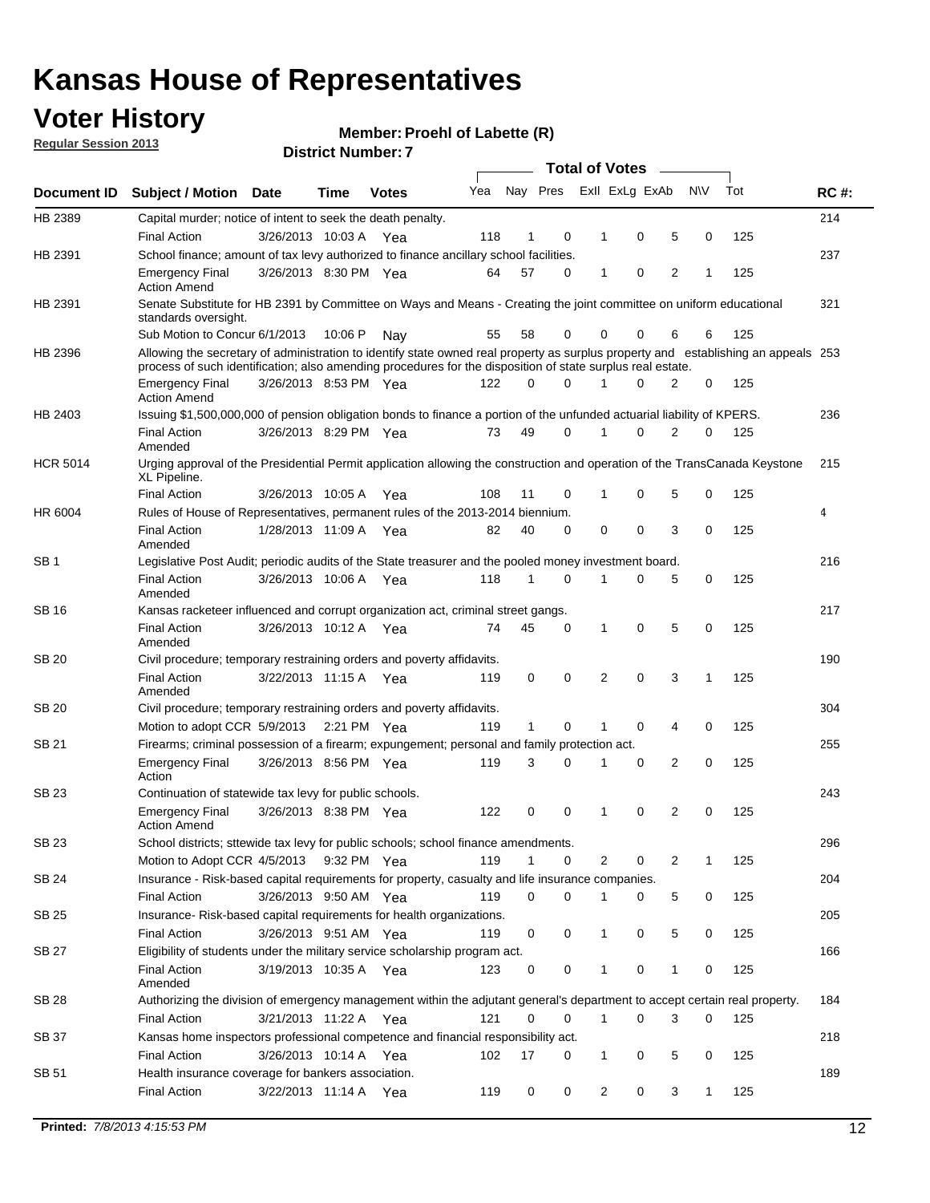## **Voter History**

**Member: Proehl of Labette (R)** 

**Regular Session 2013**

|                    |                                                                                                                                                                                                                                                  | <b>Total of Votes</b><br>$\sim$                                                    |         |              |     |    |             |                |                         |                |           |     |     |
|--------------------|--------------------------------------------------------------------------------------------------------------------------------------------------------------------------------------------------------------------------------------------------|------------------------------------------------------------------------------------|---------|--------------|-----|----|-------------|----------------|-------------------------|----------------|-----------|-----|-----|
| <b>Document ID</b> | Subject / Motion Date                                                                                                                                                                                                                            |                                                                                    | Time    | <b>Votes</b> | Yea |    |             |                | Nay Pres Exll ExLg ExAb |                | <b>NV</b> | Tot | RC# |
| HB 2389            | Capital murder; notice of intent to seek the death penalty.                                                                                                                                                                                      |                                                                                    |         |              |     |    |             |                |                         |                |           |     | 214 |
|                    | <b>Final Action</b>                                                                                                                                                                                                                              | 3/26/2013 10:03 A                                                                  |         | Yea          | 118 | 1  | 0           | 1              | 0                       | 5              | 0         | 125 |     |
| HB 2391            | School finance; amount of tax levy authorized to finance ancillary school facilities.                                                                                                                                                            |                                                                                    |         |              |     |    |             |                |                         |                |           |     | 237 |
|                    | <b>Emergency Final</b><br><b>Action Amend</b>                                                                                                                                                                                                    | 3/26/2013 8:30 PM Yea                                                              |         |              | 64  | 57 | 0           | 1              | 0                       | $\overline{2}$ | 1         | 125 |     |
| HB 2391            | Senate Substitute for HB 2391 by Committee on Ways and Means - Creating the joint committee on uniform educational<br>standards oversight.                                                                                                       |                                                                                    |         |              |     |    |             |                |                         |                |           |     | 321 |
|                    | Sub Motion to Concur 6/1/2013                                                                                                                                                                                                                    |                                                                                    | 10:06 P | Nav          | 55  | 58 | 0           |                | 0<br>0                  | 6              | 6         | 125 |     |
| HB 2396            | Allowing the secretary of administration to identify state owned real property as surplus property and establishing an appeals 253<br>process of such identification; also amending procedures for the disposition of state surplus real estate. |                                                                                    |         |              |     |    |             |                |                         |                |           |     |     |
|                    | <b>Emergency Final</b><br><b>Action Amend</b>                                                                                                                                                                                                    | 3/26/2013 8:53 PM Yea                                                              |         |              | 122 | 0  | $\Omega$    |                | $\Omega$                | 2              | 0         | 125 |     |
| HB 2403            | Issuing \$1,500,000,000 of pension obligation bonds to finance a portion of the unfunded actuarial liability of KPERS.                                                                                                                           |                                                                                    |         |              |     |    |             |                |                         |                |           |     | 236 |
|                    | <b>Final Action</b><br>Amended                                                                                                                                                                                                                   | 3/26/2013 8:29 PM Yea                                                              |         |              | 73  | 49 | $\Omega$    | 1              | 0                       | 2              | 0         | 125 |     |
| <b>HCR 5014</b>    | Urging approval of the Presidential Permit application allowing the construction and operation of the TransCanada Keystone<br>XL Pipeline.                                                                                                       |                                                                                    |         |              |     |    |             |                |                         |                |           |     | 215 |
|                    | <b>Final Action</b>                                                                                                                                                                                                                              | 3/26/2013 10:05 A                                                                  |         | Yea          | 108 | 11 | 0           | 1              | 0                       | 5              | 0         | 125 |     |
| HR 6004            | Rules of House of Representatives, permanent rules of the 2013-2014 biennium.                                                                                                                                                                    |                                                                                    |         |              |     |    |             |                |                         |                |           |     | 4   |
|                    | <b>Final Action</b><br>Amended                                                                                                                                                                                                                   | 1/28/2013 11:09 A Yea                                                              |         |              | 82  | 40 | $\Omega$    | 0              | 0                       | 3              | $\Omega$  | 125 |     |
| SB 1               | Legislative Post Audit; periodic audits of the State treasurer and the pooled money investment board.                                                                                                                                            |                                                                                    |         |              |     |    |             |                |                         |                |           |     | 216 |
|                    | <b>Final Action</b><br>Amended                                                                                                                                                                                                                   | 3/26/2013 10:06 A                                                                  |         | Yea          | 118 | 1  | 0           | 1              | 0                       | 5              | 0         | 125 |     |
| SB 16              | Kansas racketeer influenced and corrupt organization act, criminal street gangs.                                                                                                                                                                 |                                                                                    |         |              |     |    |             |                |                         |                |           |     | 217 |
|                    | <b>Final Action</b><br>Amended                                                                                                                                                                                                                   | 3/26/2013 10:12 A                                                                  |         | Yea          | 74  | 45 | 0           | 1              | 0                       | 5              | 0         | 125 |     |
| SB 20              | Civil procedure; temporary restraining orders and poverty affidavits.                                                                                                                                                                            |                                                                                    |         |              |     |    |             |                |                         |                |           |     | 190 |
|                    | <b>Final Action</b><br>Amended                                                                                                                                                                                                                   | 3/22/2013 11:15 A                                                                  |         | Yea          | 119 | 0  | 0           | 2              | 0                       | 3              | 1         | 125 |     |
| <b>SB 20</b>       | Civil procedure; temporary restraining orders and poverty affidavits.                                                                                                                                                                            |                                                                                    |         |              |     |    |             |                |                         |                |           |     | 304 |
|                    |                                                                                                                                                                                                                                                  | 125<br>Motion to adopt CCR 5/9/2013<br>2:21 PM Yea<br>119<br>1<br>0<br>0<br>4<br>0 |         |              |     |    |             |                |                         |                |           |     |     |
| SB 21              | Firearms; criminal possession of a firearm; expungement; personal and family protection act.                                                                                                                                                     |                                                                                    |         |              |     |    |             |                |                         |                |           |     | 255 |
|                    | <b>Emergency Final</b><br>Action                                                                                                                                                                                                                 | 3/26/2013 8:56 PM Yea                                                              |         |              | 119 | 3  | $\Omega$    | 1              | 0                       | $\overline{2}$ | 0         | 125 |     |
| SB 23              |                                                                                                                                                                                                                                                  | Continuation of statewide tax levy for public schools.                             |         |              |     |    |             |                |                         |                |           |     | 243 |
|                    | <b>Emergency Final</b><br><b>Action Amend</b>                                                                                                                                                                                                    | 3/26/2013 8:38 PM Yea                                                              |         |              | 122 | 0  | 0           | 1              | 0                       | 2              | 0         | 125 |     |
| SB 23              | School districts; sttewide tax levy for public schools; school finance amendments.                                                                                                                                                               |                                                                                    |         |              |     |    |             |                |                         |                |           |     | 296 |
|                    | Motion to Adopt CCR 4/5/2013                                                                                                                                                                                                                     |                                                                                    |         | 9:32 PM Yea  | 119 | 1  | 0           |                | 2<br>0                  | 2              | 1         | 125 |     |
| <b>SB 24</b>       | Insurance - Risk-based capital requirements for property, casualty and life insurance companies.                                                                                                                                                 |                                                                                    |         |              |     |    |             |                |                         |                |           |     | 204 |
|                    | <b>Final Action</b>                                                                                                                                                                                                                              | 3/26/2013 9:50 AM Yea                                                              |         |              | 119 | 0  | 0           | 1              | 0                       | 5              | 0         | 125 |     |
| <b>SB 25</b>       | Insurance-Risk-based capital requirements for health organizations.                                                                                                                                                                              |                                                                                    |         |              |     |    |             |                |                         |                |           |     | 205 |
|                    | <b>Final Action</b>                                                                                                                                                                                                                              | 3/26/2013 9:51 AM Yea                                                              |         |              | 119 | 0  | 0           | 1              | 0                       | 5              | 0         | 125 |     |
| <b>SB 27</b>       | Eligibility of students under the military service scholarship program act.                                                                                                                                                                      |                                                                                    |         |              |     |    |             |                |                         |                |           |     | 166 |
|                    | <b>Final Action</b><br>Amended                                                                                                                                                                                                                   | 3/19/2013 10:35 A Yea                                                              |         |              | 123 | 0  | 0           | 1              | 0                       | 1              | 0         | 125 |     |
| <b>SB 28</b>       | Authorizing the division of emergency management within the adjutant general's department to accept certain real property.                                                                                                                       |                                                                                    |         |              |     |    |             |                |                         |                |           |     | 184 |
|                    | Final Action                                                                                                                                                                                                                                     | 3/21/2013 11:22 A Yea                                                              |         |              | 121 | 0  | $\mathbf 0$ |                | 0<br>$\mathbf{1}$       | 3              | 0         | 125 |     |
| <b>SB 37</b>       | Kansas home inspectors professional competence and financial responsibility act.                                                                                                                                                                 |                                                                                    |         |              |     |    |             |                |                         |                |           |     | 218 |
|                    | <b>Final Action</b>                                                                                                                                                                                                                              | 3/26/2013 10:14 A Yea                                                              |         |              | 102 | 17 | 0           | 1              | 0                       | 5              | 0         | 125 |     |
| SB 51              | Health insurance coverage for bankers association.                                                                                                                                                                                               |                                                                                    |         |              |     |    |             |                |                         |                |           |     | 189 |
|                    | <b>Final Action</b>                                                                                                                                                                                                                              | 3/22/2013 11:14 A Yea                                                              |         |              | 119 | 0  | 0           | $\overline{c}$ | 0                       | 3              | 1         | 125 |     |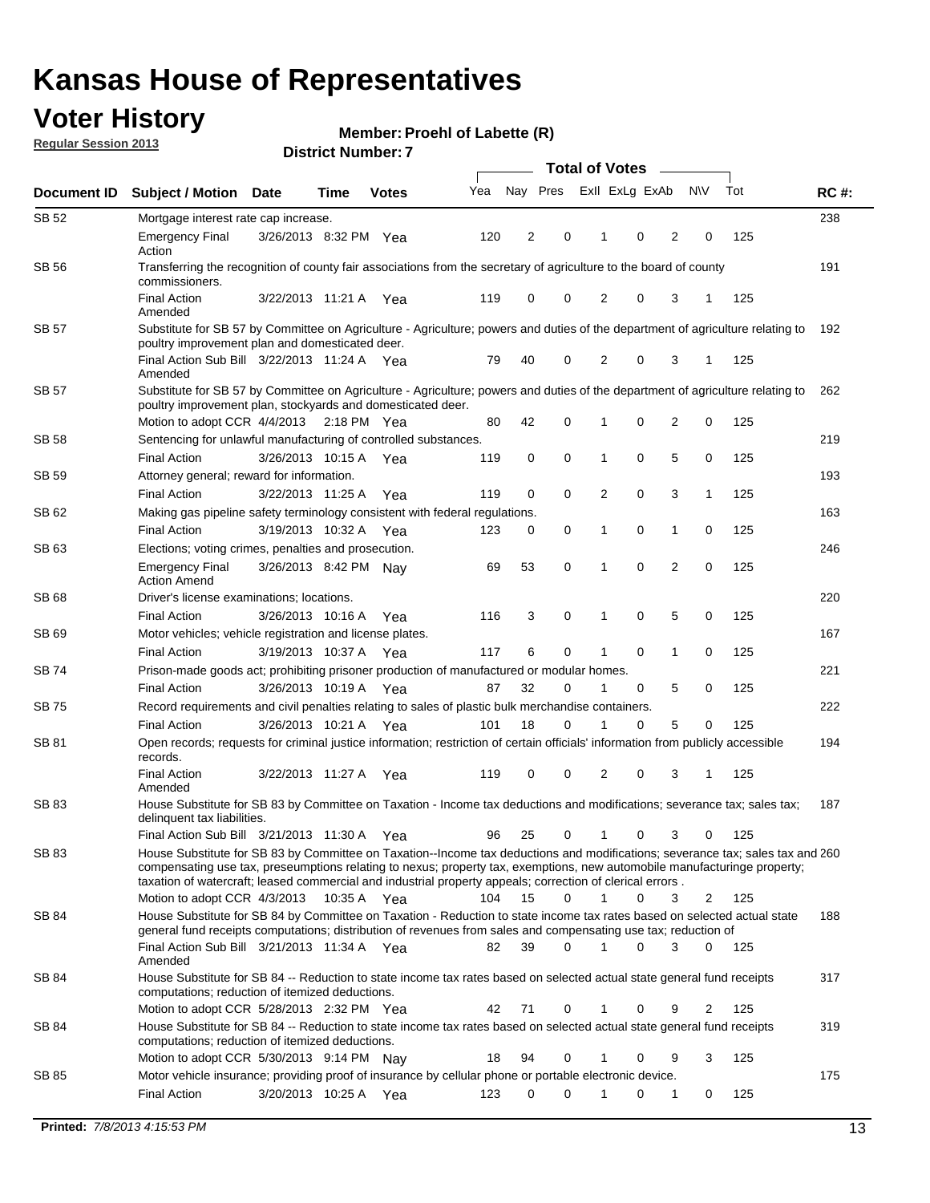## **Voter History**

**Member: Proehl of Labette (R)** 

**Regular Session 2013**

| Document ID  | <b>Subject / Motion Date</b>                                                                                                                                                                                                                                                                                                                                            |                       | Time        | <b>Votes</b> | Yea | Nay Pres |             | Exll ExLg ExAb |   |                | <b>NV</b>    | Tot | <b>RC#:</b> |
|--------------|-------------------------------------------------------------------------------------------------------------------------------------------------------------------------------------------------------------------------------------------------------------------------------------------------------------------------------------------------------------------------|-----------------------|-------------|--------------|-----|----------|-------------|----------------|---|----------------|--------------|-----|-------------|
| SB 52        | Mortgage interest rate cap increase.                                                                                                                                                                                                                                                                                                                                    |                       |             |              |     |          |             |                |   |                |              |     | 238         |
|              | <b>Emergency Final</b><br>Action                                                                                                                                                                                                                                                                                                                                        | 3/26/2013 8:32 PM Yea |             |              | 120 | 2        | 0           | 1              | 0 | 2              | 0            | 125 |             |
| SB 56        | Transferring the recognition of county fair associations from the secretary of agriculture to the board of county<br>commissioners.                                                                                                                                                                                                                                     |                       |             |              |     |          |             |                |   |                |              |     | 191         |
|              | <b>Final Action</b><br>Amended                                                                                                                                                                                                                                                                                                                                          | 3/22/2013 11:21 A     |             | Yea          | 119 | 0        | 0           | 2              | 0 | 3              |              | 125 |             |
| <b>SB 57</b> | Substitute for SB 57 by Committee on Agriculture - Agriculture; powers and duties of the department of agriculture relating to                                                                                                                                                                                                                                          |                       |             |              |     |          |             |                |   |                |              |     | 192         |
|              | poultry improvement plan and domesticated deer.<br>Final Action Sub Bill 3/22/2013 11:24 A Yea<br>Amended                                                                                                                                                                                                                                                               |                       |             |              | 79  | 40       | 0           | 2              | 0 | 3              | -1           | 125 |             |
| <b>SB 57</b> | Substitute for SB 57 by Committee on Agriculture - Agriculture; powers and duties of the department of agriculture relating to<br>poultry improvement plan, stockyards and domesticated deer.                                                                                                                                                                           |                       |             |              |     |          |             |                |   |                |              |     | 262         |
|              | Motion to adopt CCR 4/4/2013                                                                                                                                                                                                                                                                                                                                            |                       | 2:18 PM Yea |              | 80  | 42       | 0           | 1              | 0 | 2              | 0            | 125 |             |
| SB 58        | Sentencing for unlawful manufacturing of controlled substances.                                                                                                                                                                                                                                                                                                         |                       |             |              |     |          |             |                |   |                |              |     | 219         |
|              | <b>Final Action</b>                                                                                                                                                                                                                                                                                                                                                     | 3/26/2013 10:15 A     |             | Yea          | 119 | 0        | $\mathbf 0$ | 1              | 0 | 5              | 0            | 125 |             |
| SB 59        | Attorney general; reward for information.                                                                                                                                                                                                                                                                                                                               |                       |             |              |     |          |             |                |   |                |              |     | 193         |
|              | <b>Final Action</b>                                                                                                                                                                                                                                                                                                                                                     | 3/22/2013 11:25 A     |             | Yea          | 119 | 0        | $\mathbf 0$ | $\overline{2}$ | 0 | 3              | $\mathbf{1}$ | 125 |             |
| SB 62        | Making gas pipeline safety terminology consistent with federal regulations.                                                                                                                                                                                                                                                                                             |                       |             |              |     |          |             |                |   |                |              |     | 163         |
|              | <b>Final Action</b>                                                                                                                                                                                                                                                                                                                                                     | 3/19/2013 10:32 A     |             | Yea          | 123 | 0        | 0           | 1              | 0 | 1              | 0            | 125 |             |
| SB 63        | Elections; voting crimes, penalties and prosecution.                                                                                                                                                                                                                                                                                                                    |                       |             |              |     |          |             |                |   |                |              |     | 246         |
|              | <b>Emergency Final</b><br><b>Action Amend</b>                                                                                                                                                                                                                                                                                                                           | 3/26/2013 8:42 PM Nay |             |              | 69  | 53       | $\mathbf 0$ | 1              | 0 | $\overline{2}$ | 0            | 125 |             |
| SB 68        | Driver's license examinations; locations.                                                                                                                                                                                                                                                                                                                               |                       |             |              |     |          |             |                |   |                |              |     | 220         |
|              | <b>Final Action</b>                                                                                                                                                                                                                                                                                                                                                     | 3/26/2013 10:16 A     |             | Yea          | 116 | 3        | 0           | 1              | 0 | 5              | 0            | 125 |             |
| SB 69        | Motor vehicles; vehicle registration and license plates.                                                                                                                                                                                                                                                                                                                |                       |             |              |     |          |             |                |   |                |              |     | 167         |
|              | <b>Final Action</b>                                                                                                                                                                                                                                                                                                                                                     | 3/19/2013 10:37 A     |             | Yea          | 117 | 6        | 0           | 1              | 0 | 1              | 0            | 125 |             |
| SB 74        | Prison-made goods act; prohibiting prisoner production of manufactured or modular homes.                                                                                                                                                                                                                                                                                |                       |             |              |     |          |             |                |   |                |              |     | 221         |
|              | <b>Final Action</b>                                                                                                                                                                                                                                                                                                                                                     | 3/26/2013 10:19 A     |             | Yea          | 87  | 32       | 0           | 1              | 0 | 5              | 0            | 125 |             |
| SB 75        | Record requirements and civil penalties relating to sales of plastic bulk merchandise containers.                                                                                                                                                                                                                                                                       |                       |             |              |     |          |             |                |   |                |              |     | 222         |
|              | <b>Final Action</b>                                                                                                                                                                                                                                                                                                                                                     | 3/26/2013 10:21 A     |             | Yea          | 101 | 18       | 0           | 1              | 0 | 5              | 0            | 125 |             |
| SB 81        | Open records; requests for criminal justice information; restriction of certain officials' information from publicly accessible<br>records.                                                                                                                                                                                                                             |                       |             |              |     |          |             |                |   |                |              |     | 194         |
|              | <b>Final Action</b><br>Amended                                                                                                                                                                                                                                                                                                                                          | 3/22/2013 11:27 A     |             | Yea          | 119 | 0        | 0           | 2              | 0 | 3              | 1            | 125 |             |
| SB 83        | House Substitute for SB 83 by Committee on Taxation - Income tax deductions and modifications; severance tax; sales tax;<br>delinquent tax liabilities.                                                                                                                                                                                                                 |                       |             |              |     |          |             |                |   |                |              |     | 187         |
|              | Final Action Sub Bill 3/21/2013 11:30 A Yea                                                                                                                                                                                                                                                                                                                             |                       |             |              | 96  | 25       | 0           | 1              | 0 | 3              | 0            | 125 |             |
| SB 83        | House Substitute for SB 83 by Committee on Taxation--Income tax deductions and modifications; severance tax; sales tax and 260<br>compensating use tax, preseumptions relating to nexus; property tax, exemptions, new automobile manufacturinge property;<br>taxation of watercraft; leased commercial and industrial property appeals; correction of clerical errors. |                       |             |              |     |          |             |                |   |                |              |     |             |
|              | Motion to adopt CCR 4/3/2013                                                                                                                                                                                                                                                                                                                                            |                       | 10:35 A Yea |              | 104 | 15       | $\Omega$    | $\mathbf{1}$   | 0 | 3              | 2            | 125 |             |
| SB 84        | House Substitute for SB 84 by Committee on Taxation - Reduction to state income tax rates based on selected actual state<br>general fund receipts computations; distribution of revenues from sales and compensating use tax; reduction of<br>Final Action Sub Bill 3/21/2013 11:34 A Yea                                                                               |                       |             |              |     |          | $\Omega$    |                | 0 |                |              |     | 188         |
| SB 84        | Amended                                                                                                                                                                                                                                                                                                                                                                 |                       |             |              | 82  | 39       |             |                |   | 3              | $\Omega$     | 125 |             |
|              | House Substitute for SB 84 -- Reduction to state income tax rates based on selected actual state general fund receipts<br>computations; reduction of itemized deductions.<br>Motion to adopt CCR 5/28/2013 2:32 PM Yea                                                                                                                                                  |                       |             |              | 42  | 71       | 0           |                | 0 | 9              | 2            | 125 | 317         |
| SB 84        | House Substitute for SB 84 -- Reduction to state income tax rates based on selected actual state general fund receipts                                                                                                                                                                                                                                                  |                       |             |              |     |          |             |                |   |                |              |     | 319         |
|              | computations; reduction of itemized deductions.<br>Motion to adopt CCR 5/30/2013 9:14 PM Nay                                                                                                                                                                                                                                                                            |                       |             |              | 18  | 94       | 0           | 1              | 0 | 9              | 3            | 125 |             |
| SB 85        | Motor vehicle insurance; providing proof of insurance by cellular phone or portable electronic device.                                                                                                                                                                                                                                                                  |                       |             |              |     |          |             |                |   |                |              |     | 175         |
|              | <b>Final Action</b>                                                                                                                                                                                                                                                                                                                                                     | 3/20/2013 10:25 A Yea |             |              | 123 | 0        | 0           |                | 0 | 1              | 0            | 125 |             |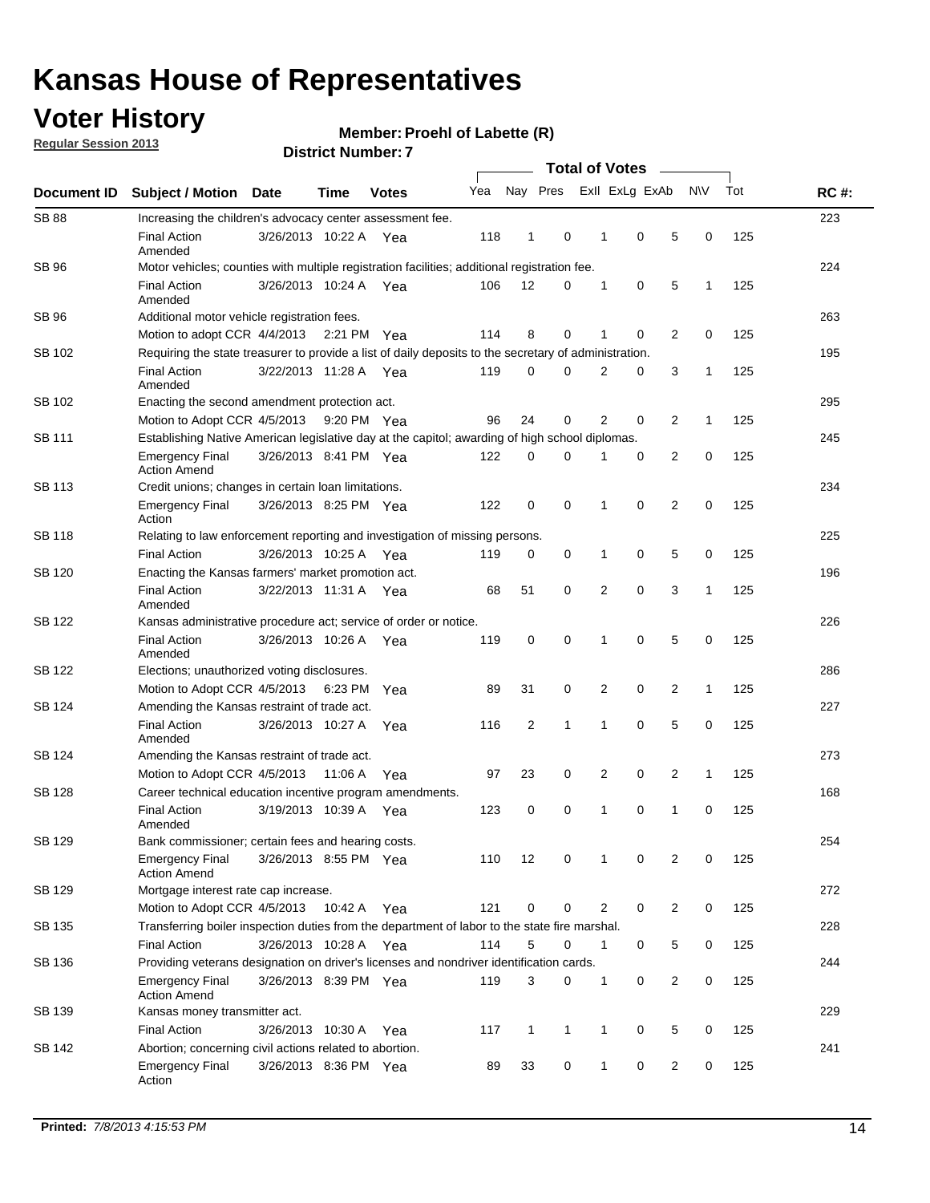## **Voter History**

**Member: Proehl of Labette (R)** 

**Regular Session 2013**

| Document ID   |                                                                                                       |                       |         |              |     | <b>Total of Votes</b> |             |                |             |                |              |     |             |  |  |  |  |  |  |
|---------------|-------------------------------------------------------------------------------------------------------|-----------------------|---------|--------------|-----|-----------------------|-------------|----------------|-------------|----------------|--------------|-----|-------------|--|--|--|--|--|--|
|               | <b>Subject / Motion</b>                                                                               | <b>Date</b>           | Time    | <b>Votes</b> | Yea | Nay Pres              |             | Exll ExLg ExAb |             |                | N\V          | Tot | <b>RC#:</b> |  |  |  |  |  |  |
| <b>SB 88</b>  | Increasing the children's advocacy center assessment fee.                                             |                       |         |              |     |                       |             |                |             |                |              |     | 223         |  |  |  |  |  |  |
|               | <b>Final Action</b><br>Amended                                                                        | 3/26/2013 10:22 A Yea |         |              | 118 | 1                     | 0           | 1              | 0           | 5              | 0            | 125 |             |  |  |  |  |  |  |
| SB 96         | Motor vehicles; counties with multiple registration facilities; additional registration fee.          |                       |         |              |     |                       |             |                |             |                |              |     | 224         |  |  |  |  |  |  |
|               | <b>Final Action</b><br>Amended                                                                        | 3/26/2013 10:24 A Yea |         |              | 106 | 12                    | 0           | 1              | 0           | 5              | 1            | 125 |             |  |  |  |  |  |  |
| SB 96         | Additional motor vehicle registration fees.                                                           |                       |         |              |     |                       |             |                |             |                |              |     | 263         |  |  |  |  |  |  |
|               | Motion to adopt CCR 4/4/2013 2:21 PM Yea                                                              |                       |         |              | 114 | 8                     | $\mathbf 0$ | 1              | 0           | 2              | 0            | 125 |             |  |  |  |  |  |  |
| SB 102        | Requiring the state treasurer to provide a list of daily deposits to the secretary of administration. |                       |         |              |     |                       |             |                |             |                |              |     | 195         |  |  |  |  |  |  |
|               | <b>Final Action</b><br>Amended                                                                        | 3/22/2013 11:28 A Yea |         |              | 119 | $\mathbf 0$           | $\Omega$    | 2              | 0           | 3              | 1            | 125 |             |  |  |  |  |  |  |
| SB 102        | Enacting the second amendment protection act.                                                         |                       |         |              |     |                       |             |                |             | 295            |              |     |             |  |  |  |  |  |  |
|               | Motion to Adopt CCR 4/5/2013                                                                          |                       |         | 9:20 PM Yea  | 96  | 24                    | 0           | 2              | 0           | 2              | 1            | 125 |             |  |  |  |  |  |  |
| SB 111        | Establishing Native American legislative day at the capitol; awarding of high school diplomas.        |                       |         |              |     |                       |             |                |             |                |              |     | 245         |  |  |  |  |  |  |
|               | <b>Emergency Final</b><br><b>Action Amend</b>                                                         | 3/26/2013 8:41 PM Yea |         |              | 122 | 0                     | 0           | 1              | 0           | 2              | 0            | 125 |             |  |  |  |  |  |  |
| <b>SB 113</b> | Credit unions; changes in certain loan limitations.                                                   |                       |         |              |     |                       |             |                |             |                |              |     | 234         |  |  |  |  |  |  |
|               | <b>Emergency Final</b><br>Action                                                                      | 3/26/2013 8:25 PM Yea |         |              | 122 | 0                     | 0           | 1              | 0           | 2              | 0            | 125 |             |  |  |  |  |  |  |
| SB 118        | Relating to law enforcement reporting and investigation of missing persons.                           |                       |         |              |     |                       |             |                |             |                |              |     | 225         |  |  |  |  |  |  |
|               | <b>Final Action</b>                                                                                   | 3/26/2013 10:25 A Yea |         |              | 119 | 0                     | 0           | 1              | 0           | 5              | 0            | 125 |             |  |  |  |  |  |  |
| SB 120        | Enacting the Kansas farmers' market promotion act.                                                    |                       |         |              |     |                       |             |                |             |                |              |     | 196         |  |  |  |  |  |  |
|               | <b>Final Action</b><br>Amended                                                                        | 3/22/2013 11:31 A Yea |         |              | 68  | 51                    | 0           | 2              | $\mathbf 0$ | 3              | 1            | 125 |             |  |  |  |  |  |  |
| SB 122        | Kansas administrative procedure act; service of order or notice.                                      |                       |         |              |     |                       |             |                |             |                |              |     | 226         |  |  |  |  |  |  |
|               | <b>Final Action</b><br>Amended                                                                        | 3/26/2013 10:26 A Yea |         |              | 119 | 0                     | $\mathbf 0$ | 1              | $\mathbf 0$ | 5              | 0            | 125 |             |  |  |  |  |  |  |
| SB 122        | Elections; unauthorized voting disclosures.                                                           |                       |         |              |     |                       |             |                |             |                |              | 286 |             |  |  |  |  |  |  |
|               | Motion to Adopt CCR 4/5/2013                                                                          |                       |         | 6:23 PM Yea  | 89  | 31                    | 0           | 2              | 0           | 2              | 1            | 125 |             |  |  |  |  |  |  |
| SB 124        | Amending the Kansas restraint of trade act.                                                           |                       |         |              |     |                       |             |                |             |                |              |     | 227         |  |  |  |  |  |  |
|               | <b>Final Action</b><br>Amended                                                                        | 3/26/2013 10:27 A     |         | Yea          | 116 | $\overline{c}$        | 1           | 1              | $\mathbf 0$ | 5              | 0            | 125 |             |  |  |  |  |  |  |
| SB 124        | Amending the Kansas restraint of trade act.                                                           |                       |         |              |     |                       |             |                |             |                |              | 273 |             |  |  |  |  |  |  |
|               | Motion to Adopt CCR 4/5/2013                                                                          |                       | 11:06 A | Yea          | 97  | 23                    | 0           | 2              | 0           | 2              | $\mathbf{1}$ | 125 |             |  |  |  |  |  |  |
| <b>SB 128</b> | Career technical education incentive program amendments.                                              |                       |         |              |     |                       |             |                |             |                |              |     | 168         |  |  |  |  |  |  |
|               | <b>Final Action</b><br>Amended                                                                        | 3/19/2013 10:39 A     |         | Yea          | 123 | 0                     | 0           | 1              | 0           | 1              | 0            | 125 |             |  |  |  |  |  |  |
| <b>SB 129</b> | Bank commissioner; certain fees and hearing costs.                                                    |                       |         |              |     |                       |             |                |             |                |              |     | 254         |  |  |  |  |  |  |
|               | Emergency Final<br><b>Action Amend</b>                                                                | 3/26/2013 8:55 PM Yea |         |              | 110 | 12                    | 0           | 1              | 0           | 2              | 0            | 125 |             |  |  |  |  |  |  |
| <b>SB 129</b> | Mortgage interest rate cap increase.                                                                  |                       |         |              |     |                       |             |                |             |                |              |     | 272         |  |  |  |  |  |  |
|               | Motion to Adopt CCR 4/5/2013                                                                          |                       | 10:42 A | Yea          | 121 | 0                     | 0           | 2              | 0           | $\overline{2}$ | 0            | 125 |             |  |  |  |  |  |  |
| SB 135        | Transferring boiler inspection duties from the department of labor to the state fire marshal.         |                       |         |              |     |                       |             |                |             |                |              |     | 228         |  |  |  |  |  |  |
|               | <b>Final Action</b>                                                                                   | 3/26/2013 10:28 A Yea |         |              | 114 | 5                     | 0           | 1              | 0           | 5              | 0            | 125 |             |  |  |  |  |  |  |
| SB 136        | Providing veterans designation on driver's licenses and nondriver identification cards.               |                       |         |              |     |                       |             |                |             |                |              |     | 244         |  |  |  |  |  |  |
|               | Emergency Final<br><b>Action Amend</b>                                                                | 3/26/2013 8:39 PM Yea |         |              | 119 | 3                     | 0           | 1              | 0           | 2              | 0            | 125 |             |  |  |  |  |  |  |
| SB 139        | Kansas money transmitter act.                                                                         |                       |         |              |     |                       |             |                |             |                |              |     | 229         |  |  |  |  |  |  |
|               | <b>Final Action</b>                                                                                   | 3/26/2013 10:30 A     |         | Yea          | 117 | $\mathbf{1}$          | 1           | 1              | 0           | 5              | 0            | 125 |             |  |  |  |  |  |  |
| SB 142        | Abortion; concerning civil actions related to abortion.                                               |                       |         |              |     |                       |             |                |             |                |              |     | 241         |  |  |  |  |  |  |
|               | <b>Emergency Final</b><br>Action                                                                      | 3/26/2013 8:36 PM Yea |         |              | 89  | 33                    | 0           | 1              | 0           | 2              | 0            | 125 |             |  |  |  |  |  |  |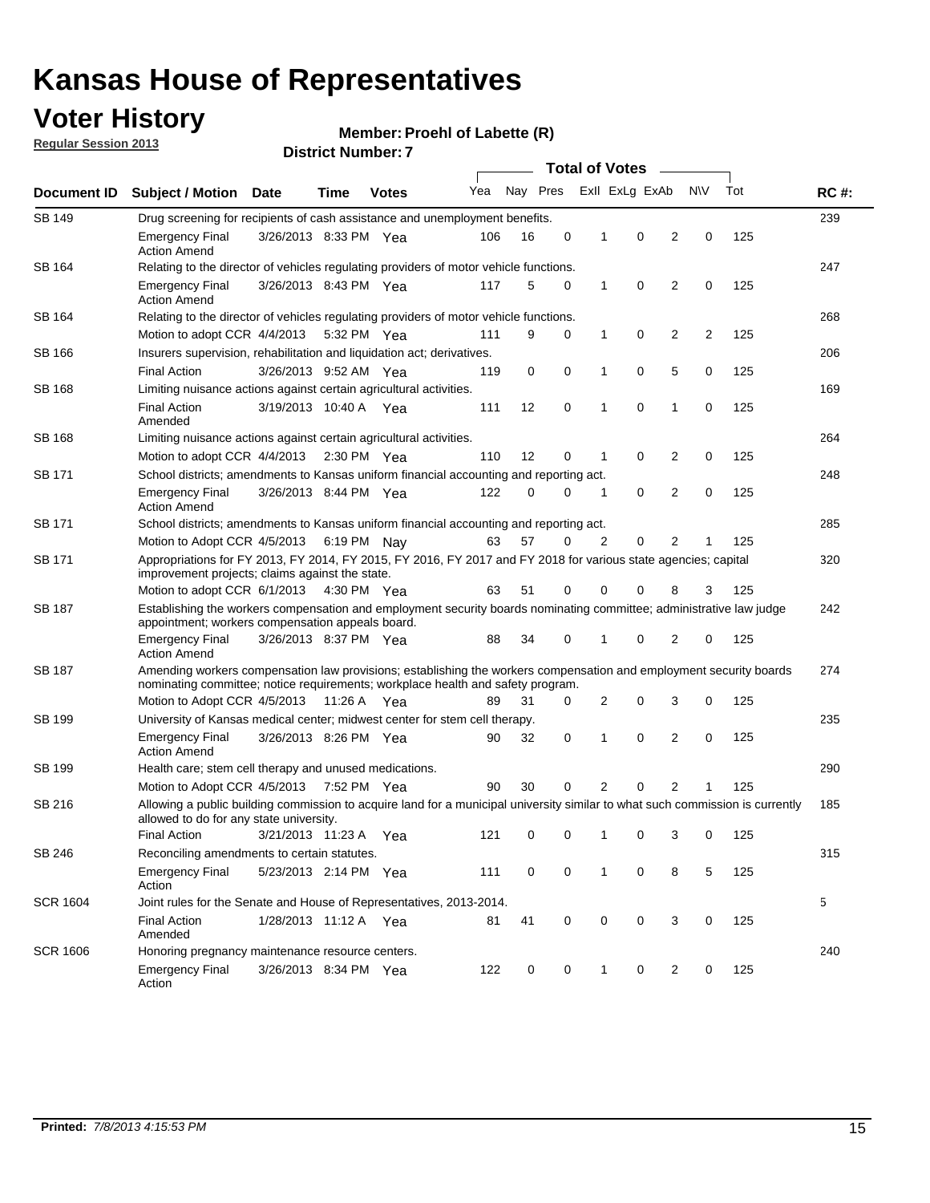## **Voter History**

**Member: Proehl of Labette (R)** 

**Regular Session 2013**

| Document ID     |                                                                                                                                                                          |                                                                                                                                                                                                       |      |                       | <b>Total of Votes</b> |          |   |                |   |   |           |     |             |  |  |  |  |  |  |
|-----------------|--------------------------------------------------------------------------------------------------------------------------------------------------------------------------|-------------------------------------------------------------------------------------------------------------------------------------------------------------------------------------------------------|------|-----------------------|-----------------------|----------|---|----------------|---|---|-----------|-----|-------------|--|--|--|--|--|--|
|                 | <b>Subject / Motion Date</b>                                                                                                                                             |                                                                                                                                                                                                       | Time | <b>Votes</b>          | Yea                   | Nay Pres |   | Exll ExLg ExAb |   |   | <b>NV</b> | Tot | <b>RC#:</b> |  |  |  |  |  |  |
| SB 149          | Drug screening for recipients of cash assistance and unemployment benefits.                                                                                              |                                                                                                                                                                                                       |      |                       |                       |          |   |                |   |   |           |     | 239         |  |  |  |  |  |  |
|                 | <b>Emergency Final</b><br><b>Action Amend</b>                                                                                                                            | 3/26/2013 8:33 PM Yea                                                                                                                                                                                 |      |                       | 106                   | 16       | 0 | 1              | 0 | 2 | 0         | 125 |             |  |  |  |  |  |  |
| SB 164          | Relating to the director of vehicles regulating providers of motor vehicle functions.                                                                                    |                                                                                                                                                                                                       |      |                       |                       |          |   |                |   |   |           |     | 247         |  |  |  |  |  |  |
|                 | <b>Emergency Final</b><br><b>Action Amend</b>                                                                                                                            | 3/26/2013 8:43 PM Yea                                                                                                                                                                                 |      |                       | 117                   | 5        | 0 | $\mathbf{1}$   | 0 | 2 | 0         | 125 |             |  |  |  |  |  |  |
| SB 164          |                                                                                                                                                                          | Relating to the director of vehicles regulating providers of motor vehicle functions.                                                                                                                 |      |                       |                       |          |   |                |   |   |           | 268 |             |  |  |  |  |  |  |
|                 | Motion to adopt CCR 4/4/2013 5:32 PM Yea                                                                                                                                 |                                                                                                                                                                                                       |      |                       | 111                   | 9        | 0 | $\mathbf{1}$   | 0 | 2 | 2         | 125 |             |  |  |  |  |  |  |
| SB 166          | Insurers supervision, rehabilitation and liquidation act; derivatives.                                                                                                   |                                                                                                                                                                                                       |      |                       |                       |          |   |                |   |   |           |     | 206         |  |  |  |  |  |  |
|                 | <b>Final Action</b>                                                                                                                                                      | 3/26/2013 9:52 AM Yea                                                                                                                                                                                 |      |                       | 119                   | 0        | 0 | $\mathbf 1$    | 0 | 5 | 0         | 125 |             |  |  |  |  |  |  |
| SB 168          | Limiting nuisance actions against certain agricultural activities.                                                                                                       |                                                                                                                                                                                                       |      |                       |                       |          |   |                |   |   |           |     | 169         |  |  |  |  |  |  |
|                 | <b>Final Action</b><br>Amended                                                                                                                                           | 3/19/2013 10:40 A Yea                                                                                                                                                                                 |      |                       | 111                   | 12       | 0 | 1              | 0 | 1 | 0         | 125 |             |  |  |  |  |  |  |
| SB 168          | Limiting nuisance actions against certain agricultural activities.                                                                                                       |                                                                                                                                                                                                       |      |                       |                       |          |   |                |   |   |           |     | 264         |  |  |  |  |  |  |
|                 | Motion to adopt CCR 4/4/2013                                                                                                                                             |                                                                                                                                                                                                       |      | $2:30 \text{ PM}$ Yea | 110                   | 12       | 0 | 1              | 0 | 2 | 0         | 125 |             |  |  |  |  |  |  |
| SB 171          | School districts; amendments to Kansas uniform financial accounting and reporting act.                                                                                   |                                                                                                                                                                                                       |      |                       |                       |          |   |                |   |   |           |     | 248         |  |  |  |  |  |  |
|                 | <b>Emergency Final</b><br><b>Action Amend</b>                                                                                                                            | 3/26/2013 8:44 PM Yea                                                                                                                                                                                 |      |                       | 122                   | 0        | 0 | 1              | 0 | 2 | 0         | 125 |             |  |  |  |  |  |  |
| SB 171          | School districts; amendments to Kansas uniform financial accounting and reporting act.                                                                                   |                                                                                                                                                                                                       |      |                       |                       |          |   |                |   |   |           |     | 285         |  |  |  |  |  |  |
|                 | Motion to Adopt CCR 4/5/2013 6:19 PM Nav                                                                                                                                 |                                                                                                                                                                                                       |      |                       | 63                    | 57       | 0 | 2              | 0 | 2 | 1         | 125 |             |  |  |  |  |  |  |
| SB 171          | Appropriations for FY 2013, FY 2014, FY 2015, FY 2016, FY 2017 and FY 2018 for various state agencies; capital<br>improvement projects; claims against the state.        |                                                                                                                                                                                                       |      |                       |                       |          |   |                |   |   |           |     | 320         |  |  |  |  |  |  |
|                 | Motion to adopt CCR 6/1/2013 4:30 PM Yea                                                                                                                                 |                                                                                                                                                                                                       |      |                       | 63                    | 51       | 0 | 0              | 0 | 8 | 3         | 125 |             |  |  |  |  |  |  |
| SB 187          | Establishing the workers compensation and employment security boards nominating committee; administrative law judge<br>appointment; workers compensation appeals board.  |                                                                                                                                                                                                       |      |                       |                       |          |   |                |   |   |           | 242 |             |  |  |  |  |  |  |
|                 | <b>Emergency Final</b><br><b>Action Amend</b>                                                                                                                            | 3/26/2013 8:37 PM Yea                                                                                                                                                                                 |      |                       | 88                    | 34       | 0 | 1              | 0 | 2 | 0         | 125 |             |  |  |  |  |  |  |
| SB 187          |                                                                                                                                                                          | Amending workers compensation law provisions; establishing the workers compensation and employment security boards<br>nominating committee; notice requirements; workplace health and safety program. |      |                       |                       |          |   |                |   |   |           |     |             |  |  |  |  |  |  |
|                 | Motion to Adopt CCR 4/5/2013 11:26 A Yea                                                                                                                                 |                                                                                                                                                                                                       |      |                       | 89                    | 31       | 0 | 2              | 0 | 3 | 0         | 125 |             |  |  |  |  |  |  |
| SB 199          | University of Kansas medical center; midwest center for stem cell therapy.                                                                                               |                                                                                                                                                                                                       |      |                       |                       |          |   |                |   |   |           |     | 235         |  |  |  |  |  |  |
|                 | <b>Emergency Final</b><br><b>Action Amend</b>                                                                                                                            | 3/26/2013 8:26 PM Yea                                                                                                                                                                                 |      |                       | 90                    | 32       | 0 | 1              | 0 | 2 | 0         | 125 |             |  |  |  |  |  |  |
| SB 199          | Health care; stem cell therapy and unused medications.                                                                                                                   |                                                                                                                                                                                                       |      |                       |                       |          |   |                |   |   |           |     | 290         |  |  |  |  |  |  |
|                 | Motion to Adopt CCR 4/5/2013 7:52 PM Yea                                                                                                                                 |                                                                                                                                                                                                       |      |                       | 90                    | 30       | 0 | 2              | 0 | 2 | 1         | 125 |             |  |  |  |  |  |  |
| SB 216          | Allowing a public building commission to acquire land for a municipal university similar to what such commission is currently<br>allowed to do for any state university. |                                                                                                                                                                                                       |      |                       |                       |          |   |                |   |   |           |     | 185         |  |  |  |  |  |  |
|                 | <b>Final Action</b>                                                                                                                                                      | 3/21/2013 11:23 A                                                                                                                                                                                     |      | - Yea                 | 121                   | 0        | 0 | $\mathbf{1}$   | 0 | 3 | 0         | 125 |             |  |  |  |  |  |  |
| SB 246          | Reconciling amendments to certain statutes.                                                                                                                              |                                                                                                                                                                                                       |      |                       |                       |          |   |                |   |   |           |     | 315         |  |  |  |  |  |  |
|                 | <b>Emergency Final</b><br>Action                                                                                                                                         | 5/23/2013 2:14 PM Yea                                                                                                                                                                                 |      |                       | 111                   | 0        | 0 | 1              | 0 | 8 | 5         | 125 |             |  |  |  |  |  |  |
| <b>SCR 1604</b> | Joint rules for the Senate and House of Representatives, 2013-2014.                                                                                                      |                                                                                                                                                                                                       |      |                       |                       |          |   |                |   |   |           |     | 5           |  |  |  |  |  |  |
|                 | <b>Final Action</b><br>Amended                                                                                                                                           | 1/28/2013 11:12 A Yea                                                                                                                                                                                 |      |                       | 81                    | 41       | 0 | 0              | 0 | 3 | 0         | 125 |             |  |  |  |  |  |  |
| <b>SCR 1606</b> | Honoring pregnancy maintenance resource centers.                                                                                                                         |                                                                                                                                                                                                       |      |                       |                       |          |   |                |   |   |           |     | 240         |  |  |  |  |  |  |
|                 | Emergency Final<br>Action                                                                                                                                                | 3/26/2013 8:34 PM Yea                                                                                                                                                                                 |      |                       | 122                   | 0        | 0 | 1              | 0 | 2 | 0         | 125 |             |  |  |  |  |  |  |